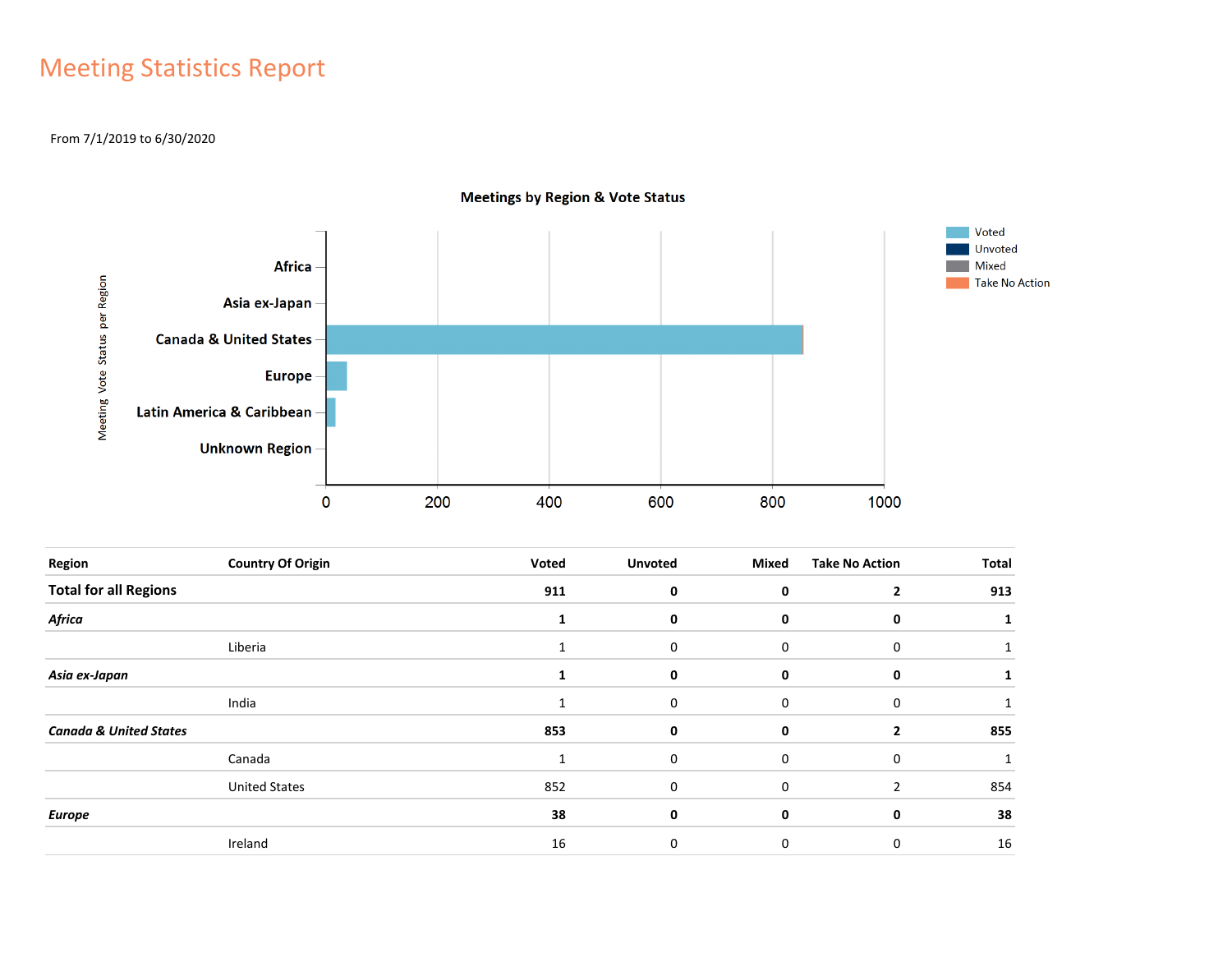## Meeting Statistics Report

### From 7/1/2019 to 6/30/2020



**Meetings by Region & Vote Status** 

| Region                            | <b>Country Of Origin</b> | Voted | <b>Unvoted</b> | <b>Mixed</b> | <b>Take No Action</b> | <b>Total</b> |
|-----------------------------------|--------------------------|-------|----------------|--------------|-----------------------|--------------|
| <b>Total for all Regions</b>      |                          | 911   | 0              | 0            | $\overline{2}$        | 913          |
| Africa                            |                          |       | 0              | 0            | 0                     |              |
|                                   | Liberia                  |       | 0              | $\mathbf 0$  | 0                     |              |
| Asia ex-Japan                     |                          |       | 0              | 0            | 0                     |              |
|                                   | India                    |       | 0              | $\mathbf 0$  | 0                     |              |
| <b>Canada &amp; United States</b> |                          | 853   | 0              | 0            | $\overline{2}$        | 855          |
|                                   | Canada                   | 1     | 0              | $\Omega$     | 0                     |              |
|                                   | <b>United States</b>     | 852   | 0              | $\Omega$     | $\overline{2}$        | 854          |
| <b>Europe</b>                     |                          | 38    | 0              | 0            | 0                     | 38           |
|                                   | Ireland                  | 16    | 0              | 0            | $\mathbf 0$           | 16           |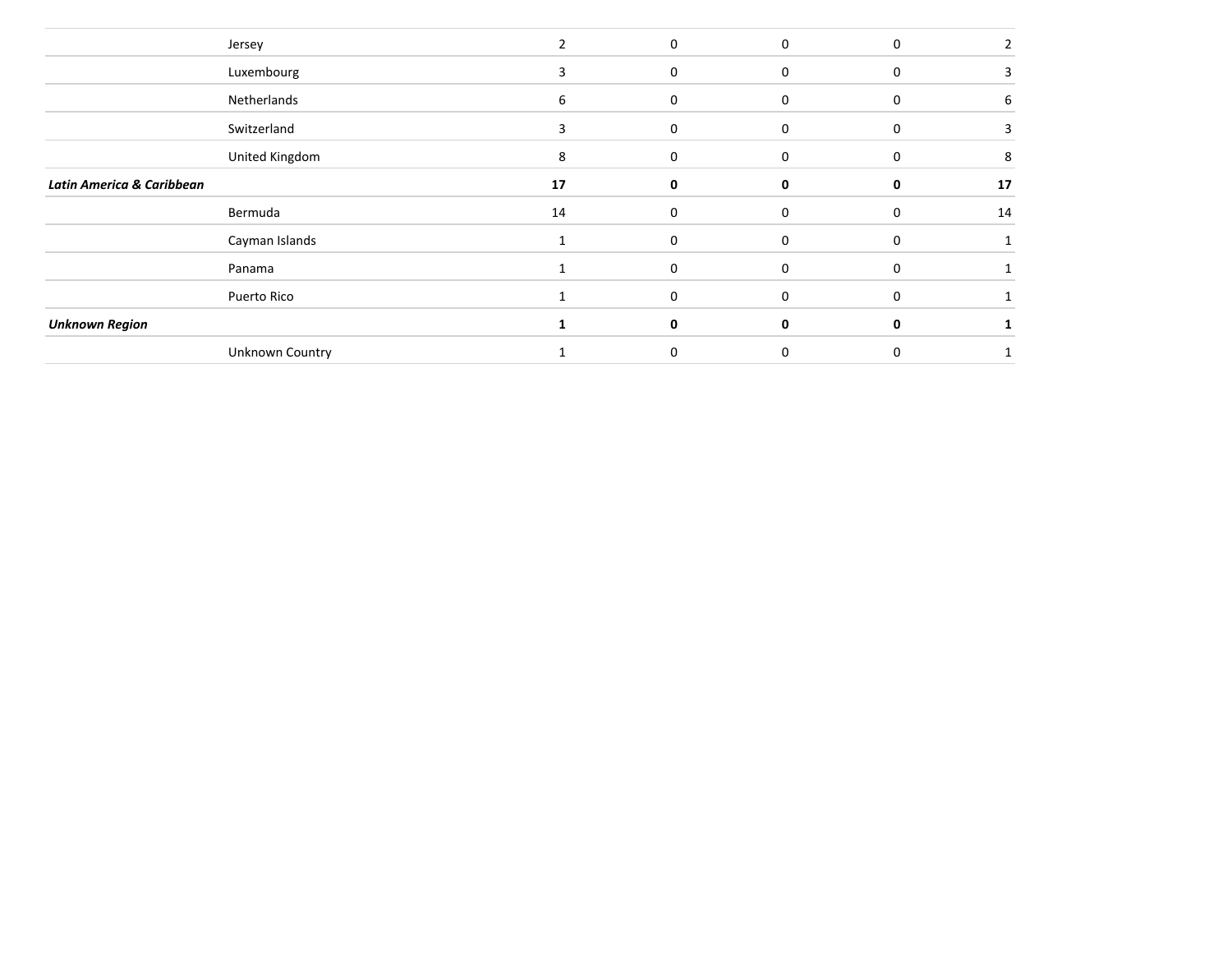|                                      | Jersey         |    | $\Omega$    | $\Omega$ | $\Omega$ |    |
|--------------------------------------|----------------|----|-------------|----------|----------|----|
|                                      | Luxembourg     | 3  | $\mathbf 0$ | $\Omega$ | $\Omega$ |    |
|                                      | Netherlands    | 6  | 0           | 0        | 0        | 6  |
|                                      | Switzerland    | 3  | $\Omega$    | $\Omega$ | $\Omega$ |    |
|                                      | United Kingdom | 8  | $\Omega$    | $\Omega$ | $\Omega$ | 8  |
| <b>Latin America &amp; Caribbean</b> |                | 17 | 0           | $\Omega$ |          | 17 |
|                                      | Bermuda        | 14 | 0           | $\Omega$ | $\Omega$ | 14 |
|                                      |                |    |             |          |          |    |
|                                      | Cayman Islands |    | 0           | $\Omega$ | $\Omega$ |    |
|                                      | Panama         |    | $\Omega$    | $\Omega$ | $\Omega$ |    |
|                                      | Puerto Rico    |    | 0           | $\Omega$ | $\Omega$ |    |
| <b>Unknown Region</b>                |                |    | 0           | 0        |          |    |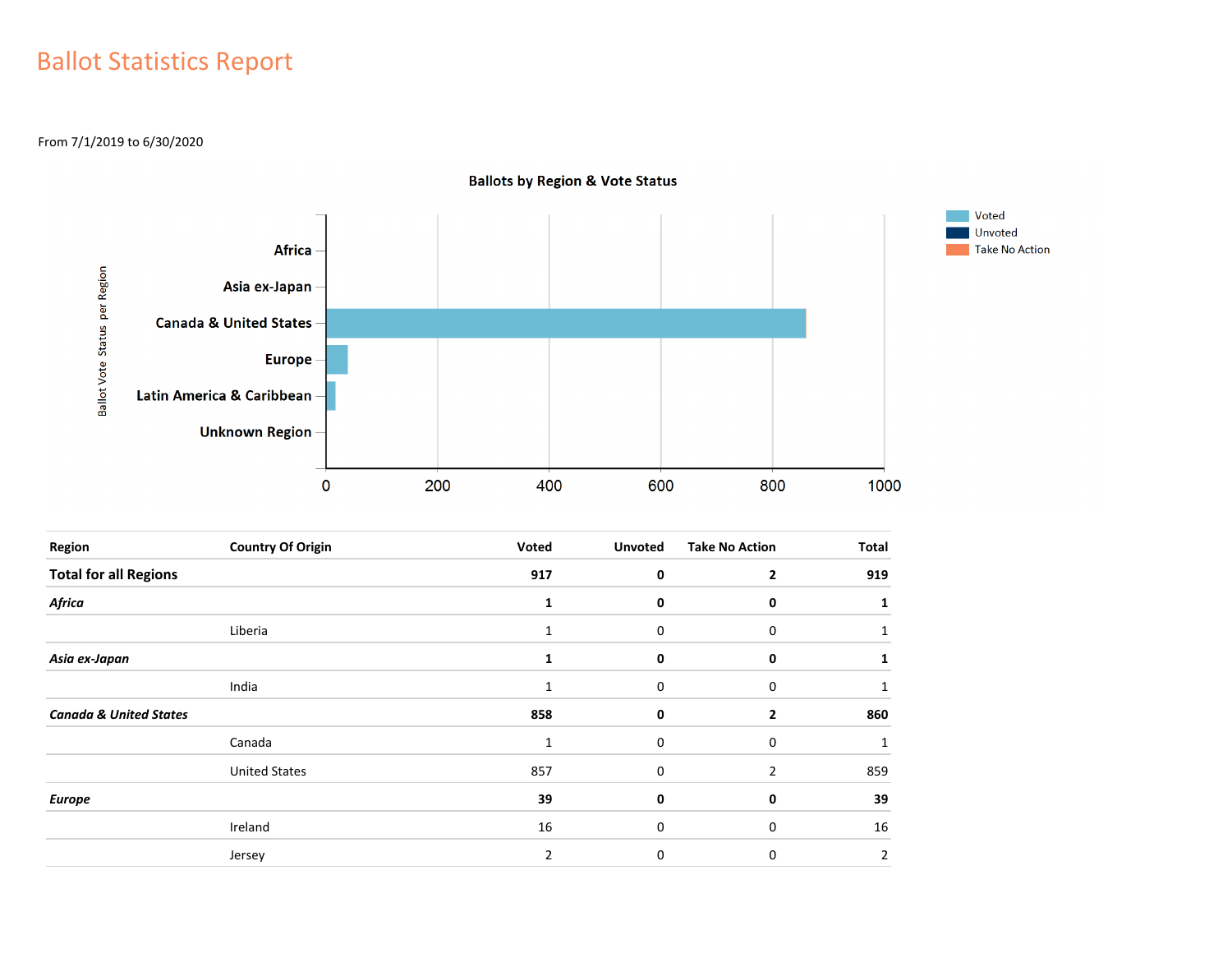## Ballot Statistics Report

From 7/1/2019 to 6/30/2020



| <b>Ballots by Region &amp; Vote Status</b> |  |  |
|--------------------------------------------|--|--|
|                                            |  |  |

| Region                            | <b>Country Of Origin</b> | Voted        | <b>Unvoted</b> | <b>Take No Action</b> | <b>Total</b> |
|-----------------------------------|--------------------------|--------------|----------------|-----------------------|--------------|
| <b>Total for all Regions</b>      |                          | 917          | 0              | 2                     | 919          |
| Africa                            |                          | 1            | 0              | 0                     |              |
|                                   | Liberia                  | 1            | 0              | 0                     |              |
| Asia ex-Japan                     |                          |              | 0              | 0                     |              |
|                                   | India                    | $\mathbf{1}$ | 0              | 0                     |              |
| <b>Canada &amp; United States</b> |                          | 858          | 0              | 2                     | 860          |
|                                   | Canada                   | 1            | 0              | 0                     |              |
|                                   | <b>United States</b>     | 857          | $\mathbf 0$    | $\mathcal{P}$         | 859          |
| <b>Europe</b>                     |                          | 39           | 0              | 0                     | 39           |
|                                   | Ireland                  | 16           | $\Omega$       | 0                     | 16           |
|                                   | Jersey                   | 2            | 0              | 0                     | 2            |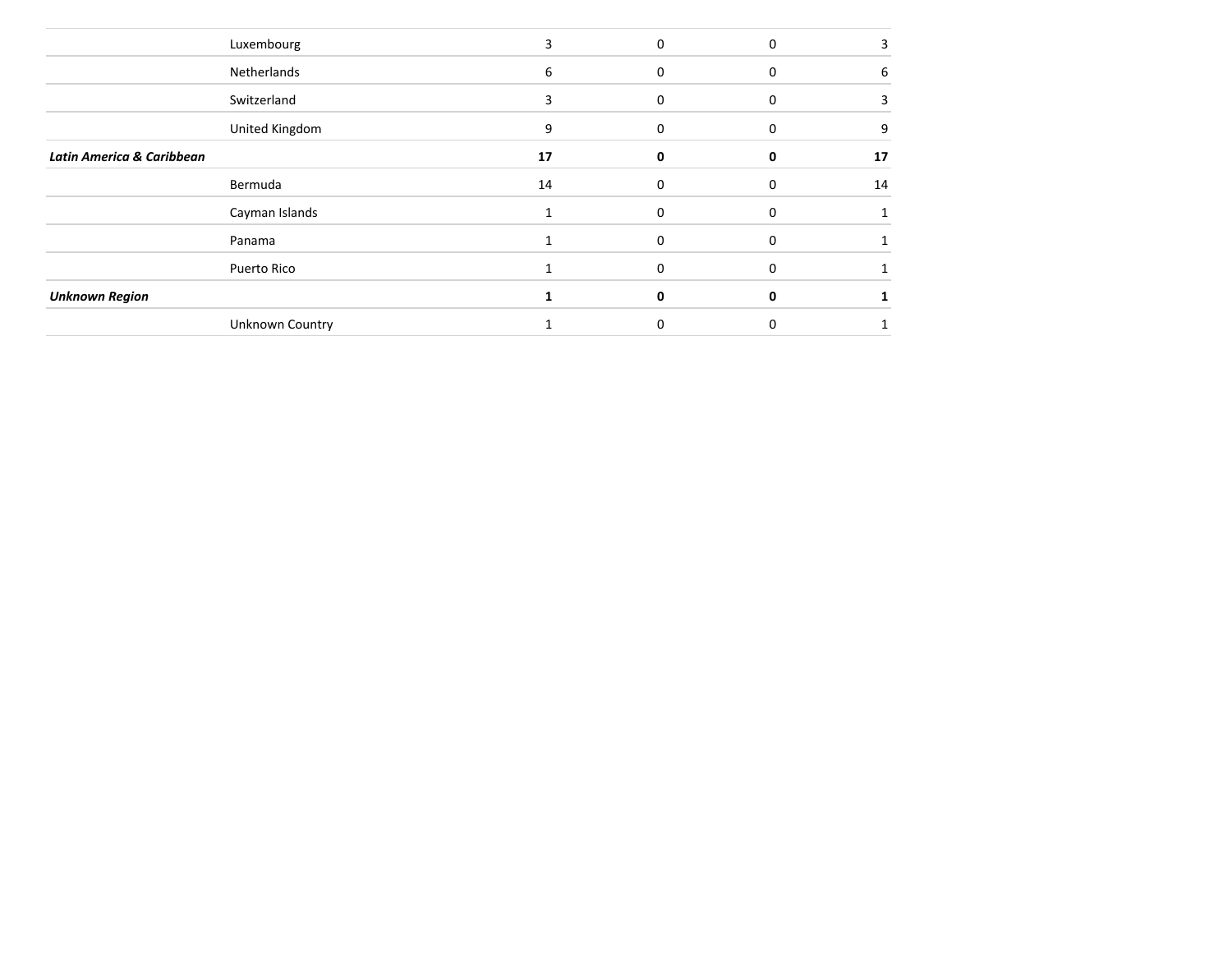| Luxembourg                           |                        |    | 0 | $\Omega$ |    |
|--------------------------------------|------------------------|----|---|----------|----|
| Netherlands                          |                        | 6  |   |          | 6  |
| Switzerland                          |                        | 3  | U |          |    |
| United Kingdom                       |                        | 9  | O |          | 9  |
| <b>Latin America &amp; Caribbean</b> |                        | 17 | n |          | 17 |
| Bermuda                              |                        | 14 | 0 | 0        | 14 |
| Cayman Islands                       |                        |    |   |          |    |
| Panama                               |                        |    | ŋ |          |    |
| Puerto Rico                          |                        |    |   |          |    |
| <b>Unknown Region</b>                |                        |    |   |          |    |
|                                      | <b>Unknown Country</b> |    | በ |          |    |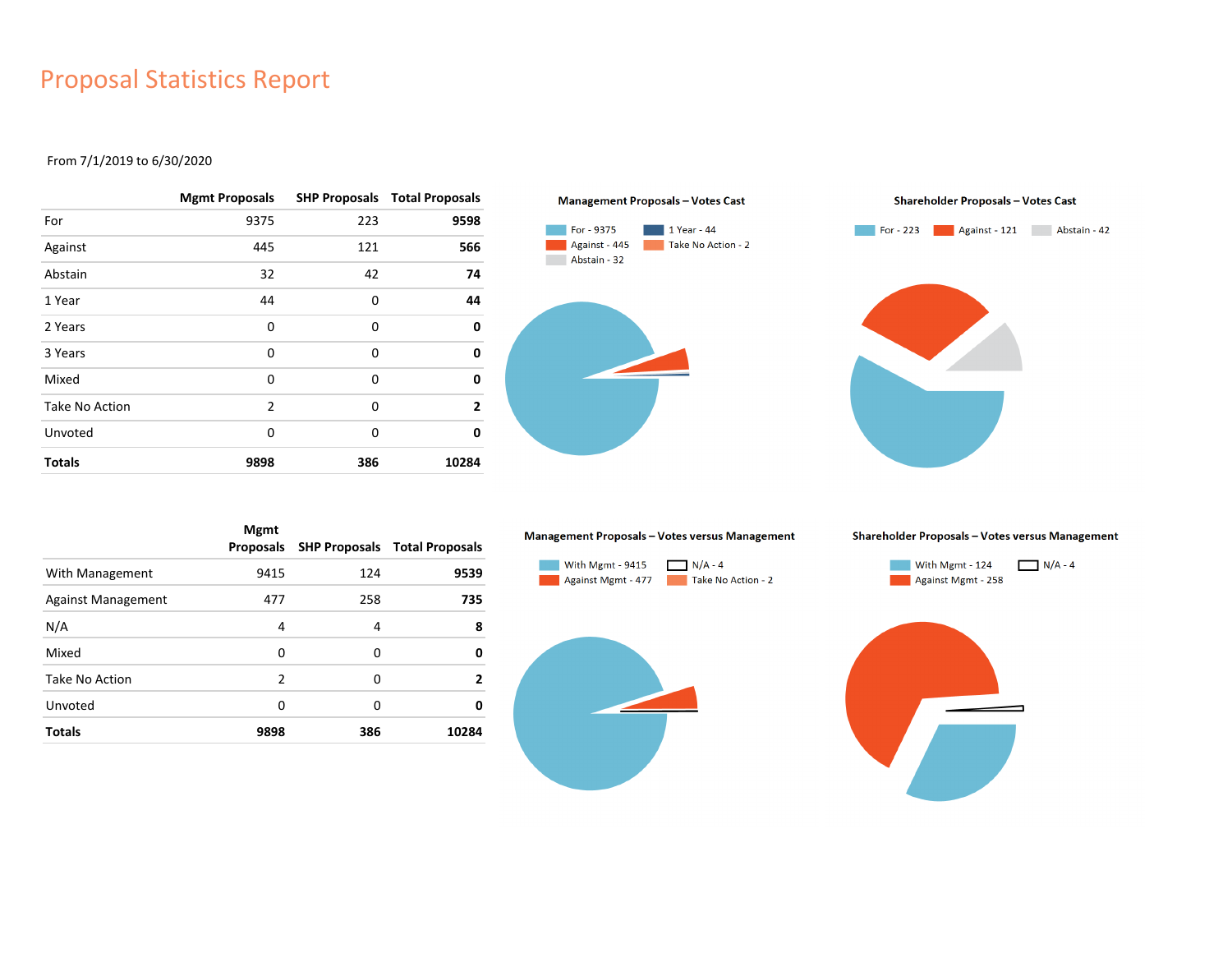### Proposal Statistics Report

### From 7/1/2019 to 6/30/2020

|                | <b>Mgmt Proposals</b> |     | <b>SHP Proposals Total Proposals</b> |
|----------------|-----------------------|-----|--------------------------------------|
| For            | 9375                  | 223 | 9598                                 |
| Against        | 445                   | 121 | 566                                  |
| Abstain        | 32                    | 42  | 74                                   |
| 1 Year         | 44                    | 0   | 44                                   |
| 2 Years        | 0                     | 0   | 0                                    |
| 3 Years        | 0                     | 0   | 0                                    |
| Mixed          | 0                     | 0   | 0                                    |
| Take No Action | $\overline{2}$        | 0   | $\overline{2}$                       |
| Unvoted        | 0                     | 0   | 0                                    |
| <b>Totals</b>  | 9898                  | 386 | 10284                                |





|                           | <b>Mgmt</b><br>Proposals |     | <b>SHP Proposals Total Proposals</b> |
|---------------------------|--------------------------|-----|--------------------------------------|
| With Management           | 9415                     | 124 | 9539                                 |
| <b>Against Management</b> | 477                      | 258 | 735                                  |
| N/A                       | 4                        | 4   | 8                                    |
| Mixed                     | 0                        | 0   | 0                                    |
| Take No Action            | $\overline{2}$           | 0   | 2                                    |
| Unvoted                   | 0                        | 0   | 0                                    |
| <b>Totals</b>             | 9898                     | 386 | 10284                                |

#### Management Proposals - Votes versus Management



Shareholder Proposals - Votes versus Management



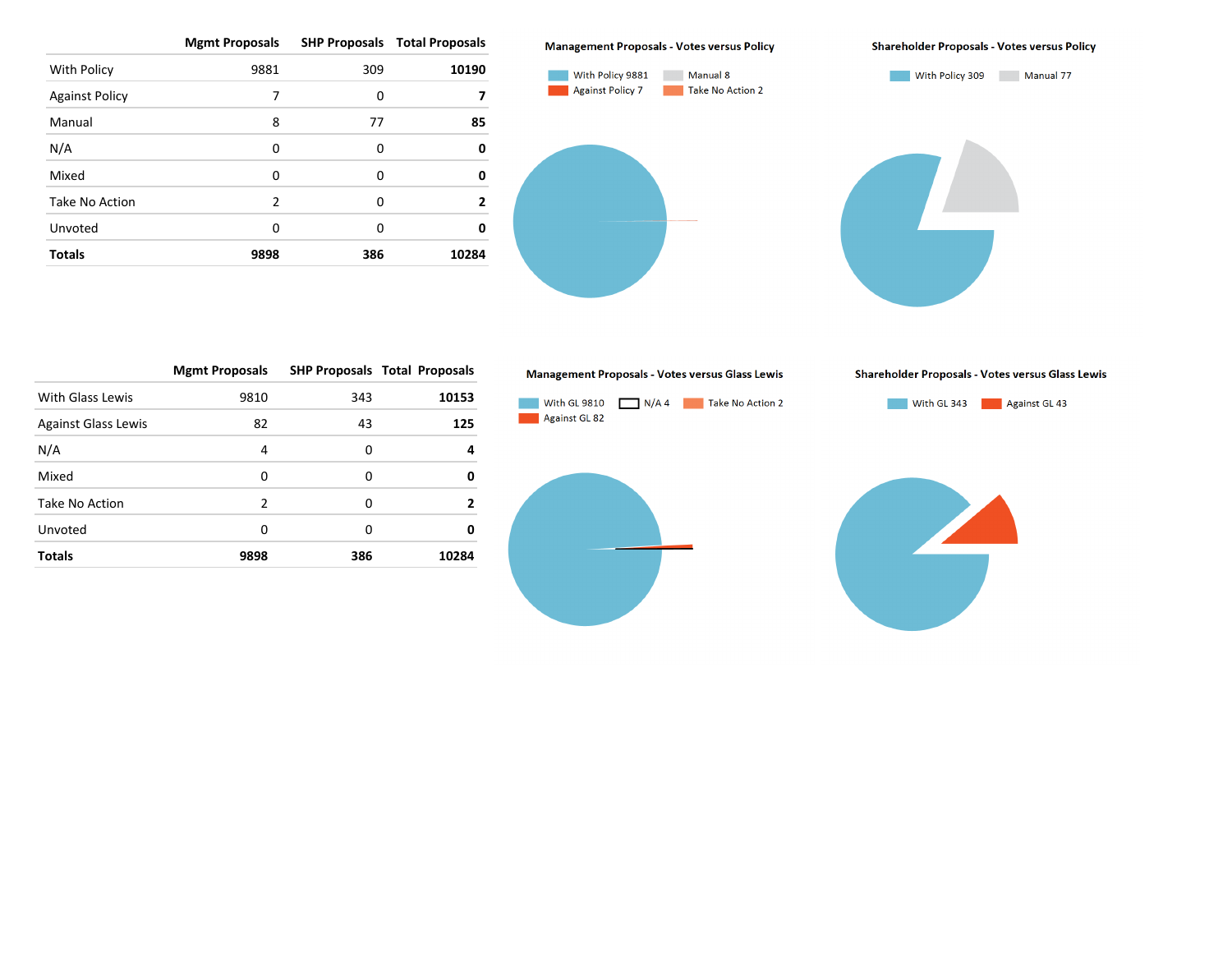|                       | <b>Mgmt Proposals</b> |     | <b>SHP Proposals Total Proposals</b> |
|-----------------------|-----------------------|-----|--------------------------------------|
| With Policy           | 9881                  | 309 | 10190                                |
| <b>Against Policy</b> | 7                     | 0   |                                      |
| Manual                | 8                     | 77  | 85                                   |
| N/A                   | 0                     | 0   | 0                                    |
| Mixed                 | 0                     | 0   | 0                                    |
| Take No Action        | $\mathfrak{p}$        | 0   | 2                                    |
| Unvoted               | 0                     | 0   | 0                                    |
| <b>Totals</b>         | 9898                  | 386 | 10284                                |

#### **Management Proposals - Votes versus Policy**



#### **Shareholder Proposals - Votes versus Policy**

Shareholder Proposals - Votes versus Glass Lewis



|                            | <b>Mgmt Proposals</b> |     | <b>SHP Proposals Total Proposals</b> |
|----------------------------|-----------------------|-----|--------------------------------------|
| With Glass Lewis           | 9810                  | 343 | 10153                                |
| <b>Against Glass Lewis</b> | 82                    | 43  | 125                                  |
| N/A                        | 4                     | 0   | 4                                    |
| Mixed                      | 0                     | 0   | 0                                    |
| Take No Action             | $\mathcal{P}$         | O   | 2                                    |
| Unvoted                    | O                     | 0   | 0                                    |
| <b>Totals</b>              | 9898                  | 386 | 10284                                |

#### Management Proposals - Votes versus Glass Lewis

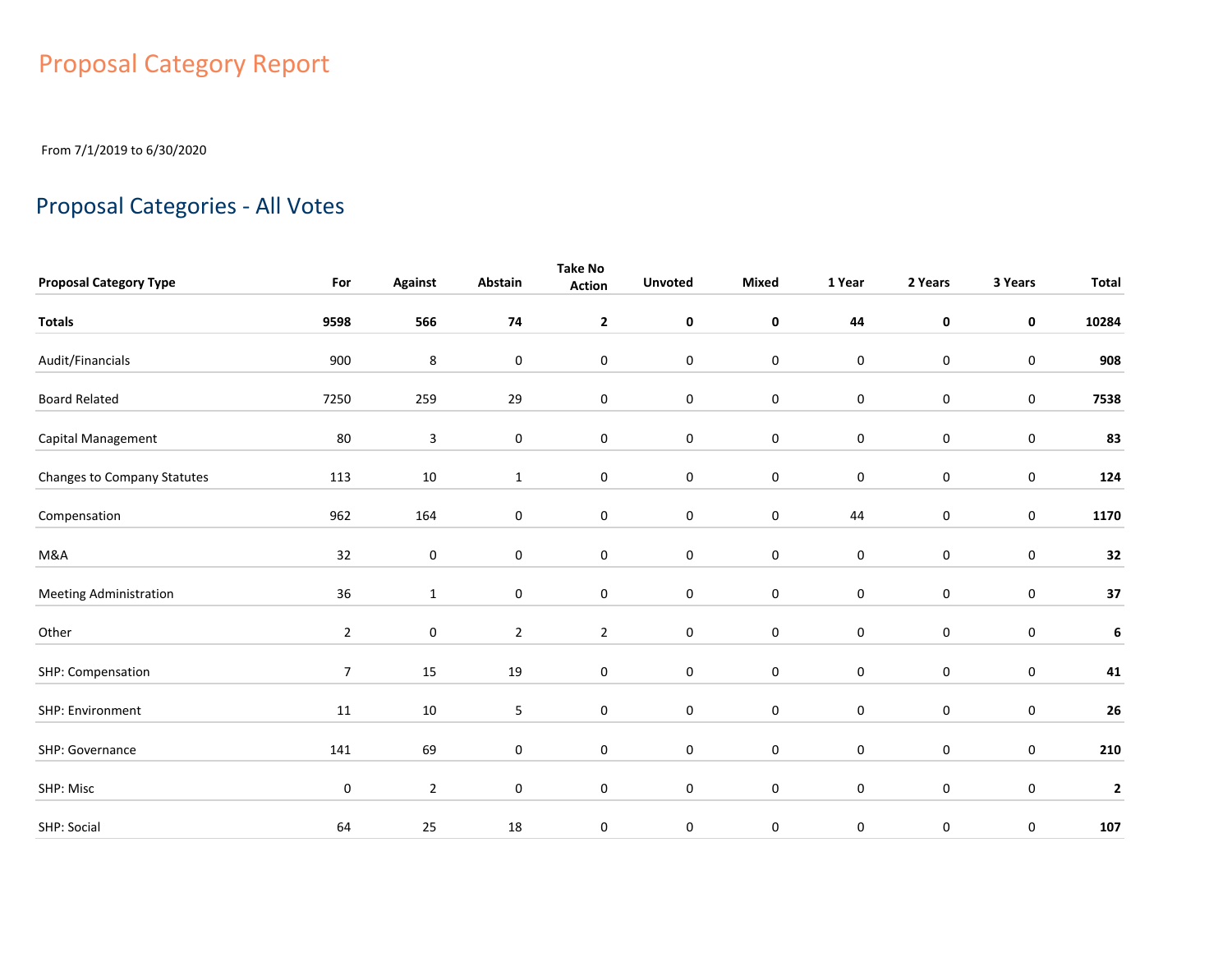# Proposal Category Report

From 7/1/2019 to 6/30/2020

# Proposal Categories - All Votes

| <b>Proposal Category Type</b> | For            | <b>Against</b>   | Abstain          | <b>Take No</b><br><b>Action</b> | <b>Unvoted</b> | Mixed            | 1 Year      | 2 Years     | 3 Years     | <b>Total</b> |
|-------------------------------|----------------|------------------|------------------|---------------------------------|----------------|------------------|-------------|-------------|-------------|--------------|
| <b>Totals</b>                 | 9598           | 566              | 74               | $\mathbf{2}$                    | $\mathbf 0$    | $\pmb{0}$        | 44          | $\pmb{0}$   | $\mathbf 0$ | 10284        |
| Audit/Financials              | 900            | 8                | 0                | 0                               | $\bf{0}$       | $\boldsymbol{0}$ | $\bf{0}$    | $\mathbf 0$ | $\pmb{0}$   | 908          |
| <b>Board Related</b>          | 7250           | 259              | 29               | $\mathbf 0$                     | $\bf{0}$       | $\pmb{0}$        | $\pmb{0}$   | $\mathbf 0$ | $\pmb{0}$   | 7538         |
| Capital Management            | 80             | $\mathsf 3$      | $\boldsymbol{0}$ | $\boldsymbol{0}$                | $\bf{0}$       | $\boldsymbol{0}$ | $\pmb{0}$   | $\mathbf 0$ | $\pmb{0}$   | 83           |
| Changes to Company Statutes   | 113            | 10               | $\mathbf{1}$     | 0                               | 0              | $\pmb{0}$        | 0           | $\mathbf 0$ | 0           | 124          |
| Compensation                  | 962            | 164              | 0                | $\pmb{0}$                       | $\pmb{0}$      | $\pmb{0}$        | 44          | $\mathbf 0$ | $\pmb{0}$   | 1170         |
| M&A                           | 32             | $\boldsymbol{0}$ | 0                | 0                               | $\mathbf 0$    | $\pmb{0}$        | $\pmb{0}$   | $\mathbf 0$ | 0           | 32           |
| <b>Meeting Administration</b> | 36             | $\mathbf{1}$     | 0                | 0                               | $\mathbf 0$    | $\pmb{0}$        | $\pmb{0}$   | $\mathbf 0$ | 0           | 37           |
| Other                         | $\overline{2}$ | $\mathbf 0$      | $\overline{2}$   | $\overline{2}$                  | $\mathbf 0$    | $\mathbf 0$      | $\mathbf 0$ | $\mathbf 0$ | 0           | 6            |
| SHP: Compensation             | $\overline{7}$ | 15               | 19               | 0                               | $\mathbf 0$    | $\pmb{0}$        | $\mathbf 0$ | $\mathbf 0$ | 0           | 41           |
| SHP: Environment              | 11             | 10               | 5                | 0                               | $\mathbf 0$    | $\pmb{0}$        | $\mathbf 0$ | $\mathbf 0$ | $\pmb{0}$   | ${\bf 26}$   |
| SHP: Governance               | 141            | 69               | 0                | $\mathbf 0$                     | $\pmb{0}$      | $\pmb{0}$        | $\pmb{0}$   | $\mathbf 0$ | $\pmb{0}$   | 210          |
| SHP: Misc                     | 0              | $\overline{2}$   | 0                | $\mathbf 0$                     | $\mathbf 0$    | $\pmb{0}$        | $\mathbf 0$ | $\mathbf 0$ | $\pmb{0}$   | $\mathbf{2}$ |
| SHP: Social                   | 64             | 25               | 18               | 0                               | 0              | 0                | 0           | 0           | 0           | 107          |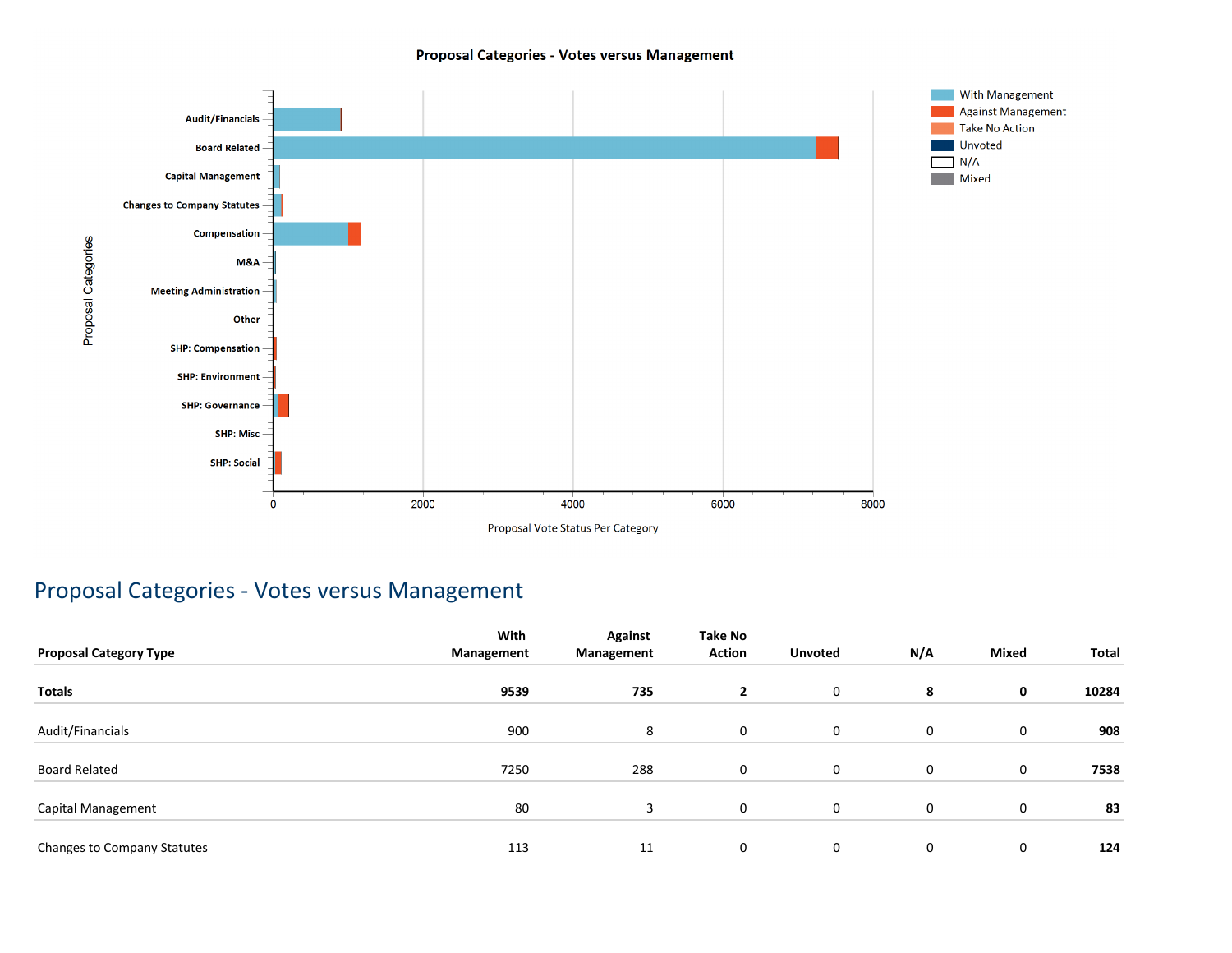### Proposal Categories - Votes versus Management



### Proposal Categories - Votes versus Management

|                               | With       | <b>Against</b> | <b>Take No</b> |                |     |              |       |
|-------------------------------|------------|----------------|----------------|----------------|-----|--------------|-------|
| <b>Proposal Category Type</b> | Management | Management     | <b>Action</b>  | <b>Unvoted</b> | N/A | <b>Mixed</b> | Total |
| Totals                        | 9539       | 735            | $\mathbf{2}$   | $\mathbf 0$    | 8   | 0            | 10284 |
| Audit/Financials              | 900        | 8              | 0              | $\mathbf 0$    | 0   | 0            | 908   |
| Board Related                 | 7250       | 288            | 0              | $\mathbf 0$    | 0   | 0            | 7538  |
| Capital Management            | 80         | 3              | 0              | $\mathbf 0$    | 0   | 0            | 83    |
| Changes to Company Statutes   | 113        | 11             | 0              | $\mathbf 0$    | 0   | 0            | 124   |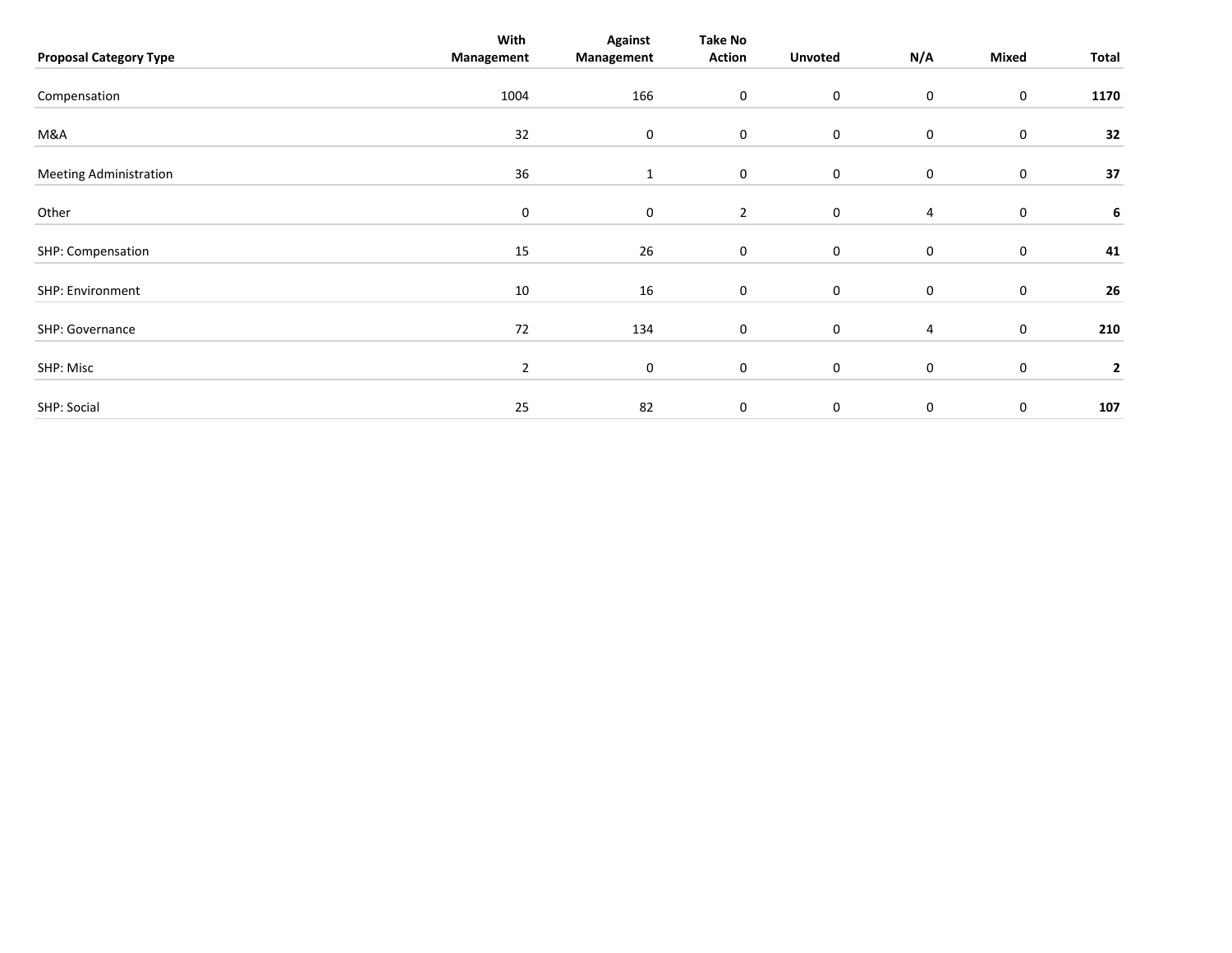| <b>Proposal Category Type</b> | With<br>Management | <b>Against</b><br>Management | <b>Take No</b><br><b>Action</b> | <b>Unvoted</b>   | N/A         | Mixed       | Total        |
|-------------------------------|--------------------|------------------------------|---------------------------------|------------------|-------------|-------------|--------------|
| Compensation                  | 1004               | 166                          | $\mathbf 0$                     | $\boldsymbol{0}$ | 0           | $\mathbf 0$ | 1170         |
| M&A                           | 32                 | 0                            | $\boldsymbol{0}$                | 0                | 0           | $\mathbf 0$ | 32           |
| <b>Meeting Administration</b> | 36                 | 1                            | $\mathbf 0$                     | $\boldsymbol{0}$ | 0           | $\mathbf 0$ | 37           |
| Other                         | 0                  | 0                            | $\overline{2}$                  | 0                | 4           | 0           | 6            |
| SHP: Compensation             | 15                 | 26                           | $\mathbf 0$                     | $\boldsymbol{0}$ | 0           | $\mathbf 0$ | 41           |
| SHP: Environment              | 10                 | 16                           | $\boldsymbol{0}$                | $\boldsymbol{0}$ | 0           | $\mathbf 0$ | 26           |
| SHP: Governance               | 72                 | 134                          | $\boldsymbol{0}$                | $\boldsymbol{0}$ | 4           | $\mathbf 0$ | 210          |
| SHP: Misc                     | $\overline{2}$     | $\mathbf 0$                  | $\mathbf 0$                     | $\boldsymbol{0}$ | 0           | $\mathbf 0$ | $\mathbf{2}$ |
| SHP: Social                   | 25                 | 82                           | 0                               | $\mathbf 0$      | $\mathbf 0$ | $\pmb{0}$   | 107          |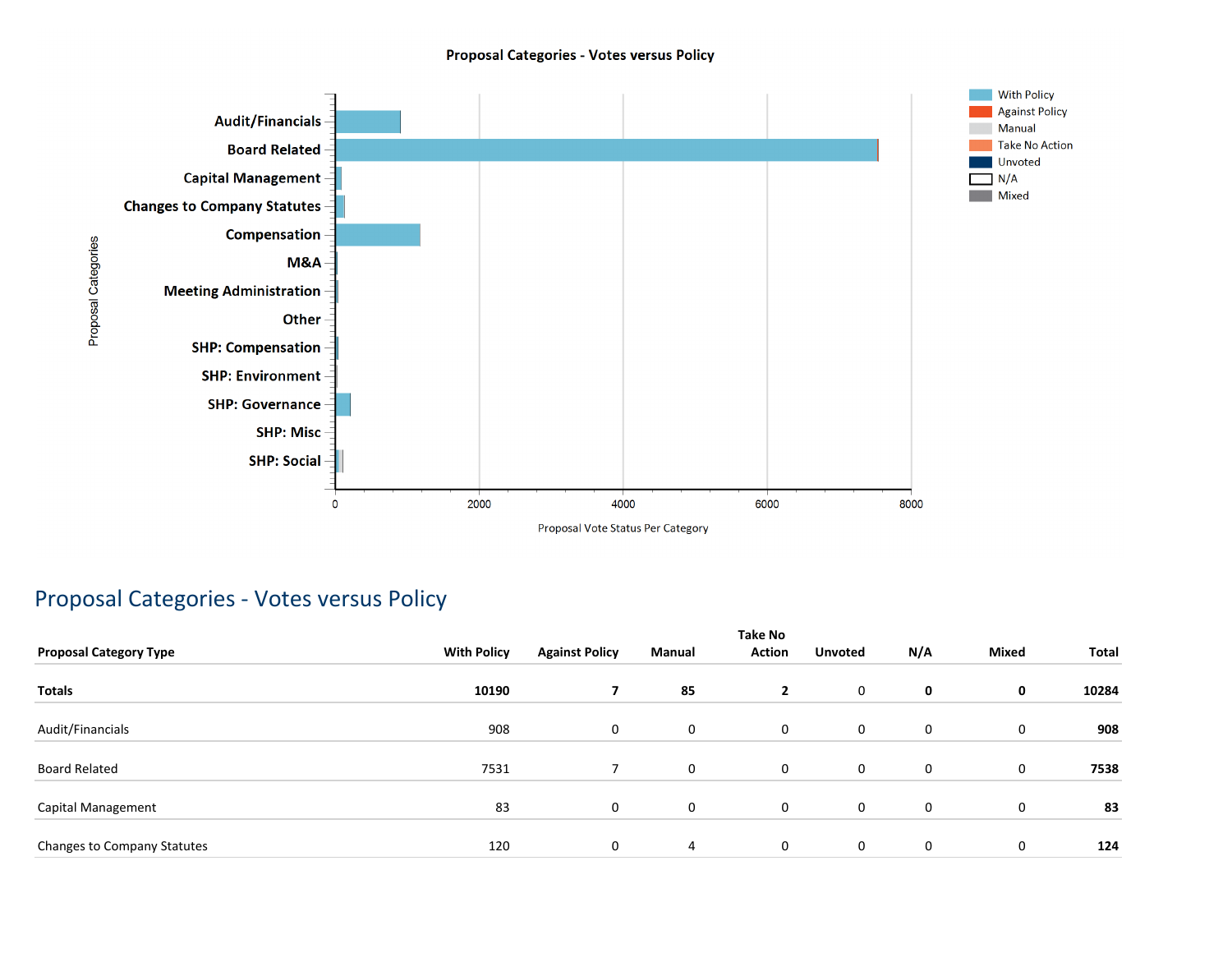### **Proposal Categories - Votes versus Policy**



### Proposal Categories - Votes versus Policy

| <b>Proposal Category Type</b> | <b>With Policy</b> | <b>Against Policy</b> | Manual      | <b>Take No</b><br><b>Action</b> | <b>Unvoted</b> | N/A | <b>Mixed</b> | Total |
|-------------------------------|--------------------|-----------------------|-------------|---------------------------------|----------------|-----|--------------|-------|
| <b>Totals</b>                 | 10190              | $\overline{ }$        | 85          | $\overline{2}$                  | 0              | 0   | 0            | 10284 |
| Audit/Financials              | 908                | 0                     | 0           | 0                               | 0              | 0   | 0            | 908   |
| <b>Board Related</b>          | 7531               |                       | $\mathbf 0$ | 0                               | 0              | 0   | 0            | 7538  |
| Capital Management            | 83                 | 0                     | 0           | 0                               | 0              | 0   | $\mathbf 0$  | 83    |
| Changes to Company Statutes   | 120                | 0                     | 4           | 0                               | 0              | 0   | $\mathbf 0$  | 124   |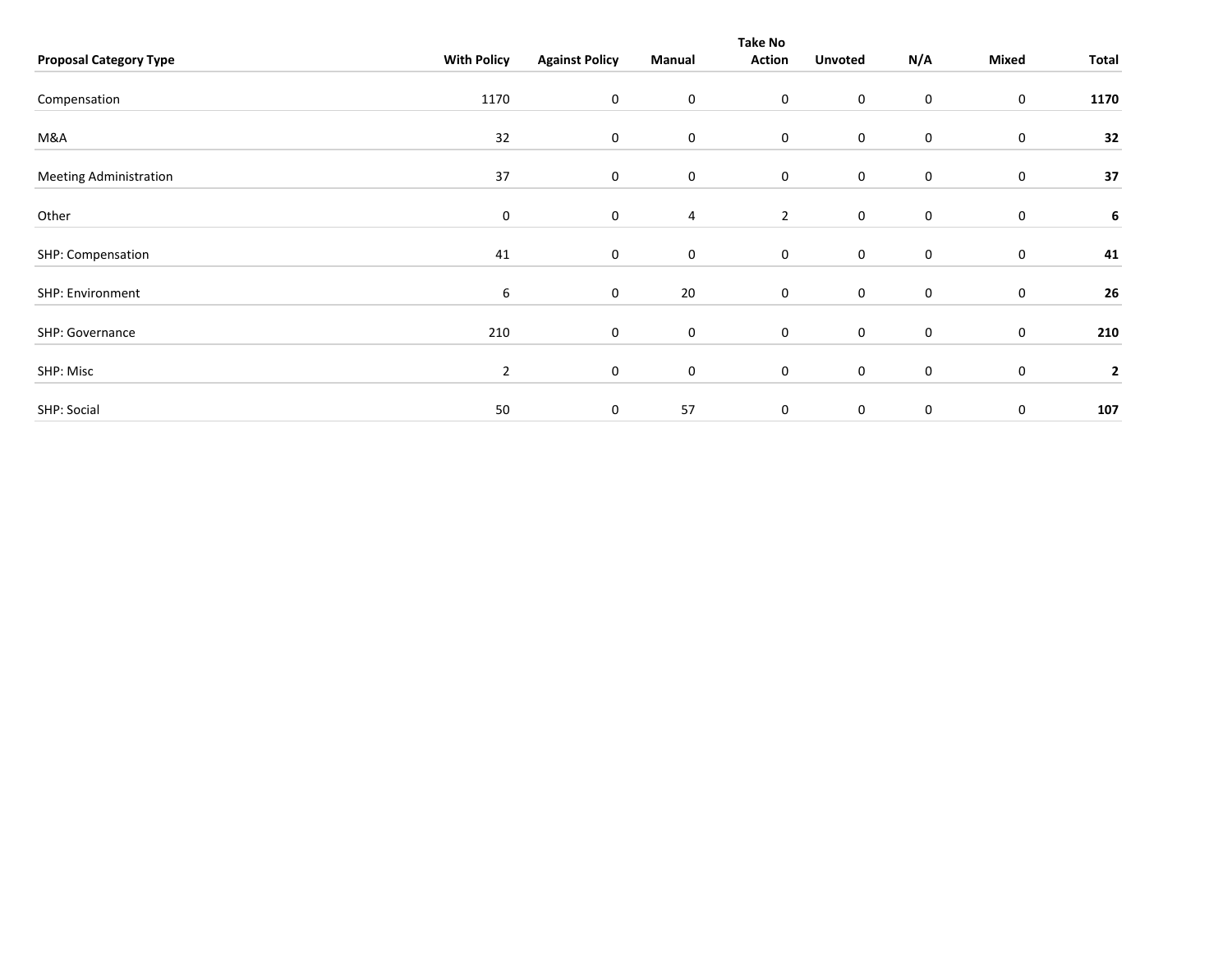|                               |                    |                       |             | <b>Take No</b>   |                  |             |                  |                         |
|-------------------------------|--------------------|-----------------------|-------------|------------------|------------------|-------------|------------------|-------------------------|
| <b>Proposal Category Type</b> | <b>With Policy</b> | <b>Against Policy</b> | Manual      | <b>Action</b>    | <b>Unvoted</b>   | N/A         | Mixed            | Total                   |
|                               |                    |                       |             |                  |                  |             |                  |                         |
| Compensation                  | 1170               | 0                     | $\mathbf 0$ | $\boldsymbol{0}$ | 0                | $\mathbf 0$ | 0                | 1170                    |
| M&A                           | 32                 | $\mathbf 0$           | $\mathbf 0$ | $\mathbf 0$      | $\boldsymbol{0}$ | $\mathbf 0$ | $\pmb{0}$        | 32                      |
|                               |                    |                       |             |                  |                  |             |                  |                         |
| <b>Meeting Administration</b> | 37                 | 0                     | 0           | $\boldsymbol{0}$ | $\pmb{0}$        | $\mathbf 0$ | 0                | 37                      |
| Other                         | 0                  | 0                     | 4           | $\overline{2}$   | $\boldsymbol{0}$ | 0           | $\pmb{0}$        | 6                       |
| SHP: Compensation             | 41                 | 0                     | $\mathbf 0$ | $\boldsymbol{0}$ | $\boldsymbol{0}$ | $\mathbf 0$ | 0                | 41                      |
| SHP: Environment              | 6                  | 0                     | 20          | $\boldsymbol{0}$ | $\mathbf 0$      | $\mathbf 0$ | $\boldsymbol{0}$ | 26                      |
| SHP: Governance               | 210                | 0                     | $\mathbf 0$ | $\boldsymbol{0}$ | $\pmb{0}$        | $\mathbf 0$ | $\boldsymbol{0}$ | 210                     |
| SHP: Misc                     | $\overline{2}$     | 0                     | 0           | $\boldsymbol{0}$ | $\boldsymbol{0}$ | $\mathbf 0$ | 0                | $\overline{\mathbf{2}}$ |
| SHP: Social                   | 50                 | $\mathbf 0$           | 57          | $\mathbf 0$      | $\pmb{0}$        | $\mathbf 0$ | 0                | 107                     |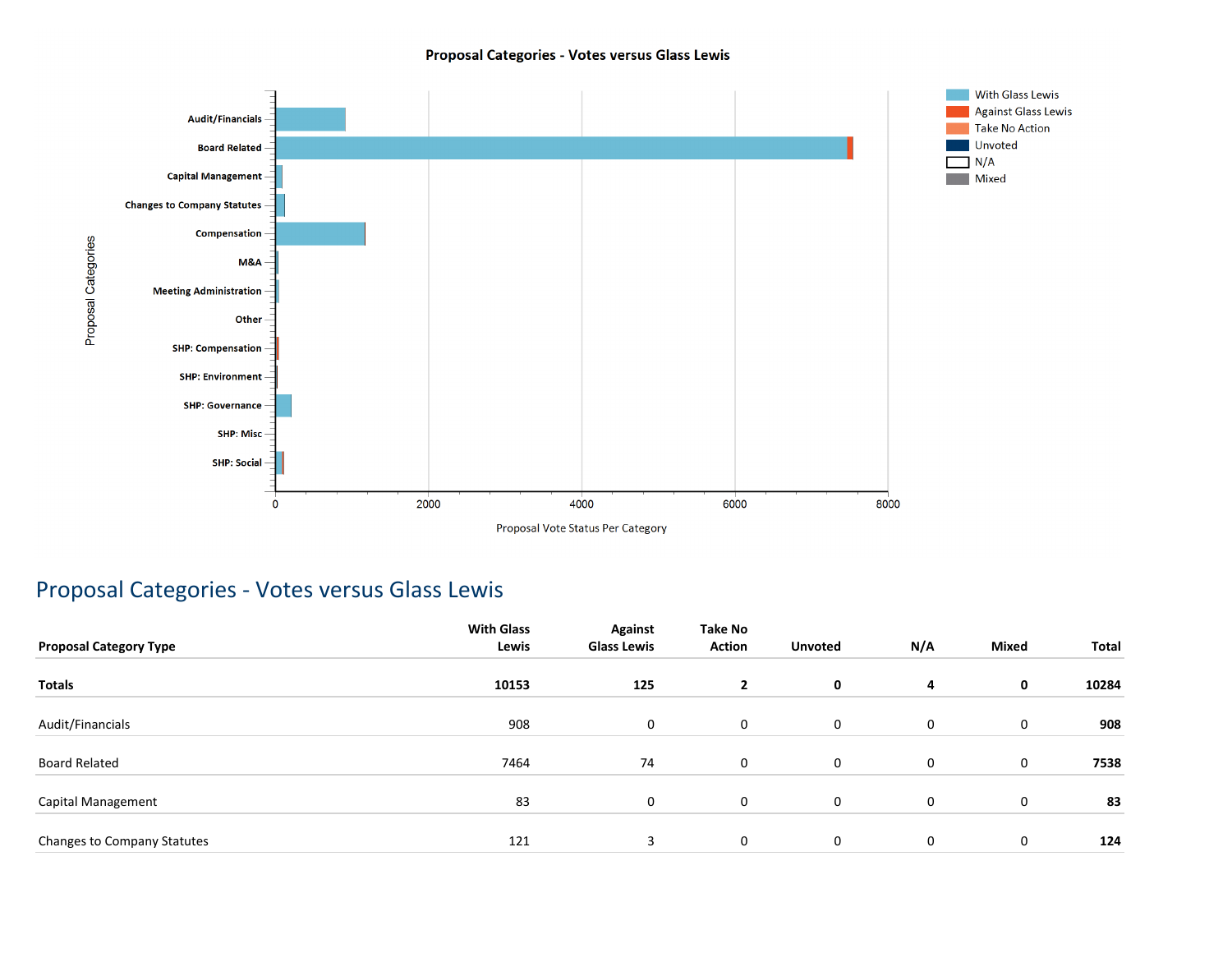### Proposal Categories - Votes versus Glass Lewis



### Proposal Categories - Votes versus Glass Lewis

| <b>Proposal Category Type</b> | <b>With Glass</b><br>Lewis | Against<br><b>Glass Lewis</b> | Take No<br><b>Action</b> | <b>Unvoted</b> | N/A | <b>Mixed</b> | Total |
|-------------------------------|----------------------------|-------------------------------|--------------------------|----------------|-----|--------------|-------|
| <b>Totals</b>                 | 10153                      | 125                           | $\mathbf{2}$             | 0              | 4   | 0            | 10284 |
| Audit/Financials              | 908                        | 0                             | 0                        | $\mathbf 0$    | 0   | 0            | 908   |
| <b>Board Related</b>          | 7464                       | 74                            | 0                        | 0              | 0   | 0            | 7538  |
| Capital Management            | 83                         | 0                             | 0                        | $\mathbf 0$    | 0   | 0            | 83    |
| Changes to Company Statutes   | 121                        | 3                             | 0                        | 0              | 0   | 0            | 124   |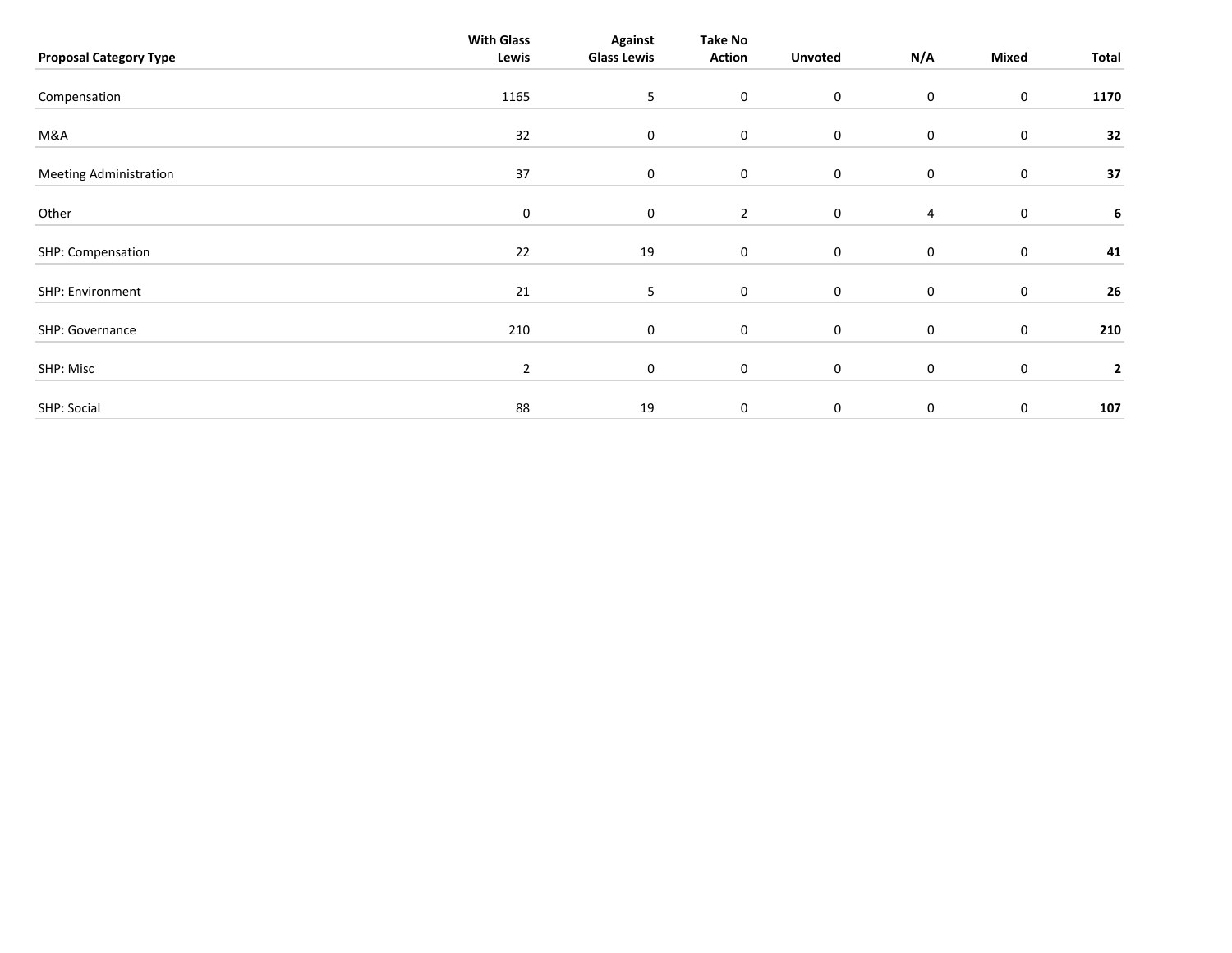| <b>Proposal Category Type</b> | <b>With Glass</b><br>Lewis | <b>Against</b><br><b>Glass Lewis</b> | <b>Take No</b><br><b>Action</b> | <b>Unvoted</b> | N/A            | Mixed     | Total        |
|-------------------------------|----------------------------|--------------------------------------|---------------------------------|----------------|----------------|-----------|--------------|
| Compensation                  | 1165                       | 5                                    | $\boldsymbol{0}$                | $\mathsf 0$    | 0              | $\pmb{0}$ | 1170         |
| M&A                           | 32                         | $\mathbf 0$                          | $\mathbf 0$                     | $\mathbf 0$    | 0              | $\pmb{0}$ | 32           |
| <b>Meeting Administration</b> | 37                         | $\mathbf 0$                          | $\mathbf 0$                     | $\mathbf 0$    | 0              | 0         | 37           |
| Other                         | $\boldsymbol{0}$           | $\mathbf 0$                          | $\overline{2}$                  | $\mathbf 0$    | $\overline{4}$ | $\pmb{0}$ | 6            |
| SHP: Compensation             | 22                         | 19                                   | $\mathbf 0$                     | $\mathsf 0$    | 0              | $\pmb{0}$ | 41           |
| SHP: Environment              | 21                         | 5                                    | $\mathbf 0$                     | $\mathsf 0$    | 0              | $\pmb{0}$ | 26           |
| SHP: Governance               | 210                        | $\mathbf 0$                          | $\mathbf 0$                     | $\mathbf 0$    | 0              | $\pmb{0}$ | 210          |
| SHP: Misc                     | $\overline{2}$             | $\mathbf 0$                          | $\mathbf 0$                     | $\mathsf 0$    | 0              | 0         | $\mathbf{2}$ |
| SHP: Social                   | 88                         | 19                                   | 0                               | $\mathbf 0$    | $\mathbf 0$    | $\pmb{0}$ | 107          |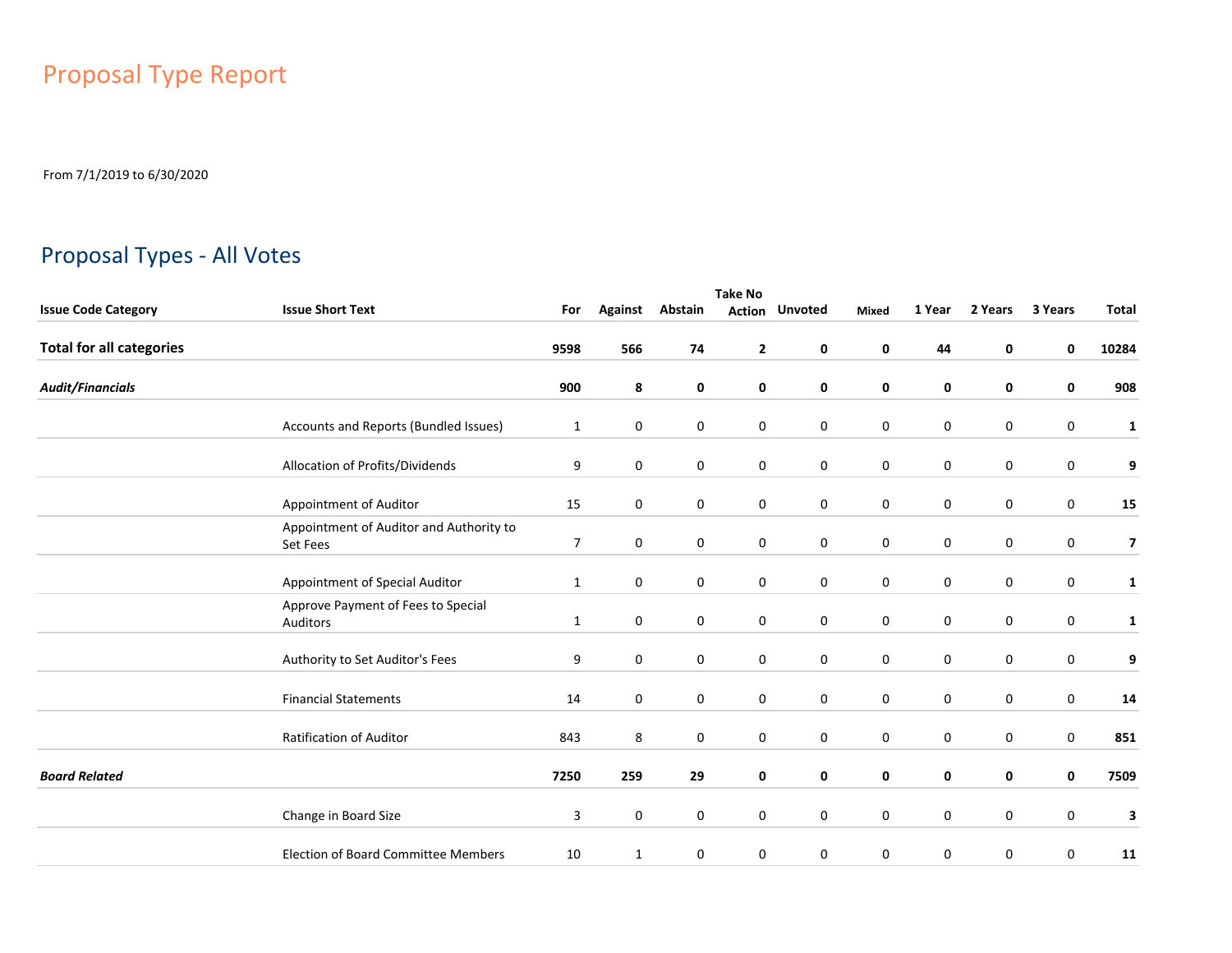# Proposal Type Report

From 7/1/2019 to 6/30/2020

## Proposal Types - All Votes

|                                 | <b>Take No</b>                                      |                |                |             |              |                       |             |             |             |                  |                         |  |
|---------------------------------|-----------------------------------------------------|----------------|----------------|-------------|--------------|-----------------------|-------------|-------------|-------------|------------------|-------------------------|--|
| <b>Issue Code Category</b>      | <b>Issue Short Text</b>                             | For            | <b>Against</b> | Abstain     |              | <b>Action Unvoted</b> | Mixed       | 1 Year      | 2 Years     | 3 Years          | <b>Total</b>            |  |
| <b>Total for all categories</b> |                                                     | 9598           | 566            | 74          | $\mathbf{2}$ | 0                     | 0           | 44          | 0           | 0                | 10284                   |  |
| <b>Audit/Financials</b>         |                                                     | 900            | 8              | 0           | 0            | 0                     | 0           | 0           | 0           | 0                | 908                     |  |
|                                 | Accounts and Reports (Bundled Issues)               | 1              | $\mathbf 0$    | $\mathbf 0$ | $\mathbf 0$  | $\mathbf 0$           | $\mathbf 0$ | $\mathbf 0$ | $\mathbf 0$ | 0                | $\mathbf{1}$            |  |
|                                 | Allocation of Profits/Dividends                     | 9              | $\mathbf 0$    | $\mathbf 0$ | $\mathbf 0$  | $\mathbf 0$           | $\mathbf 0$ | $\mathbf 0$ | $\mathbf 0$ | $\mathbf 0$      | 9                       |  |
|                                 | Appointment of Auditor                              | 15             | $\mathbf 0$    | $\mathbf 0$ | $\mathbf 0$  | $\mathbf 0$           | $\mathbf 0$ | 0           | 0           | 0                | 15                      |  |
|                                 | Appointment of Auditor and Authority to<br>Set Fees | $\overline{7}$ | $\mathbf 0$    | $\mathbf 0$ | $\mathbf 0$  | $\mathbf 0$           | $\mathbf 0$ | 0           | 0           | 0                | $\overline{\mathbf{z}}$ |  |
|                                 | Appointment of Special Auditor                      | $\mathbf{1}$   | $\mathbf 0$    | $\mathbf 0$ | $\mathbf 0$  | $\mathbf 0$           | $\mathbf 0$ | $\mathbf 0$ | $\mathbf 0$ | 0                | $\mathbf{1}$            |  |
|                                 | Approve Payment of Fees to Special<br>Auditors      | $\mathbf{1}$   | $\mathbf 0$    | $\mathbf 0$ | $\mathbf 0$  | $\mathbf 0$           | $\mathbf 0$ | $\mathbf 0$ | $\mathbf 0$ | 0                | $\mathbf{1}$            |  |
|                                 | Authority to Set Auditor's Fees                     | 9              | $\mathbf 0$    | $\mathbf 0$ | $\mathbf 0$  | $\mathbf 0$           | $\mathbf 0$ | $\pmb{0}$   | $\mathbf 0$ | 0                | 9                       |  |
|                                 | <b>Financial Statements</b>                         | 14             | 0              | 0           | 0            | $\mathbf 0$           | 0           | 0           | 0           | 0                | 14                      |  |
|                                 | Ratification of Auditor                             | 843            | 8              | 0           | 0            | $\mathbf 0$           | $\mathbf 0$ | 0           | 0           | $\boldsymbol{0}$ | 851                     |  |
| <b>Board Related</b>            |                                                     | 7250           | 259            | 29          | 0            | 0                     | 0           | 0           | 0           | $\mathbf 0$      | 7509                    |  |
|                                 | Change in Board Size                                | 3              | $\mathbf 0$    | $\mathbf 0$ | $\mathbf 0$  | $\mathbf 0$           | $\mathbf 0$ | $\mathbf 0$ | $\mathbf 0$ | 0                | 3                       |  |
|                                 | <b>Election of Board Committee Members</b>          | 10             | $\mathbf{1}$   | 0           | 0            | 0                     | 0           | 0           | 0           | 0                | 11                      |  |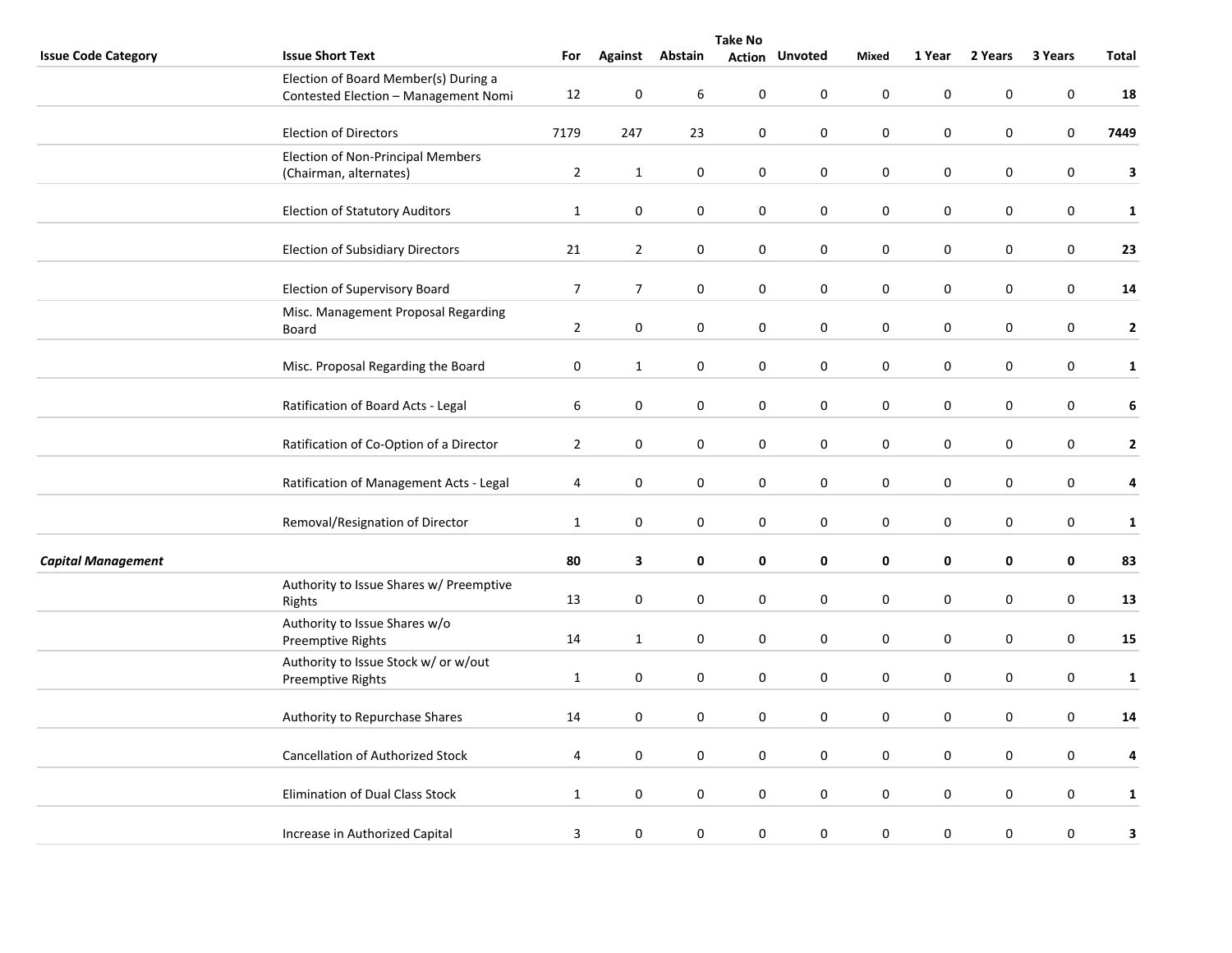|                            | <b>Take No</b>                                                               |                |                  |                  |               |                  |             |                  |             |                  |              |  |
|----------------------------|------------------------------------------------------------------------------|----------------|------------------|------------------|---------------|------------------|-------------|------------------|-------------|------------------|--------------|--|
| <b>Issue Code Category</b> | <b>Issue Short Text</b>                                                      | For            | Against          | Abstain          | <b>Action</b> | <b>Unvoted</b>   | Mixed       | 1 Year           | 2 Years     | 3 Years          | Total        |  |
|                            | Election of Board Member(s) During a<br>Contested Election - Management Nomi | 12             | 0                | 6                | 0             | $\boldsymbol{0}$ | $\bf{0}$    | $\mathbf 0$      | 0           | 0                | 18           |  |
|                            | <b>Election of Directors</b>                                                 | 7179           | 247              | 23               | 0             | $\pmb{0}$        | $\pmb{0}$   | $\pmb{0}$        | 0           | $\boldsymbol{0}$ | 7449         |  |
|                            | <b>Election of Non-Principal Members</b><br>(Chairman, alternates)           | $\overline{2}$ | $\mathbf{1}$     | $\mathbf 0$      | 0             | $\mathsf 0$      | $\mathbf 0$ | $\mathbf 0$      | $\mathbf 0$ | $\boldsymbol{0}$ | 3            |  |
|                            | <b>Election of Statutory Auditors</b>                                        | $\mathbf{1}$   | $\pmb{0}$        | $\mathbf 0$      | 0             | 0                | $\pmb{0}$   | $\mathbf 0$      | 0           | $\pmb{0}$        | $\mathbf{1}$ |  |
|                            | <b>Election of Subsidiary Directors</b>                                      | 21             | $\overline{2}$   | $\boldsymbol{0}$ | $\pmb{0}$     | $\pmb{0}$        | $\pmb{0}$   | $\pmb{0}$        | $\pmb{0}$   | $\boldsymbol{0}$ | 23           |  |
|                            | <b>Election of Supervisory Board</b>                                         | $\overline{7}$ | $\overline{7}$   | $\mathbf 0$      | 0             | 0                | 0           | 0                | 0           | 0                | 14           |  |
|                            | Misc. Management Proposal Regarding<br>Board                                 | $\overline{2}$ | $\boldsymbol{0}$ | $\mathbf 0$      | $\pmb{0}$     | $\mathsf 0$      | $\pmb{0}$   | $\pmb{0}$        | $\pmb{0}$   | $\boldsymbol{0}$ | $\mathbf{2}$ |  |
|                            | Misc. Proposal Regarding the Board                                           | $\mathbf 0$    | $\mathbf{1}$     | $\mathbf 0$      | $\mathbf 0$   | 0                | $\mathbf 0$ | $\mathbf 0$      | 0           | 0                | $\mathbf{1}$ |  |
|                            | Ratification of Board Acts - Legal                                           | 6              | $\boldsymbol{0}$ | 0                | 0             | 0                | $\bf{0}$    | $\mathbf 0$      | 0           | 0                | 6            |  |
|                            | Ratification of Co-Option of a Director                                      | $\overline{2}$ | $\pmb{0}$        | $\boldsymbol{0}$ | $\pmb{0}$     | $\mathbf 0$      | $\pmb{0}$   | $\pmb{0}$        | $\pmb{0}$   | $\boldsymbol{0}$ | $\mathbf{2}$ |  |
|                            | Ratification of Management Acts - Legal                                      | 4              | 0                | $\mathbf 0$      | 0             | 0                | 0           | 0                | 0           | 0                | 4            |  |
|                            | Removal/Resignation of Director                                              | $\mathbf{1}$   | 0                | 0                | 0             | 0                | $\bf{0}$    | 0                | 0           | 0                | $\mathbf 1$  |  |
| <b>Capital Management</b>  |                                                                              | 80             | 3                | 0                | 0             | 0                | $\pmb{0}$   | $\pmb{0}$        | $\pmb{0}$   | $\pmb{0}$        | 83           |  |
|                            | Authority to Issue Shares w/ Preemptive<br>Rights                            | 13             | 0                | 0                | 0             | $\mathbf 0$      | 0           | $\pmb{0}$        | 0           | 0                | 13           |  |
|                            | Authority to Issue Shares w/o<br>Preemptive Rights                           | 14             | $\mathbf{1}$     | $\mathbf 0$      | $\mathbf 0$   | 0                | $\mathbf 0$ | $\mathbf 0$      | $\mathbf 0$ | 0                | 15           |  |
|                            | Authority to Issue Stock w/ or w/out<br>Preemptive Rights                    | $\mathbf{1}$   | 0                | 0                | 0             | 0                | $\pmb{0}$   | $\boldsymbol{0}$ | 0           | 0                | $\mathbf 1$  |  |
|                            | Authority to Repurchase Shares                                               | 14             | 0                | $\mathbf 0$      | 0             | 0                | 0           | $\pmb{0}$        | $\pmb{0}$   | 0                | 14           |  |
|                            | <b>Cancellation of Authorized Stock</b>                                      | 4              | 0                | $\mathbf 0$      | 0             | 0                | $\bf{0}$    | $\bf{0}$         | 0           | 0                | 4            |  |
|                            | Elimination of Dual Class Stock                                              | $\mathbf{1}$   | $\mathbf 0$      | 0                | 0             | 0                | $\bf{0}$    | $\bf{0}$         | 0           | 0                | $\mathbf{1}$ |  |
|                            | Increase in Authorized Capital                                               | 3              | 0                | 0                | $\pmb{0}$     | $\boldsymbol{0}$ | $\bf{0}$    | $\pmb{0}$        | 0           | 0                | 3            |  |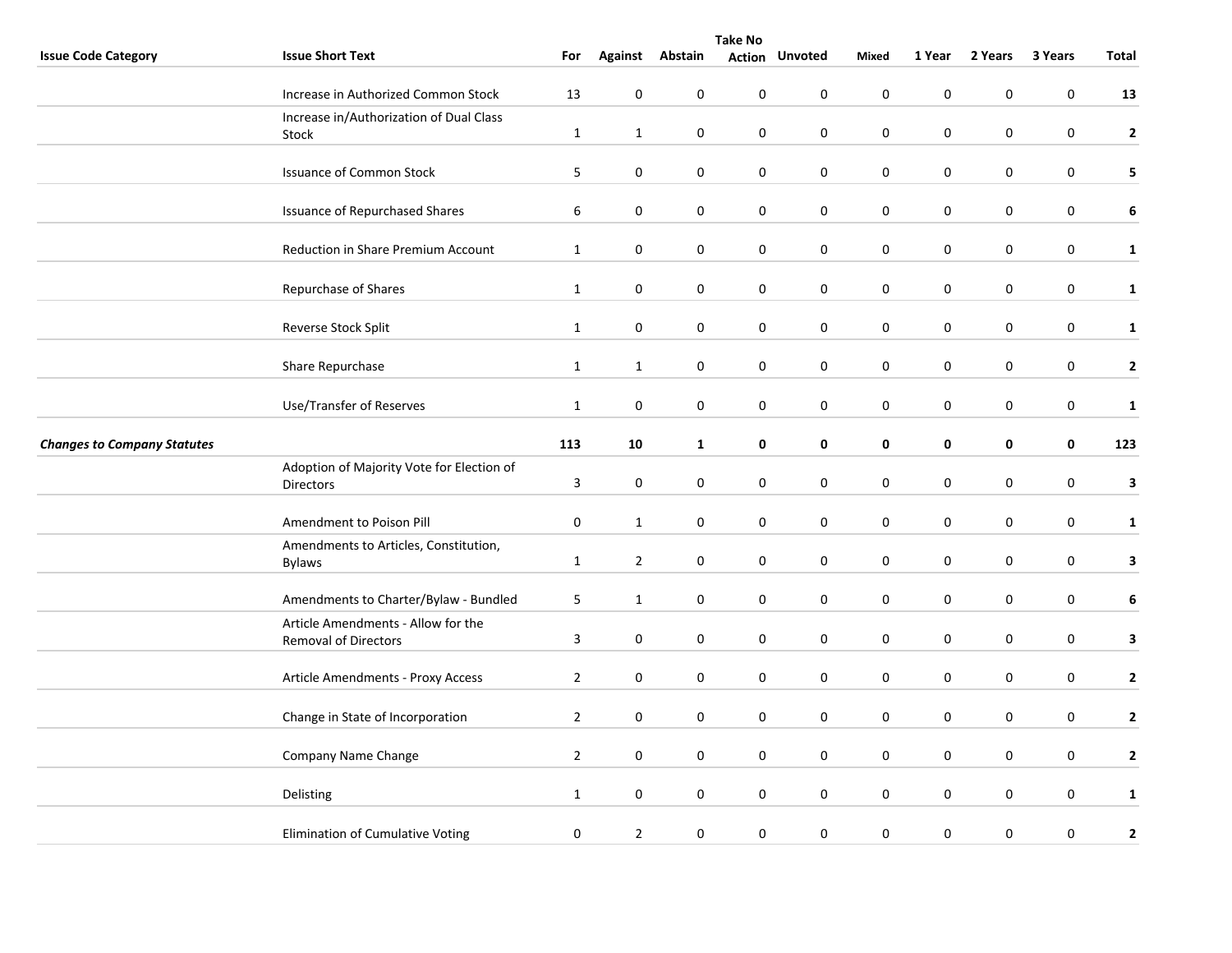|                                    | <b>Take No</b>                                                |                |                  |                  |                  |                       |             |                  |                  |                  |              |  |  |
|------------------------------------|---------------------------------------------------------------|----------------|------------------|------------------|------------------|-----------------------|-------------|------------------|------------------|------------------|--------------|--|--|
| <b>Issue Code Category</b>         | <b>Issue Short Text</b>                                       | For            |                  | Against Abstain  |                  | <b>Action Unvoted</b> | Mixed       | 1 Year           | 2 Years          | 3 Years          | Total        |  |  |
|                                    | Increase in Authorized Common Stock                           | 13             | $\mathbf 0$      | $\mathbf 0$      | $\pmb{0}$        | 0                     | $\mathbf 0$ | $\pmb{0}$        | $\mathbf 0$      | 0                | 13           |  |  |
|                                    | Increase in/Authorization of Dual Class<br>Stock              | $\mathbf{1}$   | $\mathbf{1}$     | $\boldsymbol{0}$ | 0                | $\pmb{0}$             | $\pmb{0}$   | $\pmb{0}$        | $\pmb{0}$        | $\pmb{0}$        | $\mathbf{2}$ |  |  |
|                                    | <b>Issuance of Common Stock</b>                               | 5              | $\pmb{0}$        | $\boldsymbol{0}$ | $\pmb{0}$        | $\pmb{0}$             | $\pmb{0}$   | $\pmb{0}$        | $\mathbf 0$      | $\boldsymbol{0}$ | 5            |  |  |
|                                    | <b>Issuance of Repurchased Shares</b>                         | 6              | $\pmb{0}$        | $\boldsymbol{0}$ | $\pmb{0}$        | $\pmb{0}$             | $\pmb{0}$   | $\pmb{0}$        | $\mathbf 0$      | $\boldsymbol{0}$ | 6            |  |  |
|                                    | Reduction in Share Premium Account                            | $\mathbf{1}$   | 0                | 0                | 0                | 0                     | $\mathbf 0$ | $\mathbf 0$      | $\mathbf 0$      | 0                | $\mathbf 1$  |  |  |
|                                    | Repurchase of Shares                                          | $\mathbf{1}$   | 0                | 0                | 0                | 0                     | 0           | 0                | 0                | 0                | $\mathbf{1}$ |  |  |
|                                    | Reverse Stock Split                                           | $\mathbf{1}$   | 0                | 0                | 0                | 0                     | $\pmb{0}$   | $\mathbf 0$      | 0                | 0                | $\mathbf{1}$ |  |  |
|                                    | Share Repurchase                                              | $\mathbf{1}$   | $\mathbf{1}$     | $\boldsymbol{0}$ | $\pmb{0}$        | $\pmb{0}$             | $\pmb{0}$   | $\pmb{0}$        | $\mathbf 0$      | $\boldsymbol{0}$ | $\mathbf{2}$ |  |  |
|                                    | Use/Transfer of Reserves                                      | $\mathbf{1}$   | $\mathbf 0$      | 0                | 0                | 0                     | $\pmb{0}$   | $\mathbf 0$      | 0                | 0                | $\mathbf{1}$ |  |  |
| <b>Changes to Company Statutes</b> |                                                               | 113            | 10               | $\mathbf{1}$     | 0                | 0                     | 0           | $\mathbf 0$      | 0                | $\pmb{0}$        | 123          |  |  |
|                                    | Adoption of Majority Vote for Election of<br><b>Directors</b> | 3              | 0                | $\boldsymbol{0}$ | $\pmb{0}$        | $\boldsymbol{0}$      | $\pmb{0}$   | $\pmb{0}$        | 0                | $\boldsymbol{0}$ | $\mathbf{3}$ |  |  |
|                                    | Amendment to Poison Pill                                      | 0              | $\mathbf{1}$     | 0                | 0                | $\pmb{0}$             | $\pmb{0}$   | $\pmb{0}$        | $\mathbf 0$      | 0                | $\mathbf{1}$ |  |  |
|                                    | Amendments to Articles, Constitution,<br><b>Bylaws</b>        | $\mathbf{1}$   | $\overline{2}$   | $\mathbf 0$      | $\mathbf 0$      | $\mathbf 0$           | $\mathbf 0$ | $\bf{0}$         | $\mathbf 0$      | 0                | 3            |  |  |
|                                    | Amendments to Charter/Bylaw - Bundled                         | 5              | $\mathbf{1}$     | $\pmb{0}$        | $\pmb{0}$        | $\pmb{0}$             | $\pmb{0}$   | $\pmb{0}$        | $\mathbf 0$      | $\pmb{0}$        | 6            |  |  |
|                                    | Article Amendments - Allow for the<br>Removal of Directors    | $\mathbf{3}$   | 0                | 0                | 0                | 0                     | $\bf{0}$    | $\mathbf 0$      | 0                | 0                | $\mathbf{3}$ |  |  |
|                                    | Article Amendments - Proxy Access                             | $\overline{2}$ | $\pmb{0}$        | $\boldsymbol{0}$ | $\pmb{0}$        | $\boldsymbol{0}$      | $\pmb{0}$   | $\pmb{0}$        | $\pmb{0}$        | $\boldsymbol{0}$ | $\mathbf{2}$ |  |  |
|                                    | Change in State of Incorporation                              | $\overline{2}$ | $\boldsymbol{0}$ | $\mathbf 0$      | $\mathbf 0$      | $\mathsf 0$           | $\pmb{0}$   | $\boldsymbol{0}$ | $\boldsymbol{0}$ | 0                | $\mathbf{2}$ |  |  |
|                                    | Company Name Change                                           | $\overline{2}$ | $\mathbf 0$      | $\mathbf 0$      | $\mathbf 0$      | $\mathbf 0$           | $\mathbf 0$ | $\pmb{0}$        | $\mathbf 0$      | 0                | $\mathbf{2}$ |  |  |
|                                    | Delisting                                                     | $\mathbf{1}$   | $\boldsymbol{0}$ | 0                | 0                | $\boldsymbol{0}$      | $\bf{0}$    | $\pmb{0}$        | $\mathbf 0$      | 0                | $\mathbf{1}$ |  |  |
|                                    | Elimination of Cumulative Voting                              | $\pmb{0}$      | $\overline{2}$   | $\boldsymbol{0}$ | $\boldsymbol{0}$ | $\boldsymbol{0}$      | $\pmb{0}$   | $\pmb{0}$        | 0                | 0                | $\mathbf{2}$ |  |  |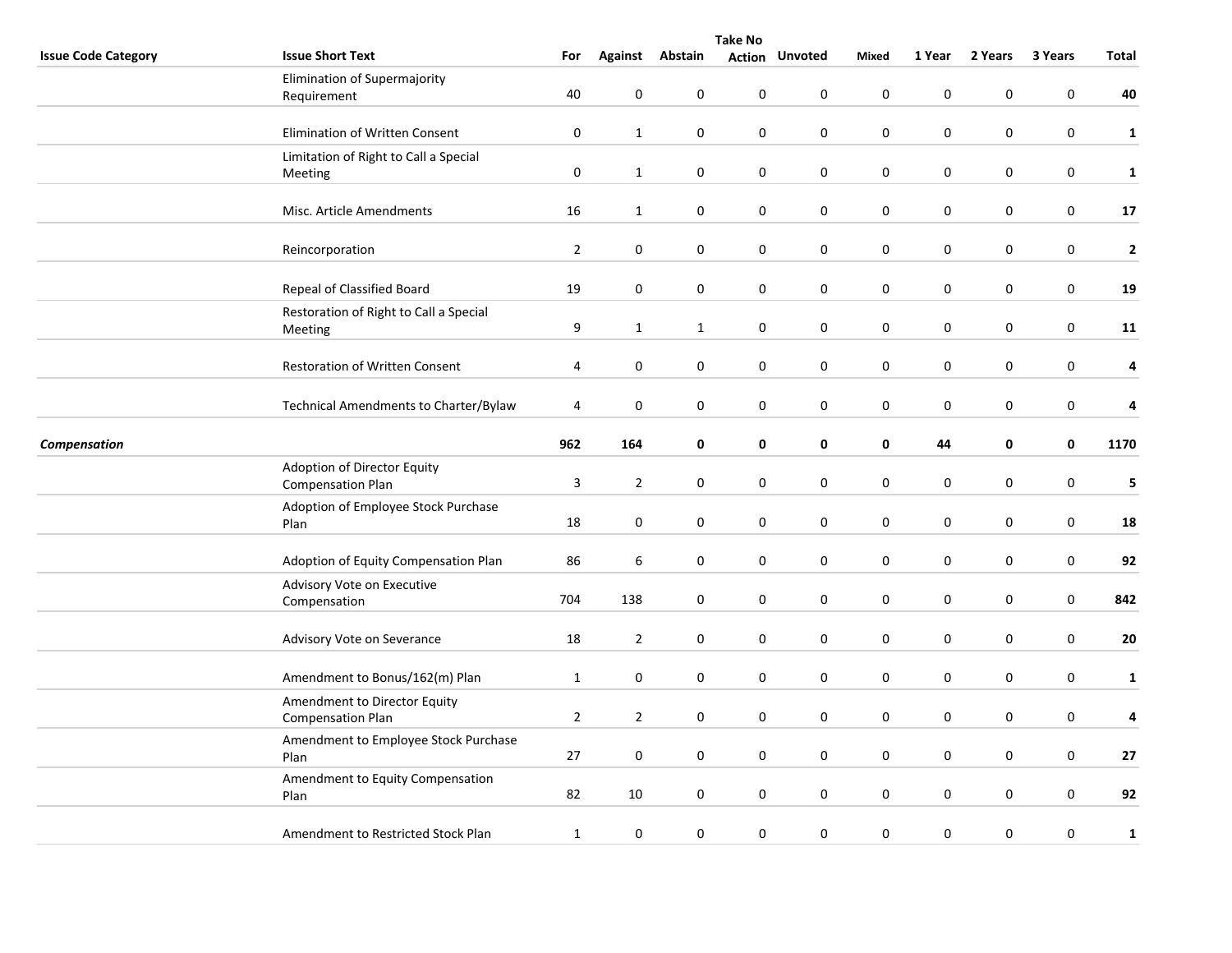|                            | <b>Take No</b>                                           |                |                  |                  |                  |                       |                  |                  |                  |                  |              |  |  |
|----------------------------|----------------------------------------------------------|----------------|------------------|------------------|------------------|-----------------------|------------------|------------------|------------------|------------------|--------------|--|--|
| <b>Issue Code Category</b> | <b>Issue Short Text</b>                                  | For            |                  | Against Abstain  |                  | <b>Action Unvoted</b> | Mixed            | 1 Year           | 2 Years          | 3 Years          | Total        |  |  |
|                            | Elimination of Supermajority<br>Requirement              | 40             | $\mathbf 0$      | 0                | $\pmb{0}$        | 0                     | $\mathbf 0$      | $\pmb{0}$        | 0                | 0                | 40           |  |  |
|                            |                                                          |                |                  |                  |                  |                       |                  |                  |                  |                  |              |  |  |
|                            | Elimination of Written Consent                           | $\pmb{0}$      | $\mathbf{1}$     | 0                | $\pmb{0}$        | $\boldsymbol{0}$      | $\pmb{0}$        | $\pmb{0}$        | 0                | $\pmb{0}$        | $\mathbf 1$  |  |  |
|                            | Limitation of Right to Call a Special<br>Meeting         | $\pmb{0}$      | $\mathbf{1}$     | $\pmb{0}$        | 0                | $\pmb{0}$             | $\bf{0}$         | $\pmb{0}$        | 0                | 0                | $\mathbf{1}$ |  |  |
|                            | Misc. Article Amendments                                 | 16             | $\mathbf{1}$     | 0                | $\pmb{0}$        | $\pmb{0}$             | $\pmb{0}$        | $\pmb{0}$        | 0                | $\boldsymbol{0}$ | $17\,$       |  |  |
|                            | Reincorporation                                          | $\overline{2}$ | $\pmb{0}$        | 0                | 0                | 0                     | $\bf{0}$         | $\mathbf 0$      | 0                | 0                | $\mathbf 2$  |  |  |
|                            | Repeal of Classified Board                               | 19             | $\pmb{0}$        | 0                | 0                | 0                     | 0                | $\boldsymbol{0}$ | 0                | 0                | 19           |  |  |
|                            | Restoration of Right to Call a Special<br>Meeting        | 9              | $\mathbf{1}$     | $\mathbf{1}$     | $\pmb{0}$        | 0                     | $\bf{0}$         | $\boldsymbol{0}$ | 0                | $\boldsymbol{0}$ | 11           |  |  |
|                            | Restoration of Written Consent                           | 4              | $\pmb{0}$        | $\pmb{0}$        | $\boldsymbol{0}$ | $\pmb{0}$             | $\pmb{0}$        | $\pmb{0}$        | $\pmb{0}$        | $\boldsymbol{0}$ | 4            |  |  |
|                            | Technical Amendments to Charter/Bylaw                    | $\overline{4}$ | $\mathbf 0$      | 0                | 0                | 0                     | $\bf{0}$         | $\boldsymbol{0}$ | 0                | 0                | 4            |  |  |
| Compensation               |                                                          | 962            | 164              | 0                | 0                | 0                     | $\mathbf 0$      | 44               | 0                | $\pmb{0}$        | 1170         |  |  |
|                            | Adoption of Director Equity<br><b>Compensation Plan</b>  | 3              | $\overline{2}$   | $\pmb{0}$        | 0                | 0                     | $\boldsymbol{0}$ | $\pmb{0}$        | 0                | $\boldsymbol{0}$ | 5            |  |  |
|                            | Adoption of Employee Stock Purchase<br>Plan              | 18             | $\pmb{0}$        | $\pmb{0}$        | 0                | $\mathsf 0$           | $\pmb{0}$        | $\pmb{0}$        | 0                | $\boldsymbol{0}$ | 18           |  |  |
|                            | Adoption of Equity Compensation Plan                     | 86             | 6                | 0                | 0                | 0                     | $\bf{0}$         | $\boldsymbol{0}$ | 0                | 0                | 92           |  |  |
|                            | Advisory Vote on Executive<br>Compensation               | 704            | 138              | $\boldsymbol{0}$ | $\pmb{0}$        | 0                     | $\pmb{0}$        | $\pmb{0}$        | 0                | $\pmb{0}$        | 842          |  |  |
|                            | Advisory Vote on Severance                               | 18             | $\overline{2}$   | 0                | 0                | 0                     | $\bf{0}$         | $\boldsymbol{0}$ | 0                | $\boldsymbol{0}$ | 20           |  |  |
|                            | Amendment to Bonus/162(m) Plan                           | $\mathbf{1}$   | $\pmb{0}$        | 0                | $\boldsymbol{0}$ | 0                     | $\pmb{0}$        | $\pmb{0}$        | 0                | $\boldsymbol{0}$ | $\mathbf{1}$ |  |  |
|                            | Amendment to Director Equity<br><b>Compensation Plan</b> | $\overline{2}$ | $\overline{2}$   | $\mathbf 0$      | $\boldsymbol{0}$ | 0                     | $\pmb{0}$        | $\pmb{0}$        | $\boldsymbol{0}$ | $\boldsymbol{0}$ | 4            |  |  |
|                            | Amendment to Employee Stock Purchase<br>Plan             | 27             | $\mathbf 0$      | 0                | $\pmb{0}$        | $\mathbf 0$           | $\mathbf 0$      | $\pmb{0}$        | 0                | $\pmb{0}$        | 27           |  |  |
|                            | Amendment to Equity Compensation<br>Plan                 | 82             | 10               | 0                | $\pmb{0}$        | $\boldsymbol{0}$      | $\pmb{0}$        | $\pmb{0}$        | 0                | $\boldsymbol{0}$ | 92           |  |  |
|                            | Amendment to Restricted Stock Plan                       | $\mathbf{1}$   | $\boldsymbol{0}$ | $\pmb{0}$        | $\boldsymbol{0}$ | 0                     | $\pmb{0}$        | $\pmb{0}$        | 0                | 0                | 1            |  |  |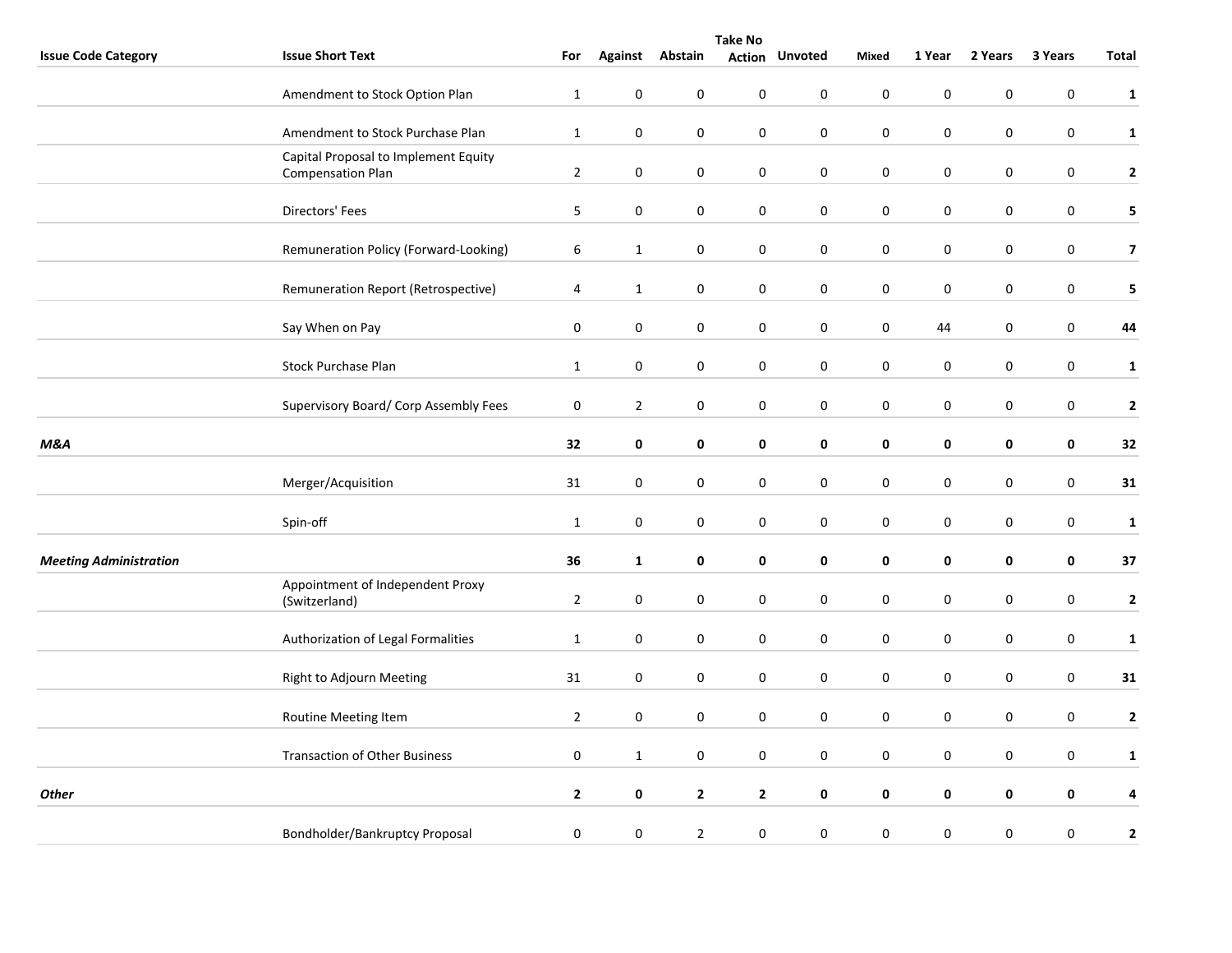|                               | <b>Take No</b>                                                   |                  |                |                     |                |                |                  |                  |             |           |                         |
|-------------------------------|------------------------------------------------------------------|------------------|----------------|---------------------|----------------|----------------|------------------|------------------|-------------|-----------|-------------------------|
| <b>Issue Code Category</b>    | <b>Issue Short Text</b>                                          | For              | <b>Against</b> | Abstain             | Action         | <b>Unvoted</b> | Mixed            | 1 Year           | 2 Years     | 3 Years   | Total                   |
|                               | Amendment to Stock Option Plan                                   | $\mathbf{1}$     | $\pmb{0}$      | $\boldsymbol{0}$    | $\pmb{0}$      | $\pmb{0}$      | $\pmb{0}$        | $\mathbf 0$      | $\mathbf 0$ | 0         | $\mathbf{1}$            |
|                               | Amendment to Stock Purchase Plan                                 | $\mathbf{1}$     | $\pmb{0}$      | $\boldsymbol{0}$    | $\pmb{0}$      | $\pmb{0}$      | $\mathbf 0$      | $\pmb{0}$        | $\mathbf 0$ | 0         | $\mathbf{1}$            |
|                               | Capital Proposal to Implement Equity<br><b>Compensation Plan</b> | $\overline{2}$   | $\mathbf 0$    | $\mathbf 0$         | $\mathbf 0$    | $\mathbf 0$    | $\pmb{0}$        | $\pmb{0}$        | 0           | 0         | $\mathbf{2}$            |
|                               | Directors' Fees                                                  | 5                | $\pmb{0}$      | $\mathbf 0$         | $\pmb{0}$      | $\pmb{0}$      | $\pmb{0}$        | $\pmb{0}$        | $\pmb{0}$   | 0         | $\overline{\mathbf{5}}$ |
|                               | Remuneration Policy (Forward-Looking)                            | 6                | $\mathbf{1}$   | $\mathbf 0$         | $\pmb{0}$      | $\pmb{0}$      | $\pmb{0}$        | $\pmb{0}$        | $\mathbf 0$ | 0         | $\overline{\mathbf{z}}$ |
|                               | Remuneration Report (Retrospective)                              | 4                | $\mathbf{1}$   | $\mathbf 0$         | $\pmb{0}$      | $\pmb{0}$      | $\pmb{0}$        | $\pmb{0}$        | $\pmb{0}$   | 0         | 5                       |
|                               | Say When on Pay                                                  | $\pmb{0}$        | $\mathbf 0$    | $\pmb{0}$           | $\pmb{0}$      | $\pmb{0}$      | $\pmb{0}$        | 44               | $\pmb{0}$   | 0         | 44                      |
|                               | <b>Stock Purchase Plan</b>                                       | $\mathbf{1}$     | $\mathbf 0$    | $\mathbf 0$         | $\mathbf 0$    | $\mathbf 0$    | $\mathbf 0$      | $\mathbf 0$      | $\mathbf 0$ | 0         | $\mathbf{1}$            |
|                               | Supervisory Board/ Corp Assembly Fees                            | $\boldsymbol{0}$ | $\overline{2}$ | $\mathbf 0$         | $\mathbf 0$    | $\pmb{0}$      | $\pmb{0}$        | $\pmb{0}$        | 0           | 0         | $\mathbf 2$             |
| M&A                           |                                                                  | 32               | $\mathbf 0$    | $\mathbf 0$         | $\pmb{0}$      | $\mathbf 0$    | $\pmb{0}$        | 0                | $\pmb{0}$   | $\pmb{0}$ | 32                      |
|                               | Merger/Acquisition                                               | 31               | 0              | $\mathbf 0$         | $\mathbf 0$    | 0              | $\pmb{0}$        | $\pmb{0}$        | 0           | 0         | 31                      |
|                               | Spin-off                                                         | $\mathbf{1}$     | $\pmb{0}$      | $\mathbf 0$         | $\mathbf 0$    | $\pmb{0}$      | $\pmb{0}$        | $\pmb{0}$        | $\pmb{0}$   | 0         | $\mathbf 1$             |
| <b>Meeting Administration</b> |                                                                  | 36               | $\mathbf{1}$   | 0                   | 0              | 0              | $\mathbf 0$      | 0                | 0           | 0         | 37                      |
|                               | Appointment of Independent Proxy<br>(Switzerland)                | $\overline{2}$   | $\mathbf 0$    | $\mathbf 0$         | $\mathbf 0$    | $\pmb{0}$      | $\boldsymbol{0}$ | $\boldsymbol{0}$ | 0           | 0         | $\mathbf{2}$            |
|                               | Authorization of Legal Formalities                               | $\mathbf{1}$     | $\mathbf 0$    | $\mathbf 0$         | $\pmb{0}$      | $\mathbf 0$    | $\pmb{0}$        | $\pmb{0}$        | $\pmb{0}$   | 0         | $\mathbf 1$             |
|                               | Right to Adjourn Meeting                                         | 31               | 0              | $\mathbf 0$         | $\mathbf 0$    | 0              | $\pmb{0}$        | $\pmb{0}$        | 0           | 0         | 31                      |
|                               | Routine Meeting Item                                             | $\overline{2}$   | $\mathbf 0$    | $\mathsf{O}\xspace$ | $\mathbf 0$    | $\mathbf 0$    | $\pmb{0}$        | $\pmb{0}$        | $\pmb{0}$   | 0         | $\mathbf 2$             |
|                               | <b>Transaction of Other Business</b>                             | $\pmb{0}$        | $\mathbf{1}$   | $\mathbf 0$         | $\mathbf 0$    | $\mathbf 0$    | $\boldsymbol{0}$ | $\pmb{0}$        | $\pmb{0}$   | 0         | $\mathbf{1}$            |
| <b>Other</b>                  |                                                                  | $\mathbf{2}$     | $\pmb{0}$      | $\mathbf{2}$        | $\overline{2}$ | 0              | $\pmb{0}$        | $\mathbf 0$      | $\pmb{0}$   | 0         | 4                       |
|                               | Bondholder/Bankruptcy Proposal                                   | $\pmb{0}$        | 0              | $\overline{2}$      | $\pmb{0}$      | $\pmb{0}$      | $\pmb{0}$        | $\pmb{0}$        | $\mathbf 0$ | 0         | $\mathbf 2$             |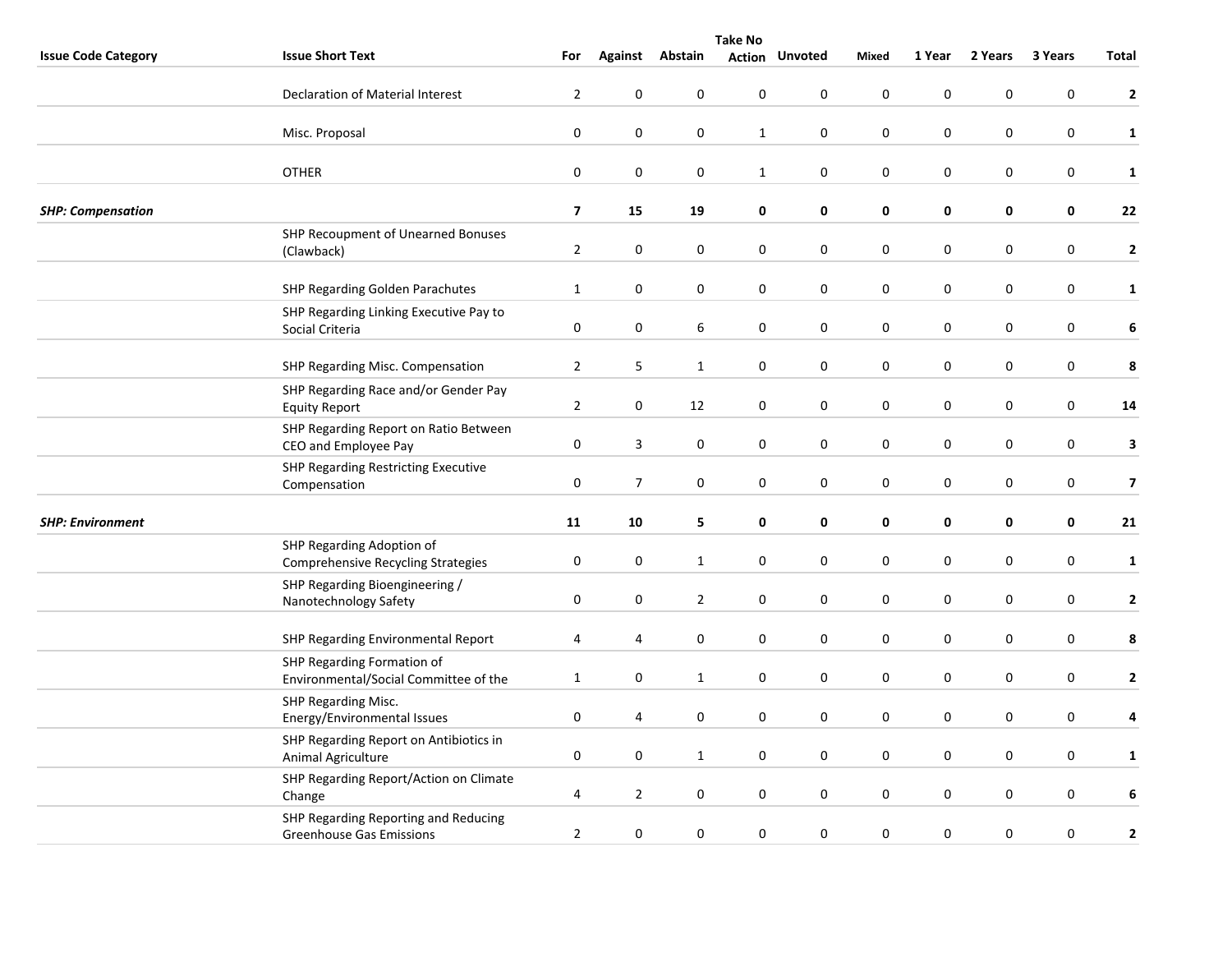|                            | <b>Take No</b>                                                          |                         |                  |                  |                  |                       |                  |             |           |                  |                         |  |
|----------------------------|-------------------------------------------------------------------------|-------------------------|------------------|------------------|------------------|-----------------------|------------------|-------------|-----------|------------------|-------------------------|--|
| <b>Issue Code Category</b> | <b>Issue Short Text</b>                                                 | For                     | Against          | Abstain          |                  | <b>Action Unvoted</b> | Mixed            | 1 Year      | 2 Years   | 3 Years          | Total                   |  |
|                            | <b>Declaration of Material Interest</b>                                 | $\overline{2}$          | $\pmb{0}$        | $\pmb{0}$        | $\boldsymbol{0}$ | $\pmb{0}$             | $\pmb{0}$        | $\pmb{0}$   | 0         | 0                | $\mathbf{2}$            |  |
|                            | Misc. Proposal                                                          | $\pmb{0}$               | $\pmb{0}$        | $\boldsymbol{0}$ | $\mathbf{1}$     | 0                     | $\pmb{0}$        | $\pmb{0}$   | $\pmb{0}$ | $\pmb{0}$        | $\mathbf{1}$            |  |
|                            | <b>OTHER</b>                                                            | $\pmb{0}$               | $\boldsymbol{0}$ | $\boldsymbol{0}$ | $\mathbf{1}$     | $\mathbf 0$           | $\pmb{0}$        | 0           | 0         | $\boldsymbol{0}$ | $\mathbf{1}$            |  |
| <b>SHP: Compensation</b>   |                                                                         | $\overline{\mathbf{z}}$ | 15               | 19               | 0                | 0                     | 0                | $\mathbf 0$ | 0         | $\mathbf 0$      | 22                      |  |
|                            | SHP Recoupment of Unearned Bonuses<br>(Clawback)                        | $\overline{2}$          | $\pmb{0}$        | $\pmb{0}$        | $\boldsymbol{0}$ | $\pmb{0}$             | $\pmb{0}$        | $\pmb{0}$   | $\pmb{0}$ | $\boldsymbol{0}$ | $\mathbf{2}$            |  |
|                            | <b>SHP Regarding Golden Parachutes</b>                                  | $\mathbf{1}$            | $\mathbf 0$      | $\boldsymbol{0}$ | 0                | 0                     | $\pmb{0}$        | $\pmb{0}$   | 0         | $\boldsymbol{0}$ | $\mathbf{1}$            |  |
|                            | SHP Regarding Linking Executive Pay to<br>Social Criteria               | 0                       | $\pmb{0}$        | $\boldsymbol{6}$ | $\boldsymbol{0}$ | $\boldsymbol{0}$      | $\boldsymbol{0}$ | $\pmb{0}$   | $\pmb{0}$ | $\boldsymbol{0}$ | 6                       |  |
|                            | SHP Regarding Misc. Compensation                                        | $\overline{2}$          | 5                | $\mathbf{1}$     | 0                | $\mathbf 0$           | $\boldsymbol{0}$ | $\mathbf 0$ | 0         | $\pmb{0}$        | 8                       |  |
|                            | SHP Regarding Race and/or Gender Pay<br><b>Equity Report</b>            | $\mathbf 2$             | $\bf{0}$         | 12               | $\pmb{0}$        | $\mathbf 0$           | $\mathbf 0$      | $\pmb{0}$   | $\pmb{0}$ | $\mathbf 0$      | ${\bf 14}$              |  |
|                            | SHP Regarding Report on Ratio Between<br>CEO and Employee Pay           | $\boldsymbol{0}$        | $\overline{3}$   | $\pmb{0}$        | $\boldsymbol{0}$ | $\pmb{0}$             | $\pmb{0}$        | $\pmb{0}$   | 0         | $\boldsymbol{0}$ | $\mathbf{3}$            |  |
|                            | SHP Regarding Restricting Executive<br>Compensation                     | 0                       | $\overline{7}$   | 0                | 0                | 0                     | $\pmb{0}$        | $\pmb{0}$   | 0         | 0                | $\overline{\mathbf{z}}$ |  |
| <b>SHP: Environment</b>    |                                                                         | 11                      | 10               | 5                | 0                | $\pmb{0}$             | 0                | $\pmb{0}$   | 0         | 0                | 21                      |  |
|                            | SHP Regarding Adoption of<br><b>Comprehensive Recycling Strategies</b>  | $\pmb{0}$               | $\boldsymbol{0}$ | $\mathbf{1}$     | $\boldsymbol{0}$ | $\pmb{0}$             | $\pmb{0}$        | $\pmb{0}$   | 0         | $\boldsymbol{0}$ | $\mathbf{1}$            |  |
|                            | SHP Regarding Bioengineering /<br>Nanotechnology Safety                 | $\pmb{0}$               | $\boldsymbol{0}$ | $\overline{2}$   | $\boldsymbol{0}$ | $\pmb{0}$             | $\pmb{0}$        | $\pmb{0}$   | $\pmb{0}$ | $\boldsymbol{0}$ | $\mathbf{2}$            |  |
|                            | SHP Regarding Environmental Report                                      | 4                       | $\overline{4}$   | $\boldsymbol{0}$ | 0                | $\mathbf 0$           | $\mathbf 0$      | $\mathbf 0$ | 0         | $\mathbf 0$      | 8                       |  |
|                            | SHP Regarding Formation of<br>Environmental/Social Committee of the     | 1                       | $\pmb{0}$        | $\mathbf{1}$     | $\pmb{0}$        | $\pmb{0}$             | $\pmb{0}$        | $\pmb{0}$   | 0         | 0                | $\mathbf{2}$            |  |
|                            | SHP Regarding Misc.<br>Energy/Environmental Issues                      | $\mathbf 0$             | 4                | $\pmb{0}$        | $\boldsymbol{0}$ | $\mathbf 0$           | $\pmb{0}$        | $\pmb{0}$   | 0         | $\boldsymbol{0}$ | 4                       |  |
|                            | SHP Regarding Report on Antibiotics in<br>Animal Agriculture            | 0                       | $\mathbf 0$      | $\mathbf{1}$     | 0                | $\mathbf 0$           | $\mathbf 0$      | $\pmb{0}$   | 0         | 0                | $\mathbf{1}$            |  |
|                            | SHP Regarding Report/Action on Climate<br>Change                        | 4                       | $\overline{2}$   | 0                | $\pmb{0}$        | $\mathbf 0$           | $\pmb{0}$        | $\pmb{0}$   | $\pmb{0}$ | $\pmb{0}$        | 6                       |  |
|                            | SHP Regarding Reporting and Reducing<br><b>Greenhouse Gas Emissions</b> | $\mathbf 2$             | $\pmb{0}$        | $\pmb{0}$        | $\pmb{0}$        | $\pmb{0}$             | $\pmb{0}$        | $\pmb{0}$   | 0         | 0                | $\mathbf{2}$            |  |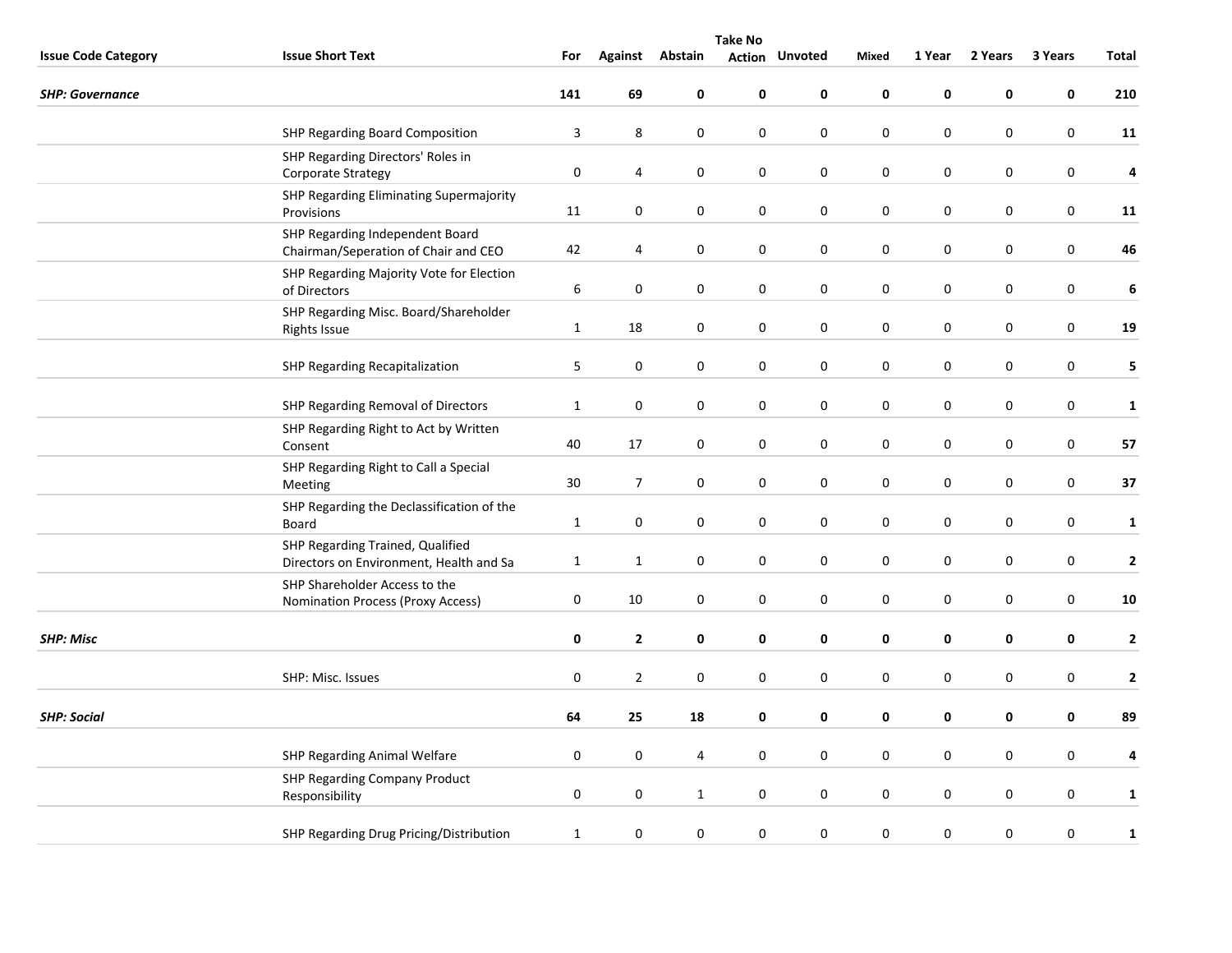|                            | <b>Take No</b>                                                              |                  |                  |                  |                  |                       |                  |             |             |                  |                  |  |
|----------------------------|-----------------------------------------------------------------------------|------------------|------------------|------------------|------------------|-----------------------|------------------|-------------|-------------|------------------|------------------|--|
| <b>Issue Code Category</b> | <b>Issue Short Text</b>                                                     | For              |                  | Against Abstain  |                  | <b>Action Unvoted</b> | Mixed            | 1 Year      | 2 Years     | 3 Years          | Total            |  |
| <b>SHP: Governance</b>     |                                                                             | 141              | 69               | $\pmb{0}$        | 0                | 0                     | 0                | $\pmb{0}$   | 0           | 0                | 210              |  |
|                            | SHP Regarding Board Composition                                             | 3                | $\,8\,$          | $\boldsymbol{0}$ | 0                | $\pmb{0}$             | $\pmb{0}$        | $\pmb{0}$   | $\pmb{0}$   | $\pmb{0}$        | 11               |  |
|                            | SHP Regarding Directors' Roles in<br>Corporate Strategy                     | $\pmb{0}$        | 4                | $\pmb{0}$        | $\boldsymbol{0}$ | $\mathbf 0$           | $\pmb{0}$        | $\pmb{0}$   | 0           | $\boldsymbol{0}$ | 4                |  |
|                            | SHP Regarding Eliminating Supermajority<br>Provisions                       | 11               | $\pmb{0}$        | 0                | $\pmb{0}$        | 0                     | $\mathbf 0$      | $\mathbf 0$ | $\mathbf 0$ | $\mathbf 0$      | 11               |  |
|                            | SHP Regarding Independent Board<br>Chairman/Seperation of Chair and CEO     | 42               | 4                | 0                | 0                | $\pmb{0}$             | $\pmb{0}$        | $\pmb{0}$   | 0           | $\boldsymbol{0}$ | 46               |  |
|                            | SHP Regarding Majority Vote for Election<br>of Directors                    | 6                | $\mathbf 0$      | $\pmb{0}$        | 0                | 0                     | $\pmb{0}$        | $\pmb{0}$   | 0           | $\boldsymbol{0}$ | $\boldsymbol{6}$ |  |
|                            | SHP Regarding Misc. Board/Shareholder<br><b>Rights Issue</b>                | $\mathbf{1}$     | 18               | $\pmb{0}$        | $\boldsymbol{0}$ | $\mathbf 0$           | $\pmb{0}$        | $\pmb{0}$   | 0           | $\boldsymbol{0}$ | 19               |  |
|                            | <b>SHP Regarding Recapitalization</b>                                       | 5                | $\mathbf 0$      | 0                | 0                | $\mathbf 0$           | $\mathbf 0$      | $\pmb{0}$   | 0           | 0                | 5                |  |
|                            | SHP Regarding Removal of Directors                                          | $\mathbf{1}$     | $\boldsymbol{0}$ | 0                | 0                | 0                     | $\mathbf 0$      | $\pmb{0}$   | $\pmb{0}$   | 0                | $\mathbf{1}$     |  |
|                            | SHP Regarding Right to Act by Written<br>Consent                            | 40               | 17               | $\boldsymbol{0}$ | $\boldsymbol{0}$ | $\pmb{0}$             | $\pmb{0}$        | $\pmb{0}$   | 0           | $\boldsymbol{0}$ | 57               |  |
|                            | SHP Regarding Right to Call a Special<br>Meeting                            | 30               | $\overline{7}$   | $\pmb{0}$        | $\pmb{0}$        | $\pmb{0}$             | $\pmb{0}$        | $\pmb{0}$   | $\pmb{0}$   | $\boldsymbol{0}$ | 37               |  |
|                            | SHP Regarding the Declassification of the<br>Board                          | $\mathbf{1}$     | $\pmb{0}$        | $\boldsymbol{0}$ | 0                | 0                     | $\pmb{0}$        | $\pmb{0}$   | 0           | $\boldsymbol{0}$ | $\mathbf{1}$     |  |
|                            | SHP Regarding Trained, Qualified<br>Directors on Environment, Health and Sa | $\mathbf{1}$     | $\mathbf{1}$     | $\boldsymbol{0}$ | 0                | 0                     | $\pmb{0}$        | $\pmb{0}$   | 0           | 0                | $\mathbf{2}$     |  |
|                            | SHP Shareholder Access to the<br>Nomination Process (Proxy Access)          | $\boldsymbol{0}$ | 10               | $\boldsymbol{0}$ | $\boldsymbol{0}$ | $\pmb{0}$             | $\mathbf 0$      | $\pmb{0}$   | $\pmb{0}$   | $\boldsymbol{0}$ | 10               |  |
| <b>SHP: Misc</b>           |                                                                             | 0                | $\overline{2}$   | 0                | 0                | 0                     | 0                | $\mathbf 0$ | 0           | 0                | $\mathbf{2}$     |  |
|                            | SHP: Misc. Issues                                                           | $\pmb{0}$        | $\overline{2}$   | $\pmb{0}$        | $\pmb{0}$        | $\pmb{0}$             | $\pmb{0}$        | $\pmb{0}$   | 0           | $\pmb{0}$        | $\mathbf{2}$     |  |
| <b>SHP: Social</b>         |                                                                             | 64               | 25               | 18               | 0                | $\pmb{0}$             | $\pmb{0}$        | $\mathbf 0$ | 0           | $\pmb{0}$        | 89               |  |
|                            | SHP Regarding Animal Welfare                                                | 0                | 0                | 4                | 0                | 0                     | $\boldsymbol{0}$ | 0           | 0           | 0                | 4                |  |
|                            | SHP Regarding Company Product<br>Responsibility                             | $\pmb{0}$        | $\pmb{0}$        | $\mathbf{1}$     | $\pmb{0}$        | 0                     | $\mathbf 0$      | $\pmb{0}$   | 0           | $\mathbf 0$      | $\mathbf{1}$     |  |
|                            | SHP Regarding Drug Pricing/Distribution                                     | $\mathbf{1}$     | $\pmb{0}$        | $\pmb{0}$        | $\pmb{0}$        | 0                     | $\pmb{0}$        | $\pmb{0}$   | 0           | 0                | $\mathbf{1}$     |  |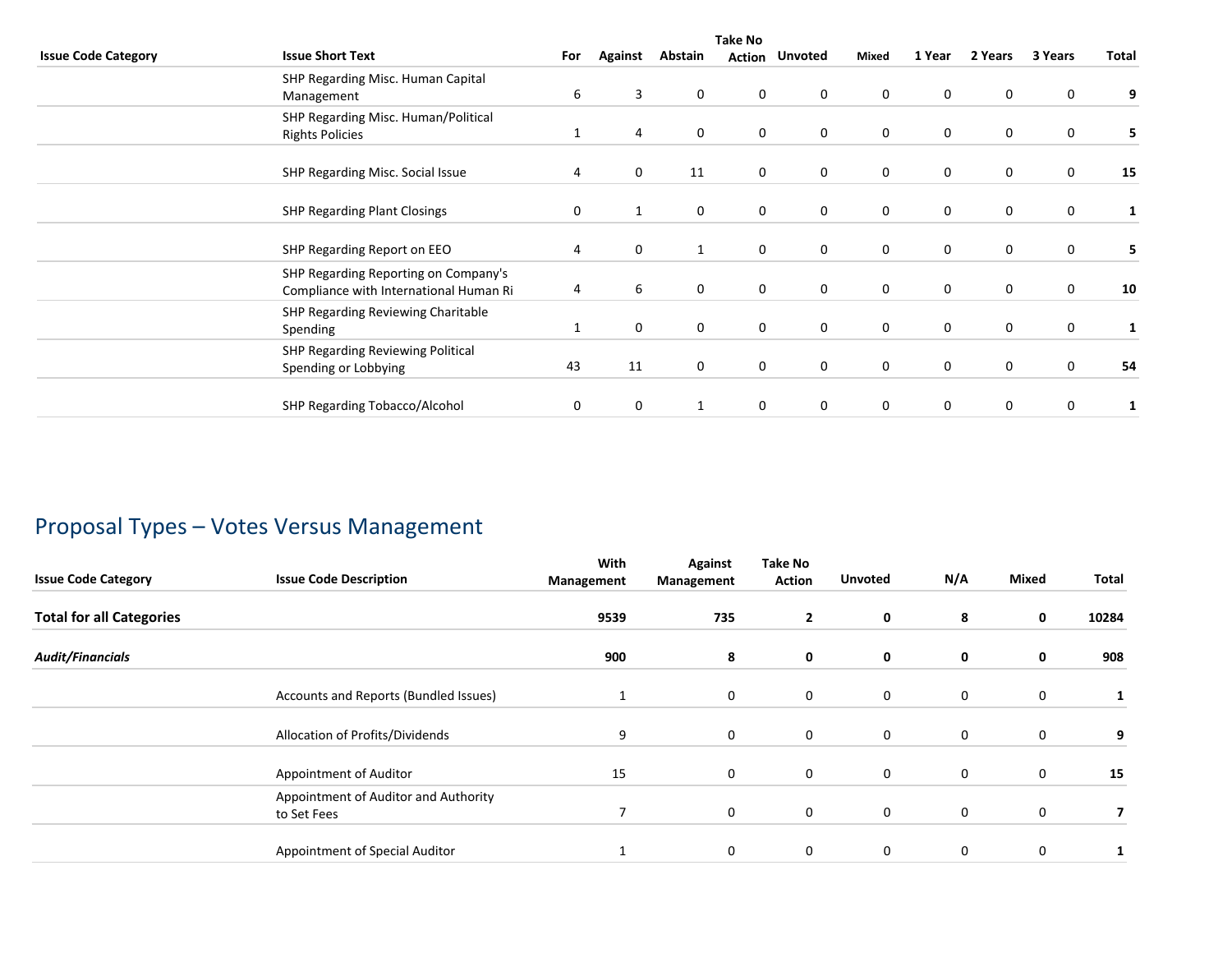|                            | <b>Take No</b>                                                                 |     |                |              |   |                       |             |             |             |         |       |  |
|----------------------------|--------------------------------------------------------------------------------|-----|----------------|--------------|---|-----------------------|-------------|-------------|-------------|---------|-------|--|
| <b>Issue Code Category</b> | <b>Issue Short Text</b>                                                        | For | <b>Against</b> | Abstain      |   | <b>Action Unvoted</b> | Mixed       | 1 Year      | 2 Years     | 3 Years | Total |  |
|                            | SHP Regarding Misc. Human Capital<br>Management                                | 6   | 3              | 0            | 0 | $\mathbf 0$           | $\mathbf 0$ | 0           | 0           | 0       | 9     |  |
|                            | SHP Regarding Misc. Human/Political<br><b>Rights Policies</b>                  | 1   | 4              | 0            | 0 | $\mathbf 0$           | $\mathbf 0$ | 0           | $\mathbf 0$ | 0       | 5     |  |
|                            | SHP Regarding Misc. Social Issue                                               | 4   | 0              | 11           | 0 | $\mathbf 0$           | $\mathbf 0$ | 0           | $\mathbf 0$ | 0       | 15    |  |
|                            | <b>SHP Regarding Plant Closings</b>                                            | 0   | 1              | 0            | 0 | $\mathbf 0$           | $\mathbf 0$ | 0           | $\mathbf 0$ | 0       |       |  |
|                            | SHP Regarding Report on EEO                                                    | 4   | $\mathbf 0$    | $\mathbf{1}$ | 0 | $\mathbf 0$           | $\mathbf 0$ | $\mathbf 0$ | $\mathbf 0$ | 0       | 5     |  |
|                            | SHP Regarding Reporting on Company's<br>Compliance with International Human Ri | 4   | 6              | 0            | 0 | $\mathbf 0$           | $\mathbf 0$ | 0           | 0           | 0       | 10    |  |
|                            | SHP Regarding Reviewing Charitable<br>Spending                                 | 1   | $\mathbf 0$    | $\mathbf 0$  | 0 | $\mathbf 0$           | $\mathbf 0$ | 0           | $\mathbf 0$ | 0       |       |  |
|                            | SHP Regarding Reviewing Political<br>Spending or Lobbying                      | 43  | 11             | 0            | 0 | $\mathbf 0$           | 0           | 0           | $\mathbf 0$ | 0       | 54    |  |
|                            | SHP Regarding Tobacco/Alcohol                                                  | 0   | 0              |              | 0 | 0                     | 0           | 0           | 0           | 0       |       |  |

# Proposal Types – Votes Versus Management

| <b>Issue Code Category</b>      | <b>Issue Code Description</b>                       | With<br>Management | Against<br>Management | <b>Take No</b><br>Action | <b>Unvoted</b> | N/A | <b>Mixed</b> | Total |
|---------------------------------|-----------------------------------------------------|--------------------|-----------------------|--------------------------|----------------|-----|--------------|-------|
| <b>Total for all Categories</b> |                                                     | 9539               | 735                   | $\mathbf{2}$             | 0              | 8   | 0            | 10284 |
| <b>Audit/Financials</b>         |                                                     | 900                | 8                     | 0                        | 0              | 0   | 0            | 908   |
|                                 | Accounts and Reports (Bundled Issues)               |                    | $\mathbf 0$           | $\mathbf 0$              | $\mathbf 0$    | 0   | 0            |       |
|                                 | Allocation of Profits/Dividends                     | 9                  | $\mathbf 0$           | $\mathbf 0$              | 0              | 0   | 0            | 9     |
|                                 | Appointment of Auditor                              | 15                 | $\mathbf 0$           | $\mathbf 0$              | 0              | 0   | 0            | 15    |
|                                 | Appointment of Auditor and Authority<br>to Set Fees | 7                  | $\mathbf 0$           | $\mathbf 0$              | $\mathbf 0$    | 0   | 0            | 7     |
|                                 | Appointment of Special Auditor                      |                    | $\mathbf 0$           | $\mathbf 0$              | 0              | 0   | 0            |       |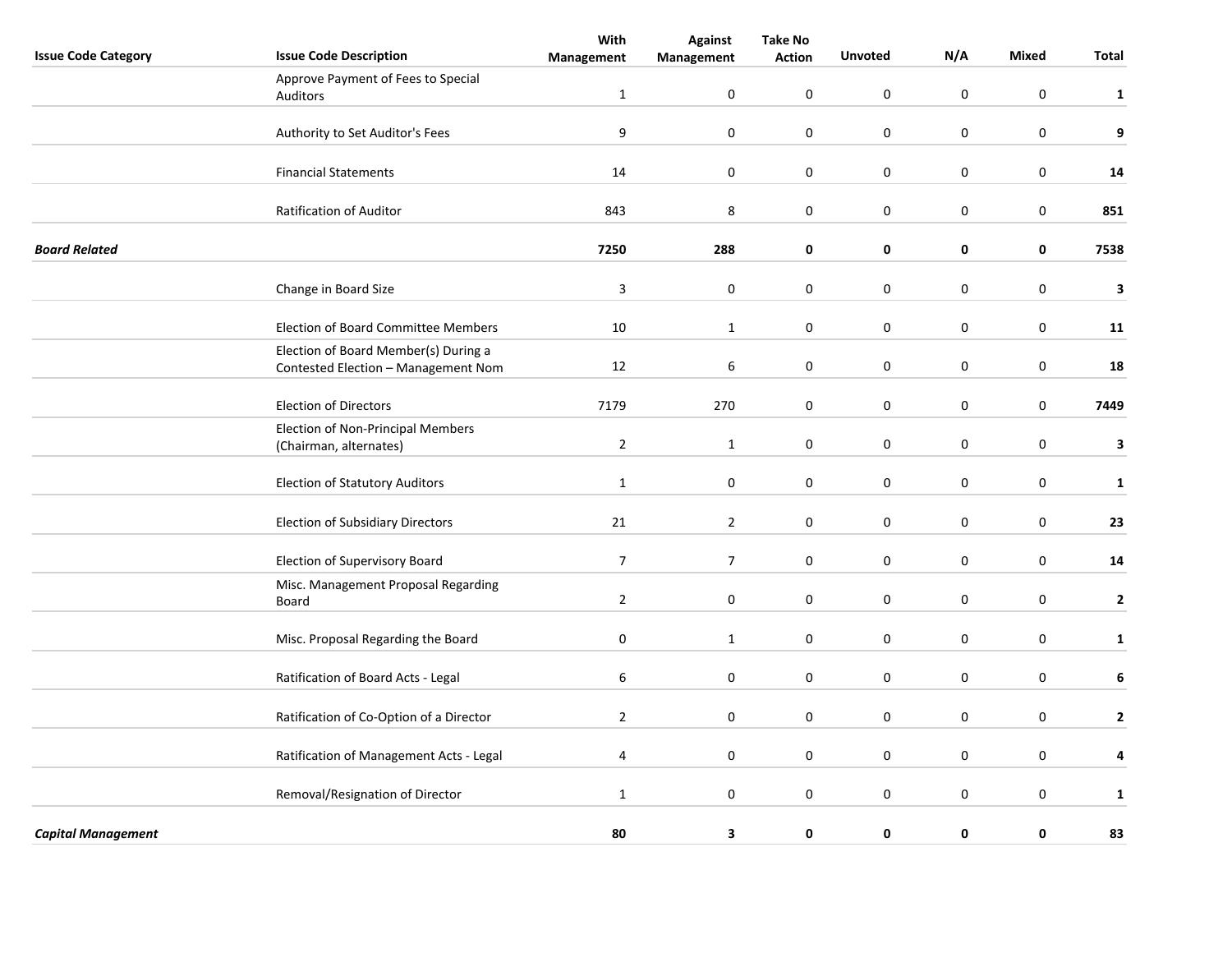| <b>Issue Code Category</b> | <b>Issue Code Description</b>                                               | With<br>Management | <b>Against</b><br>Management | <b>Take No</b><br><b>Action</b> | <b>Unvoted</b>   | N/A         | Mixed            | Total        |
|----------------------------|-----------------------------------------------------------------------------|--------------------|------------------------------|---------------------------------|------------------|-------------|------------------|--------------|
|                            | Approve Payment of Fees to Special                                          |                    |                              |                                 |                  |             |                  |              |
|                            | <b>Auditors</b>                                                             | $\mathbf{1}$       | $\pmb{0}$                    | $\mathbf 0$                     | $\pmb{0}$        | $\mathbf 0$ | $\boldsymbol{0}$ | $\mathbf{1}$ |
|                            | Authority to Set Auditor's Fees                                             | 9                  | $\pmb{0}$                    | $\boldsymbol{0}$                | $\pmb{0}$        | $\mathsf 0$ | $\boldsymbol{0}$ | 9            |
|                            | <b>Financial Statements</b>                                                 | 14                 | $\pmb{0}$                    | $\mathbf 0$                     | $\pmb{0}$        | $\mathsf 0$ | $\mathbf 0$      | 14           |
|                            | Ratification of Auditor                                                     | 843                | 8                            | 0                               | $\pmb{0}$        | $\mathsf 0$ | $\mathbf 0$      | 851          |
| <b>Board Related</b>       |                                                                             | 7250               | 288                          | $\pmb{0}$                       | $\mathbf 0$      | 0           | $\mathbf 0$      | 7538         |
|                            | Change in Board Size                                                        | $\overline{3}$     | 0                            | 0                               | 0                | $\mathsf 0$ | $\mathbf 0$      | 3            |
|                            | <b>Election of Board Committee Members</b>                                  | 10                 | $\mathbf{1}$                 | 0                               | $\boldsymbol{0}$ | $\mathsf 0$ | $\boldsymbol{0}$ | 11           |
|                            | Election of Board Member(s) During a<br>Contested Election - Management Nom | 12                 | 6                            | 0                               | $\boldsymbol{0}$ | $\mathsf 0$ | $\boldsymbol{0}$ | 18           |
|                            | <b>Election of Directors</b>                                                | 7179               | 270                          | 0                               | $\pmb{0}$        | $\pmb{0}$   | $\boldsymbol{0}$ | 7449         |
|                            | Election of Non-Principal Members<br>(Chairman, alternates)                 | $\overline{2}$     | 1                            | 0                               | $\mathbf 0$      | $\pmb{0}$   | $\mathbf 0$      | 3            |
|                            | <b>Election of Statutory Auditors</b>                                       | $\mathbf{1}$       | 0                            | 0                               | 0                | $\mathsf 0$ | 0                | $\mathbf{1}$ |
|                            | <b>Election of Subsidiary Directors</b>                                     | 21                 | $\overline{2}$               | $\mathbf 0$                     | $\mathbf 0$      | 0           | $\mathbf 0$      | 23           |
|                            | Election of Supervisory Board                                               | $\overline{7}$     | $\overline{7}$               | 0                               | $\mathbf 0$      | 0           | $\mathbf 0$      | 14           |
|                            | Misc. Management Proposal Regarding<br>Board                                | $\overline{2}$     | $\mathbf 0$                  | $\mathbf 0$                     | $\mathbf 0$      | $\mathbf 0$ | $\mathbf 0$      | $\mathbf{2}$ |
|                            | Misc. Proposal Regarding the Board                                          | $\pmb{0}$          | 1                            | 0                               | $\mathbf 0$      | $\pmb{0}$   | $\mathbf 0$      | $\mathbf{1}$ |
|                            | Ratification of Board Acts - Legal                                          | 6                  | 0                            | 0                               | 0                | 0           | 0                | 6            |
|                            | Ratification of Co-Option of a Director                                     | $\overline{2}$     | $\mathbf 0$                  | 0                               | $\mathbf 0$      | 0           | $\mathbf 0$      | 2            |
|                            | Ratification of Management Acts - Legal                                     | 4                  | $\mathbf 0$                  | 0                               | $\mathbf 0$      | $\mathsf 0$ | $\mathbf 0$      | 4            |
|                            | Removal/Resignation of Director                                             | $\mathbf{1}$       | 0                            | 0                               | $\mathbf 0$      | $\mathbf 0$ | $\mathbf 0$      | $\mathbf{1}$ |
| <b>Capital Management</b>  |                                                                             | 80                 | 3                            | 0                               | 0                | 0           | 0                | 83           |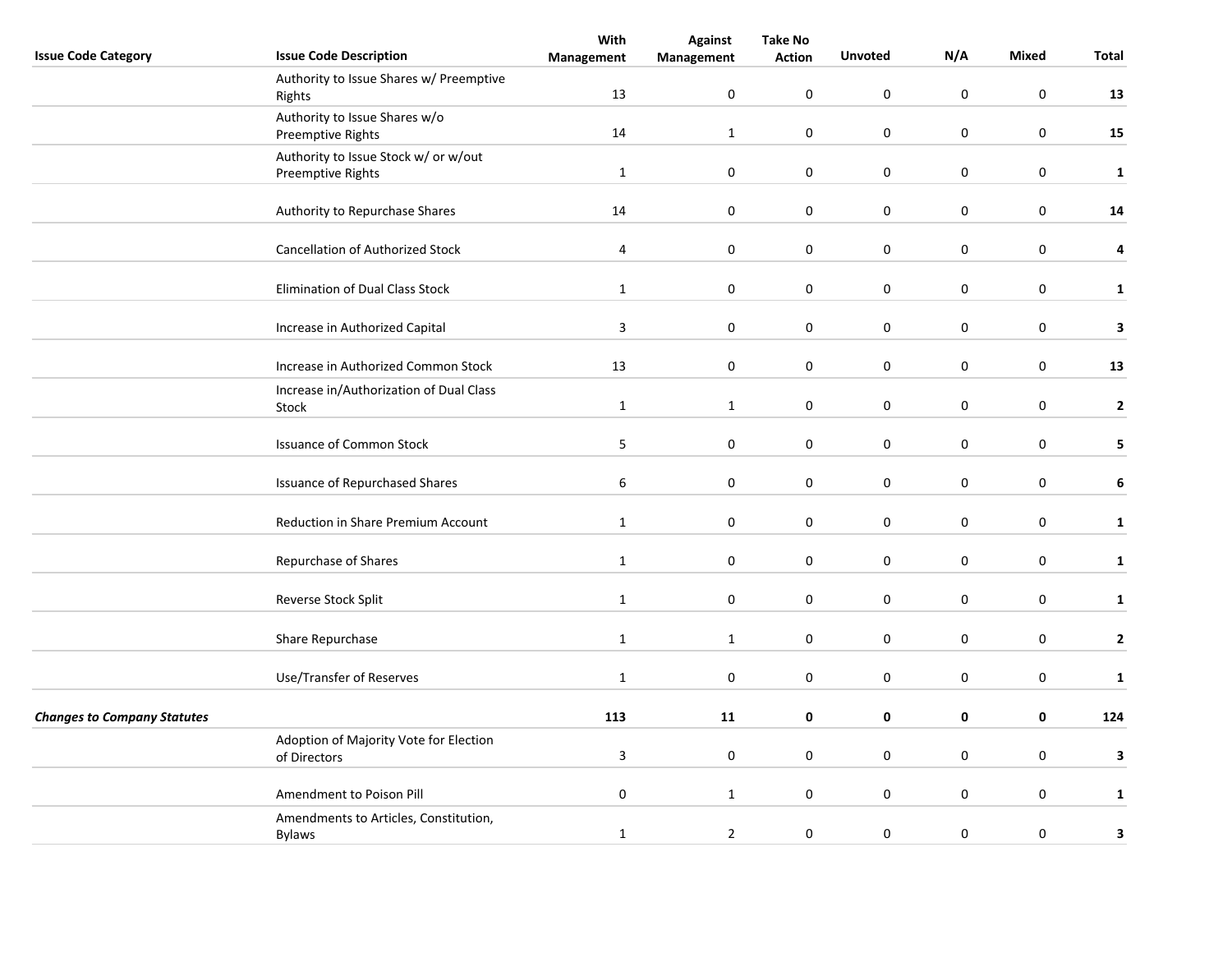|                                    |                                         | With             | <b>Against</b> | <b>Take No</b>   |                     |                  |                  |                |
|------------------------------------|-----------------------------------------|------------------|----------------|------------------|---------------------|------------------|------------------|----------------|
| <b>Issue Code Category</b>         | <b>Issue Code Description</b>           | Management       | Management     | <b>Action</b>    | <b>Unvoted</b>      | N/A              | Mixed            | Total          |
|                                    | Authority to Issue Shares w/ Preemptive |                  |                |                  |                     |                  |                  |                |
|                                    | Rights                                  | 13               | $\pmb{0}$      | $\mathbf 0$      | $\pmb{0}$           | $\boldsymbol{0}$ | $\boldsymbol{0}$ | 13             |
|                                    | Authority to Issue Shares w/o           |                  |                |                  |                     |                  |                  |                |
|                                    | Preemptive Rights                       | 14               | $\mathbf{1}$   | $\boldsymbol{0}$ | $\pmb{0}$           | $\pmb{0}$        | $\boldsymbol{0}$ | 15             |
|                                    | Authority to Issue Stock w/ or w/out    |                  |                |                  |                     |                  |                  |                |
|                                    | Preemptive Rights                       | $\mathbf{1}$     | $\pmb{0}$      | $\mathbf 0$      | $\pmb{0}$           | $\pmb{0}$        | $\mathbf 0$      | $\mathbf{1}$   |
|                                    |                                         |                  |                |                  |                     |                  |                  |                |
|                                    | Authority to Repurchase Shares          | 14               | 0              | 0                | $\pmb{0}$           | $\pmb{0}$        | $\mathbf 0$      | ${\bf 14}$     |
|                                    |                                         |                  |                |                  |                     |                  |                  |                |
|                                    | Cancellation of Authorized Stock        | 4                | $\pmb{0}$      | 0                | $\pmb{0}$           | $\pmb{0}$        | $\mathbf 0$      | 4              |
|                                    |                                         |                  |                |                  |                     |                  |                  |                |
|                                    | Elimination of Dual Class Stock         | $\mathbf{1}$     | $\mathbf 0$    | $\mathbf 0$      | $\boldsymbol{0}$    | $\pmb{0}$        | $\mathbf 0$      | $\mathbf{1}$   |
|                                    |                                         |                  |                |                  |                     |                  |                  |                |
|                                    |                                         |                  |                |                  |                     |                  |                  |                |
|                                    | Increase in Authorized Capital          | $\overline{3}$   | $\mathbf 0$    | $\mathbf 0$      | $\boldsymbol{0}$    | $\pmb{0}$        | $\boldsymbol{0}$ | 3              |
|                                    |                                         |                  |                |                  |                     |                  |                  |                |
|                                    | Increase in Authorized Common Stock     | 13               | $\pmb{0}$      | $\mathbf 0$      | $\mathsf{O}\xspace$ | $\pmb{0}$        | $\boldsymbol{0}$ | 13             |
|                                    | Increase in/Authorization of Dual Class |                  |                |                  |                     |                  |                  |                |
|                                    | Stock                                   | $\mathbf{1}$     | $\mathbf{1}$   | $\mathbf 0$      | $\bf{0}$            | $\mathbf 0$      | $\mathbf 0$      | $\overline{2}$ |
|                                    |                                         |                  |                |                  |                     |                  |                  |                |
|                                    | <b>Issuance of Common Stock</b>         | $\overline{5}$   | 0              | 0                | $\pmb{0}$           | $\pmb{0}$        | $\mathbf 0$      | 5              |
|                                    |                                         |                  |                |                  |                     |                  |                  |                |
|                                    | <b>Issuance of Repurchased Shares</b>   | $\boldsymbol{6}$ | 0              | $\mathbf 0$      | $\boldsymbol{0}$    | $\pmb{0}$        | $\mathbf 0$      | 6              |
|                                    |                                         |                  |                |                  |                     |                  |                  |                |
|                                    | Reduction in Share Premium Account      | $\mathbf{1}$     | $\mathbf 0$    | $\mathbf 0$      | $\boldsymbol{0}$    | $\pmb{0}$        | $\mathbf 0$      | $\mathbf{1}$   |
|                                    |                                         |                  |                |                  |                     |                  |                  |                |
|                                    | Repurchase of Shares                    | $\mathbf 1$      | $\pmb{0}$      | $\mathbf 0$      | $\mathsf{O}\xspace$ | $\pmb{0}$        | $\boldsymbol{0}$ | $\mathbf{1}$   |
|                                    |                                         |                  |                |                  |                     |                  |                  |                |
|                                    | Reverse Stock Split                     | $\mathbf{1}$     | $\pmb{0}$      | $\boldsymbol{0}$ | $\pmb{0}$           | $\pmb{0}$        | $\boldsymbol{0}$ | $\mathbf{1}$   |
|                                    |                                         |                  |                |                  |                     |                  |                  |                |
|                                    | Share Repurchase                        | $\mathbf{1}$     | $\mathbf{1}$   | 0                | $\mathbf 0$         | $\mathbf 0$      | $\mathbf 0$      | $\mathbf{2}$   |
|                                    |                                         |                  |                |                  |                     |                  |                  |                |
|                                    | Use/Transfer of Reserves                | $\mathbf{1}$     | $\mathbf 0$    | $\mathbf 0$      | 0                   | $\pmb{0}$        | $\mathbf 0$      | $\mathbf{1}$   |
|                                    |                                         |                  |                |                  |                     |                  |                  |                |
| <b>Changes to Company Statutes</b> |                                         | 113              | 11             | $\mathbf 0$      | 0                   | $\mathbf 0$      | $\mathbf 0$      | 124            |
|                                    |                                         |                  |                |                  |                     |                  |                  |                |
|                                    | Adoption of Majority Vote for Election  | $\overline{3}$   | $\pmb{0}$      | $\boldsymbol{0}$ | $\mathsf{O}\xspace$ | $\mathbf 0$      | $\mathbf 0$      | 3              |
|                                    | of Directors                            |                  |                |                  |                     |                  |                  |                |
|                                    |                                         | $\pmb{0}$        |                |                  | $\pmb{0}$           | $\pmb{0}$        | $\mathbf 0$      |                |
|                                    | Amendment to Poison Pill                |                  | $\mathbf{1}$   | 0                |                     |                  |                  | $\mathbf{1}$   |
|                                    | Amendments to Articles, Constitution,   |                  |                |                  |                     |                  |                  |                |
|                                    | <b>Bylaws</b>                           | $\mathbf{1}$     | $\overline{2}$ | $\mathbf 0$      | $\boldsymbol{0}$    | $\pmb{0}$        | $\mathbf 0$      | 3              |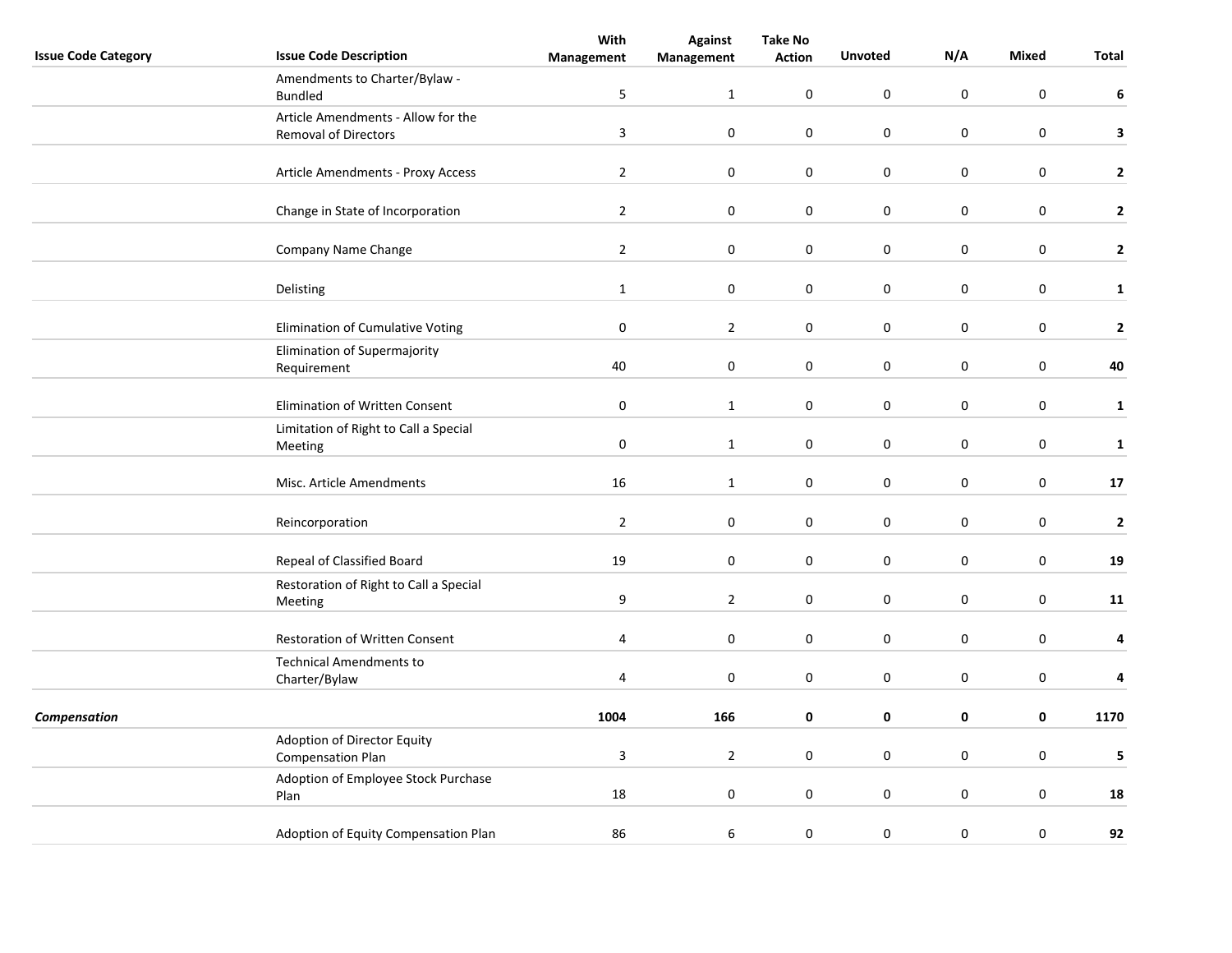|                            |                                        | With             | <b>Take No</b> |               |                     |                  |                  |                |
|----------------------------|----------------------------------------|------------------|----------------|---------------|---------------------|------------------|------------------|----------------|
| <b>Issue Code Category</b> | <b>Issue Code Description</b>          | Management       | Management     | <b>Action</b> | <b>Unvoted</b>      | N/A              | Mixed            | Total          |
|                            | Amendments to Charter/Bylaw -          |                  |                |               |                     |                  |                  |                |
|                            | <b>Bundled</b>                         | 5                | $\mathbf{1}$   | $\mathbf 0$   | $\boldsymbol{0}$    | $\mathbf 0$      | $\boldsymbol{0}$ | 6              |
|                            | Article Amendments - Allow for the     |                  |                |               |                     |                  |                  |                |
|                            | <b>Removal of Directors</b>            | $\overline{3}$   | $\pmb{0}$      | $\pmb{0}$     | $\pmb{0}$           | $\mathsf 0$      | $\boldsymbol{0}$ | $\mathbf{3}$   |
|                            |                                        |                  |                |               |                     |                  |                  |                |
|                            | Article Amendments - Proxy Access      | $\overline{2}$   | $\mathbf 0$    | $\mathbf 0$   | $\pmb{0}$           | $\mathsf 0$      | $\mathbf 0$      | $\mathbf{2}$   |
|                            |                                        |                  |                |               |                     |                  |                  |                |
|                            | Change in State of Incorporation       | $\overline{2}$   | 0              | 0             | $\pmb{0}$           | 0                | $\mathbf 0$      | $\mathbf{2}$   |
|                            |                                        |                  |                |               |                     |                  |                  |                |
|                            | Company Name Change                    | $\overline{2}$   | $\pmb{0}$      | 0             | $\pmb{0}$           | $\boldsymbol{0}$ | $\mathbf 0$      | $\mathbf{2}$   |
|                            |                                        |                  |                |               |                     |                  |                  |                |
|                            | Delisting                              |                  | 0              | 0             | $\boldsymbol{0}$    | $\boldsymbol{0}$ | $\mathbf 0$      |                |
|                            |                                        | $\mathbf{1}$     |                |               |                     |                  |                  | $\mathbf{1}$   |
|                            |                                        |                  |                |               |                     |                  |                  |                |
|                            | Elimination of Cumulative Voting       | $\pmb{0}$        | $\overline{2}$ | 0             | $\pmb{0}$           | $\boldsymbol{0}$ | $\boldsymbol{0}$ | $\overline{2}$ |
|                            | Elimination of Supermajority           |                  |                |               |                     |                  |                  |                |
|                            | Requirement                            | 40               | $\pmb{0}$      | $\pmb{0}$     | $\mathsf{O}\xspace$ | $\pmb{0}$        | $\mathbf 0$      | 40             |
|                            |                                        |                  |                |               |                     |                  |                  |                |
|                            | <b>Elimination of Written Consent</b>  | $\pmb{0}$        | $\mathbf{1}$   | $\mathbf 0$   | $\bf{0}$            | 0                | $\mathbf 0$      | $\mathbf{1}$   |
|                            | Limitation of Right to Call a Special  |                  |                |               |                     |                  |                  |                |
|                            | Meeting                                | $\pmb{0}$        | $\mathbf 1$    | 0             | $\pmb{0}$           | $\boldsymbol{0}$ | $\mathbf 0$      | $\mathbf 1$    |
|                            |                                        |                  |                |               |                     |                  |                  |                |
|                            | Misc. Article Amendments               | 16               | $\mathbf{1}$   | 0             | $\pmb{0}$           | $\boldsymbol{0}$ | $\mathbf 0$      | 17             |
|                            |                                        |                  |                |               |                     |                  |                  |                |
|                            | Reincorporation                        | $\overline{2}$   | 0              | 0             | $\pmb{0}$           | $\mathsf 0$      | $\mathbf 0$      | $\mathbf 2$    |
|                            |                                        |                  |                |               |                     |                  |                  |                |
|                            | Repeal of Classified Board             | 19               | $\pmb{0}$      | $\pmb{0}$     | $\pmb{0}$           | $\boldsymbol{0}$ | $\mathbf 0$      | 19             |
|                            | Restoration of Right to Call a Special |                  |                |               |                     |                  |                  |                |
|                            | Meeting                                | $\boldsymbol{9}$ | $\overline{2}$ | $\pmb{0}$     | $\pmb{0}$           | $\boldsymbol{0}$ | $\mathbf 0$      | 11             |
|                            |                                        |                  |                |               |                     |                  |                  |                |
|                            | <b>Restoration of Written Consent</b>  | 4                | 0              | 0             | $\bf{0}$            | $\bf{0}$         | $\mathbf 0$      | 4              |
|                            | <b>Technical Amendments to</b>         |                  |                |               |                     |                  |                  |                |
|                            | Charter/Bylaw                          | $\overline{4}$   | $\mathbf 0$    | $\mathbf 0$   | 0                   | 0                | $\mathbf 0$      | 4              |
|                            |                                        |                  |                |               |                     |                  |                  |                |
| Compensation               |                                        | 1004             | 166            | 0             | 0                   | 0                | $\mathbf 0$      | 1170           |
|                            | Adoption of Director Equity            |                  |                |               |                     |                  |                  |                |
|                            | <b>Compensation Plan</b>               | $\overline{3}$   | $\overline{2}$ | 0             | $\mathsf{O}\xspace$ | $\mathbf 0$      | $\mathbf 0$      | 5              |
|                            |                                        |                  |                |               |                     |                  |                  |                |
|                            | Adoption of Employee Stock Purchase    | 18               | 0              | 0             | $\pmb{0}$           | $\pmb{0}$        | $\mathbf 0$      | 18             |
|                            | Plan                                   |                  |                |               |                     |                  |                  |                |
|                            |                                        |                  |                |               |                     |                  |                  |                |
|                            | Adoption of Equity Compensation Plan   | 86               | 6              | $\mathbf 0$   | 0                   | $\boldsymbol{0}$ | $\mathbf 0$      | 92             |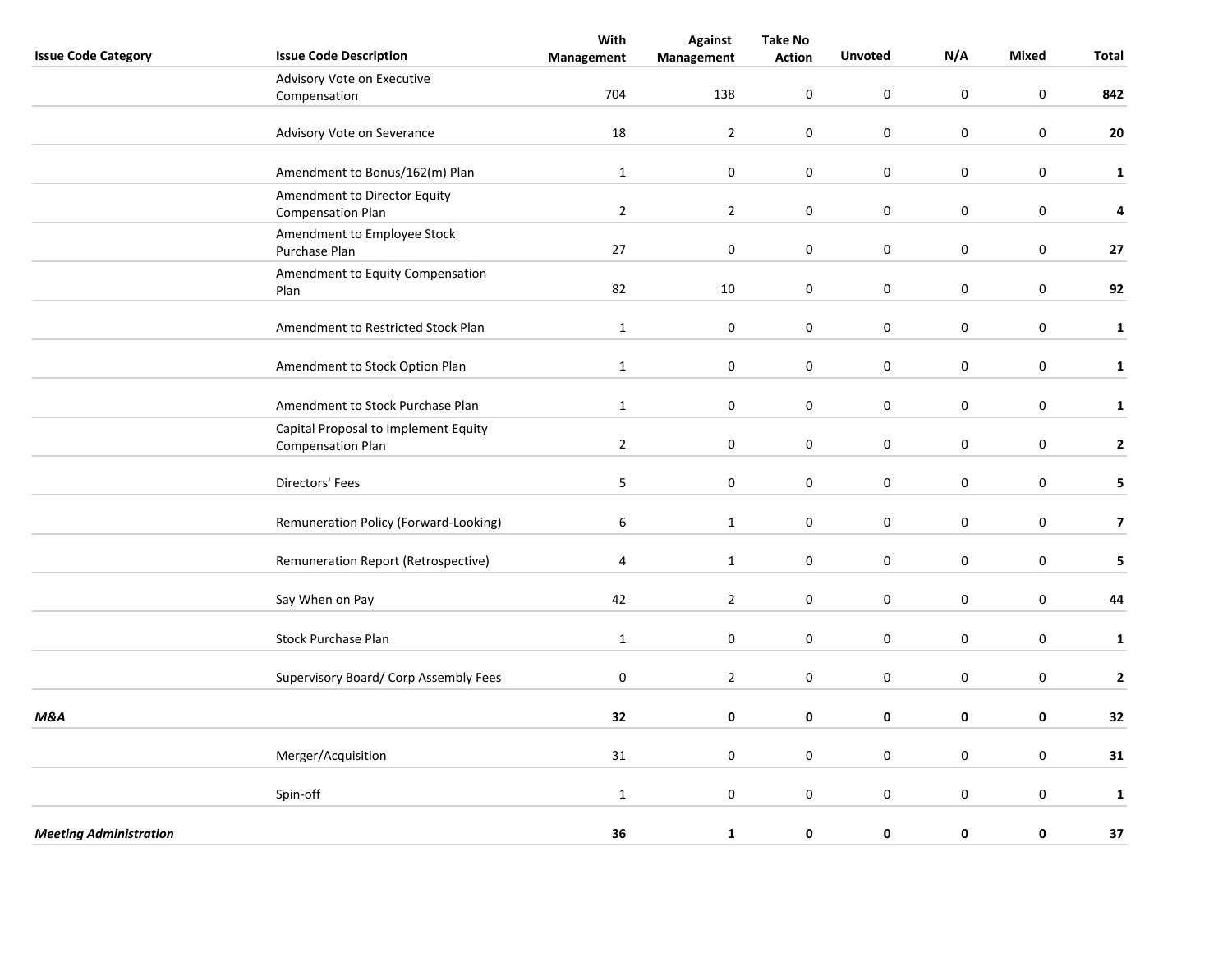| <b>Issue Code Category</b>    | <b>Issue Code Description</b>                                    | With<br>Management | <b>Against</b><br>Management | <b>Take No</b><br><b>Action</b> | <b>Unvoted</b>   | N/A              | <b>Mixed</b>     | <b>Total</b>            |
|-------------------------------|------------------------------------------------------------------|--------------------|------------------------------|---------------------------------|------------------|------------------|------------------|-------------------------|
|                               | Advisory Vote on Executive                                       |                    |                              |                                 |                  |                  |                  |                         |
|                               | Compensation                                                     | 704                | 138                          | $\mathbf 0$                     | $\pmb{0}$        | $\boldsymbol{0}$ | $\mathbf 0$      | 842                     |
|                               | Advisory Vote on Severance                                       | 18                 | $\overline{2}$               | $\boldsymbol{0}$                | $\pmb{0}$        | $\boldsymbol{0}$ | $\pmb{0}$        | 20                      |
|                               | Amendment to Bonus/162(m) Plan                                   | $\mathbf{1}$       | $\pmb{0}$                    | $\boldsymbol{0}$                | $\pmb{0}$        | $\boldsymbol{0}$ | $\boldsymbol{0}$ | $\mathbf{1}$            |
|                               | Amendment to Director Equity<br><b>Compensation Plan</b>         | $\overline{2}$     | $\overline{2}$               | 0                               | $\mathbf 0$      | $\mathbf 0$      | $\boldsymbol{0}$ | 4                       |
|                               | Amendment to Employee Stock<br>Purchase Plan                     | 27                 | $\pmb{0}$                    | $\mathbf 0$                     | $\mathbf 0$      | $\pmb{0}$        | $\boldsymbol{0}$ | 27                      |
|                               | Amendment to Equity Compensation<br>Plan                         | 82                 | 10                           | $\mathbf 0$                     | $\mathbf 0$      | $\mathbf 0$      | $\mathbf 0$      | 92                      |
|                               | Amendment to Restricted Stock Plan                               | $\mathbf{1}$       | $\mathbf 0$                  | $\mathbf 0$                     | 0                | $\mathbf 0$      | $\mathbf 0$      | $\mathbf 1$             |
|                               | Amendment to Stock Option Plan                                   | $\mathbf{1}$       | $\pmb{0}$                    | $\mathbf 0$                     | $\boldsymbol{0}$ | $\boldsymbol{0}$ | $\mathbf 0$      | $\mathbf 1$             |
|                               | Amendment to Stock Purchase Plan                                 | $\mathbf{1}$       | 0                            | 0                               | $\mathbf 0$      | $\mathbf 0$      | $\boldsymbol{0}$ | $\mathbf 1$             |
|                               | Capital Proposal to Implement Equity<br><b>Compensation Plan</b> | $\overline{2}$     | $\pmb{0}$                    | $\boldsymbol{0}$                | $\mathbf 0$      | $\pmb{0}$        | $\pmb{0}$        | $\mathbf{2}$            |
|                               | Directors' Fees                                                  | 5                  | $\mathbf 0$                  | $\mathbf{0}$                    | $\pmb{0}$        | $\pmb{0}$        | $\mathbf 0$      | 5                       |
|                               | Remuneration Policy (Forward-Looking)                            | $\boldsymbol{6}$   | $\mathbf 1$                  | $\boldsymbol{0}$                | $\pmb{0}$        | $\pmb{0}$        | $\pmb{0}$        | $\overline{\mathbf{z}}$ |
|                               | Remuneration Report (Retrospective)                              | 4                  | $\mathbf{1}$                 | $\boldsymbol{0}$                | $\pmb{0}$        | $\boldsymbol{0}$ | $\pmb{0}$        | 5                       |
|                               | Say When on Pay                                                  | 42                 | $\overline{2}$               | 0                               | $\mathbf 0$      | $\mathbf 0$      | $\mathbf 0$      | 44                      |
|                               | Stock Purchase Plan                                              | $\mathbf{1}$       | $\pmb{0}$                    | $\boldsymbol{0}$                | $\mathbf 0$      | $\pmb{0}$        | $\pmb{0}$        | $\mathbf 1$             |
|                               | Supervisory Board/ Corp Assembly Fees                            | $\pmb{0}$          | $\overline{2}$               | $\mathbf 0$                     | $\pmb{0}$        | $\pmb{0}$        | $\mathbf 0$      | $\mathbf{2}$            |
| M&A                           |                                                                  | 32                 | $\pmb{0}$                    | $\mathbf 0$                     | 0                | $\mathbf 0$      | $\pmb{0}$        | 32                      |
|                               | Merger/Acquisition                                               | 31                 | $\pmb{0}$                    | $\mathbf 0$                     | $\pmb{0}$        | $\boldsymbol{0}$ | $\boldsymbol{0}$ | 31                      |
|                               | Spin-off                                                         | $\mathbf{1}$       | $\mathbf 0$                  | 0                               | $\mathbf 0$      | $\mathbf 0$      | $\mathbf 0$      | $\mathbf{1}$            |
| <b>Meeting Administration</b> |                                                                  | 36                 | $\mathbf{1}$                 | 0                               | 0                | $\mathbf 0$      | 0                | 37                      |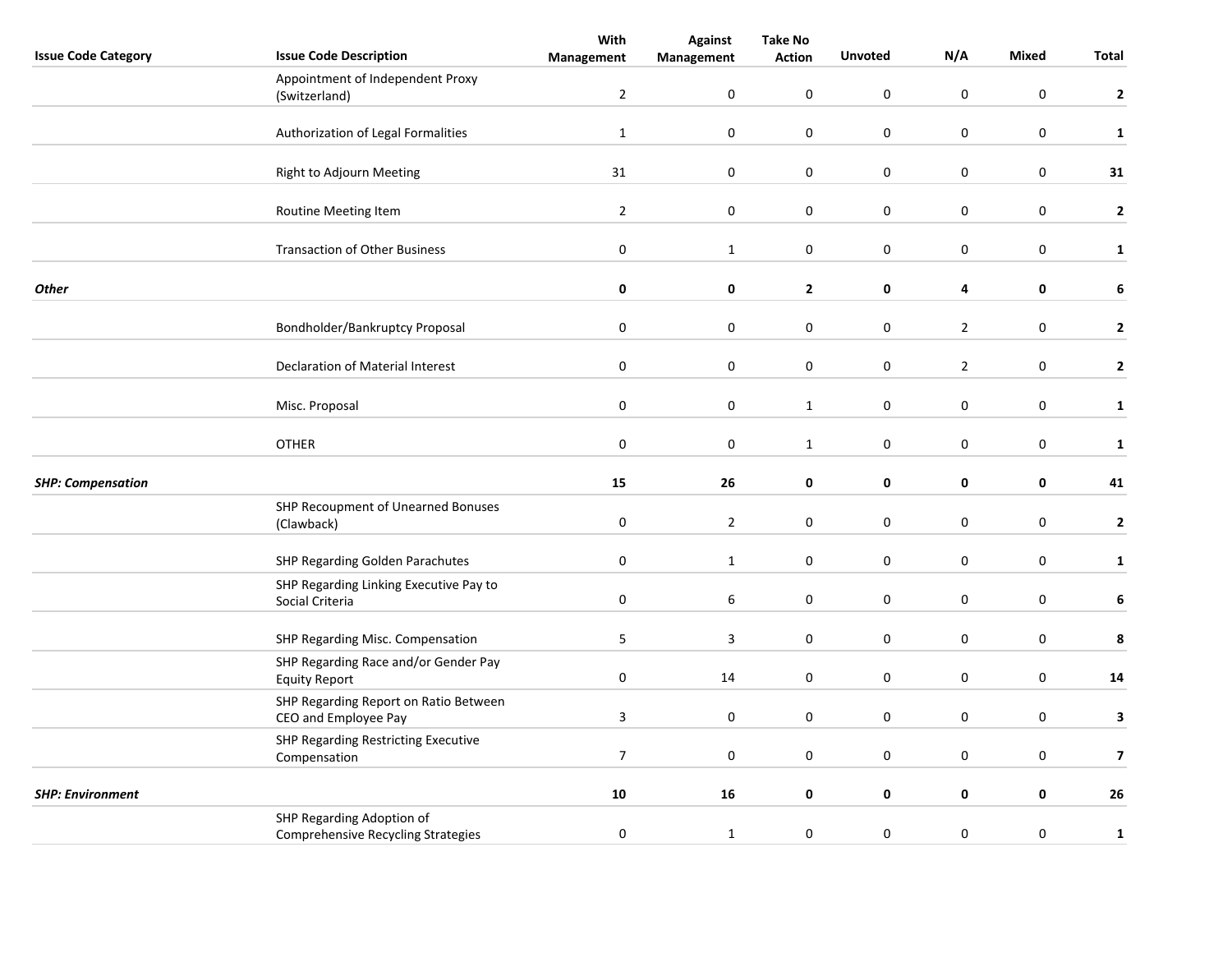| <b>Issue Code Category</b> | <b>Issue Code Description</b>                                          | With<br>Management | <b>Against</b><br>Management | <b>Take No</b><br><b>Action</b> | <b>Unvoted</b>   | N/A              | Mixed            | Total                   |
|----------------------------|------------------------------------------------------------------------|--------------------|------------------------------|---------------------------------|------------------|------------------|------------------|-------------------------|
|                            | Appointment of Independent Proxy                                       |                    |                              |                                 |                  |                  |                  |                         |
|                            | (Switzerland)                                                          | $\overline{2}$     | $\pmb{0}$                    | $\mathbf 0$                     | $\boldsymbol{0}$ | $\pmb{0}$        | $\boldsymbol{0}$ | $\mathbf{2}$            |
|                            | Authorization of Legal Formalities                                     | $\mathbf 1$        | $\boldsymbol{0}$             | $\pmb{0}$                       | $\pmb{0}$        | $\boldsymbol{0}$ | $\mathbf 0$      | $\mathbf{1}$            |
|                            |                                                                        |                    |                              |                                 |                  |                  |                  |                         |
|                            | Right to Adjourn Meeting                                               | 31                 | $\boldsymbol{0}$             | $\pmb{0}$                       | $\pmb{0}$        | $\boldsymbol{0}$ | $\boldsymbol{0}$ | 31                      |
|                            | Routine Meeting Item                                                   | $\overline{2}$     | $\pmb{0}$                    | $\pmb{0}$                       | $\pmb{0}$        | $\boldsymbol{0}$ | $\mathbf 0$      | $\mathbf{2}$            |
|                            | <b>Transaction of Other Business</b>                                   | $\pmb{0}$          | $\mathbf{1}$                 | $\pmb{0}$                       | $\pmb{0}$        | $\boldsymbol{0}$ | $\mathbf 0$      | $\mathbf{1}$            |
| <b>Other</b>               |                                                                        | $\pmb{0}$          | 0                            | $\mathbf{2}$                    | 0                | 4                | 0                | 6                       |
|                            | Bondholder/Bankruptcy Proposal                                         | $\pmb{0}$          | $\pmb{0}$                    | $\pmb{0}$                       | $\pmb{0}$        | $\overline{2}$   | $\mathbf 0$      | $\mathbf{2}$            |
|                            | Declaration of Material Interest                                       | $\pmb{0}$          | $\pmb{0}$                    | $\mathbf 0$                     | $\pmb{0}$        | $\overline{2}$   | $\boldsymbol{0}$ | $\mathbf{2}$            |
|                            |                                                                        |                    |                              |                                 |                  |                  |                  |                         |
|                            | Misc. Proposal                                                         | $\pmb{0}$          | $\pmb{0}$                    | $\mathbf{1}$                    | $\pmb{0}$        | $\boldsymbol{0}$ | $\mathbf 0$      | $\mathbf{1}$            |
|                            | <b>OTHER</b>                                                           | $\pmb{0}$          | $\pmb{0}$                    | $\mathbf{1}$                    | $\pmb{0}$        | $\mathbf 0$      | $\mathbf 0$      | $\mathbf{1}$            |
| <b>SHP: Compensation</b>   |                                                                        | 15                 | 26                           | 0                               | 0                | $\pmb{0}$        | 0                | 41                      |
|                            | SHP Recoupment of Unearned Bonuses<br>(Clawback)                       | $\pmb{0}$          | $\overline{2}$               | 0                               | $\mathbf 0$      | $\mathbf 0$      | $\mathbf 0$      | $\mathbf{2}$            |
|                            | SHP Regarding Golden Parachutes                                        | $\pmb{0}$          | $\mathbf{1}$                 | 0                               | $\pmb{0}$        | $\pmb{0}$        | $\mathbf 0$      | $\mathbf{1}$            |
|                            | SHP Regarding Linking Executive Pay to<br>Social Criteria              | $\bf{0}$           | 6                            | 0                               | $\mathbf 0$      | 0                | $\mathbf 0$      | 6                       |
|                            | SHP Regarding Misc. Compensation                                       | 5                  | 3                            | 0                               | $\pmb{0}$        | $\mathbf 0$      | $\mathbf 0$      | 8                       |
|                            | SHP Regarding Race and/or Gender Pay<br><b>Equity Report</b>           | $\pmb{0}$          | 14                           | 0                               | 0                | 0                | $\mathbf 0$      | 14                      |
|                            | SHP Regarding Report on Ratio Between<br>CEO and Employee Pay          | $\overline{3}$     | $\mathbf 0$                  | 0                               | $\mathbf 0$      | 0                | $\mathbf 0$      | 3                       |
|                            | SHP Regarding Restricting Executive<br>Compensation                    | $\overline{7}$     | $\mathbf 0$                  | 0                               | $\mathsf 0$      | $\mathsf 0$      | $\mathbf 0$      | $\overline{\mathbf{z}}$ |
|                            |                                                                        |                    |                              |                                 |                  |                  |                  |                         |
| <b>SHP: Environment</b>    |                                                                        | 10                 | 16                           | 0                               | 0                | 0                | $\mathbf 0$      | ${\bf 26}$              |
|                            | SHP Regarding Adoption of<br><b>Comprehensive Recycling Strategies</b> | $\pmb{0}$          | $\mathbf{1}$                 | $\mathbf 0$                     | $\boldsymbol{0}$ | $\mathsf 0$      | $\mathbf 0$      | $\mathbf{1}$            |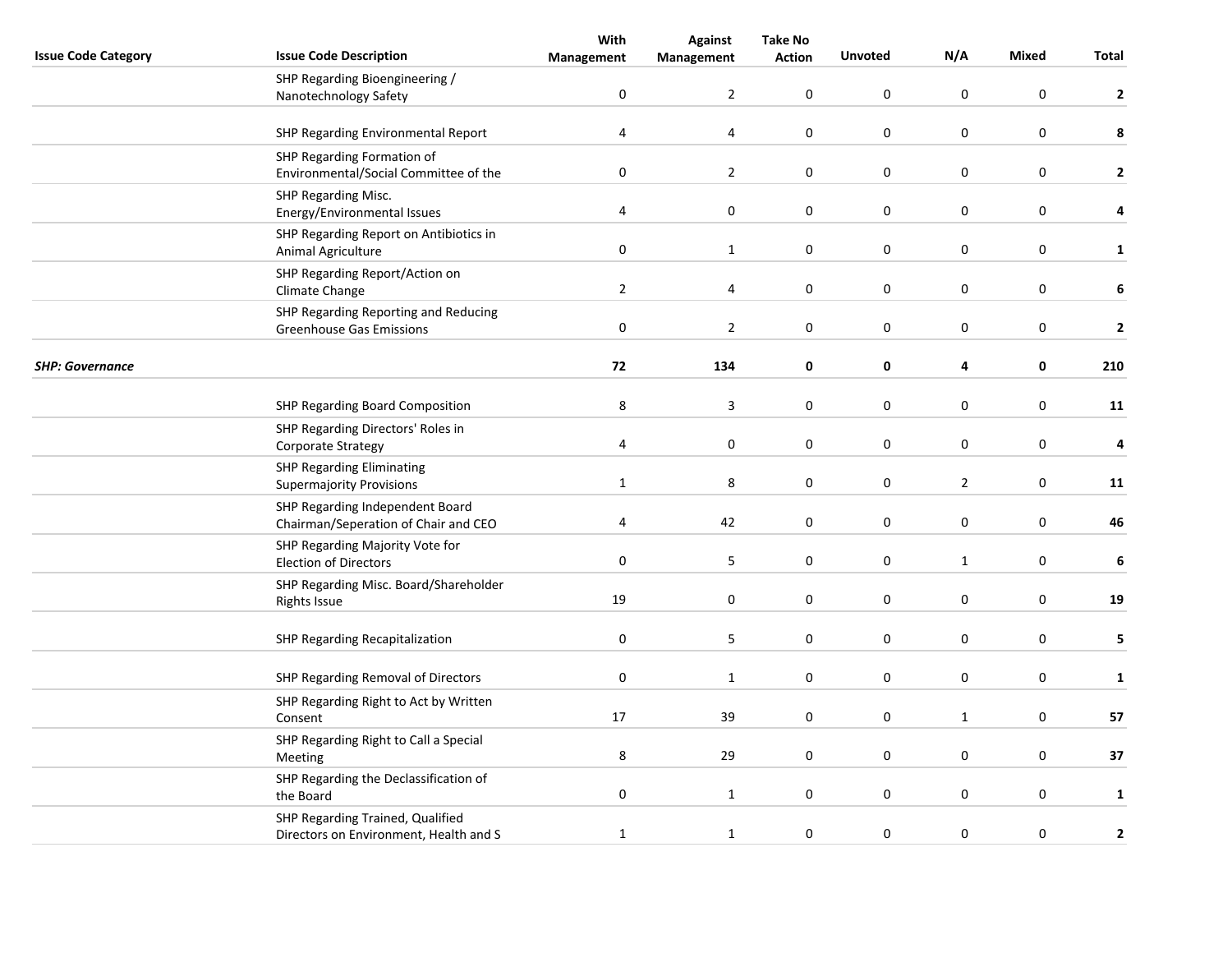|                            |                                                                            | With                    | <b>Against</b>   | <b>Take No</b>   |                  |                  |                  |              |
|----------------------------|----------------------------------------------------------------------------|-------------------------|------------------|------------------|------------------|------------------|------------------|--------------|
| <b>Issue Code Category</b> | <b>Issue Code Description</b>                                              | Management              | Management       | <b>Action</b>    | <b>Unvoted</b>   | N/A              | <b>Mixed</b>     | Total        |
|                            | SHP Regarding Bioengineering /<br>Nanotechnology Safety                    | $\pmb{0}$               | $\overline{2}$   | 0                | $\boldsymbol{0}$ | $\pmb{0}$        | $\boldsymbol{0}$ | $\mathbf{2}$ |
|                            | SHP Regarding Environmental Report                                         | 4                       | $\pmb{4}$        | $\boldsymbol{0}$ | $\boldsymbol{0}$ | $\mathsf 0$      | $\boldsymbol{0}$ | 8            |
|                            | SHP Regarding Formation of<br>Environmental/Social Committee of the        | $\pmb{0}$               | $\overline{2}$   | 0                | $\pmb{0}$        | $\mathsf 0$      | $\mathbf 0$      | $\mathbf{2}$ |
|                            | SHP Regarding Misc.<br>Energy/Environmental Issues                         | 4                       | $\pmb{0}$        | 0                | $\pmb{0}$        | $\pmb{0}$        | $\pmb{0}$        | 4            |
|                            | SHP Regarding Report on Antibiotics in<br>Animal Agriculture               | $\pmb{0}$               | $\mathbf{1}$     | 0                | $\boldsymbol{0}$ | $\boldsymbol{0}$ | $\pmb{0}$        | $\mathbf{1}$ |
|                            | SHP Regarding Report/Action on<br>Climate Change                           | $\overline{2}$          | 4                | 0                | $\boldsymbol{0}$ | $\boldsymbol{0}$ | $\mathbf 0$      | 6            |
|                            | SHP Regarding Reporting and Reducing<br><b>Greenhouse Gas Emissions</b>    | $\pmb{0}$               | $\mathbf 2$      | $\boldsymbol{0}$ | $\boldsymbol{0}$ | $\boldsymbol{0}$ | $\boldsymbol{0}$ | $\mathbf 2$  |
| <b>SHP: Governance</b>     |                                                                            | 72                      | 134              | 0                | $\pmb{0}$        | 4                | $\mathbf 0$      | 210          |
|                            | SHP Regarding Board Composition                                            | 8                       | 3                | 0                | $\mathbf 0$      | 0                | $\mathbf 0$      | 11           |
|                            | SHP Regarding Directors' Roles in<br>Corporate Strategy                    | $\overline{\mathbf{4}}$ | $\boldsymbol{0}$ | $\pmb{0}$        | $\pmb{0}$        | $\boldsymbol{0}$ | $\pmb{0}$        | 4            |
|                            | <b>SHP Regarding Eliminating</b><br><b>Supermajority Provisions</b>        | $\mathbf{1}$            | 8                | 0                | $\boldsymbol{0}$ | $\overline{2}$   | $\mathbf 0$      | 11           |
|                            | SHP Regarding Independent Board<br>Chairman/Seperation of Chair and CEO    | $\overline{\mathbf{4}}$ | 42               | 0                | $\boldsymbol{0}$ | $\boldsymbol{0}$ | $\boldsymbol{0}$ | 46           |
|                            | SHP Regarding Majority Vote for<br><b>Election of Directors</b>            | $\pmb{0}$               | 5                | $\boldsymbol{0}$ | $\pmb{0}$        | $\mathbf{1}$     | $\mathbf 0$      | 6            |
|                            | SHP Regarding Misc. Board/Shareholder<br><b>Rights Issue</b>               | 19                      | $\mathbf 0$      | 0                | $\pmb{0}$        | $\boldsymbol{0}$ | $\pmb{0}$        | 19           |
|                            | SHP Regarding Recapitalization                                             | 0                       | 5                | 0                | $\mathbf 0$      | 0                | $\pmb{0}$        | 5            |
|                            | SHP Regarding Removal of Directors                                         | 0                       | $\mathbf{1}$     | 0                | 0                | 0                | $\mathbf 0$      | $\mathbf{1}$ |
|                            | SHP Regarding Right to Act by Written<br>Consent                           | 17                      | 39               | 0                | $\boldsymbol{0}$ | $\mathbf{1}$     | $\mathbf 0$      | 57           |
|                            | SHP Regarding Right to Call a Special<br>Meeting                           | 8                       | 29               | 0                | $\boldsymbol{0}$ | $\boldsymbol{0}$ | $\mathbf 0$      | 37           |
|                            | SHP Regarding the Declassification of<br>the Board                         | $\pmb{0}$               | $\mathbf 1$      | 0                | $\pmb{0}$        | 0                | $\pmb{0}$        | $\mathbf{1}$ |
|                            | SHP Regarding Trained, Qualified<br>Directors on Environment, Health and S | $\mathbf 1$             | $\mathbf 1$      | 0                | $\boldsymbol{0}$ | $\boldsymbol{0}$ | $\pmb{0}$        | 2            |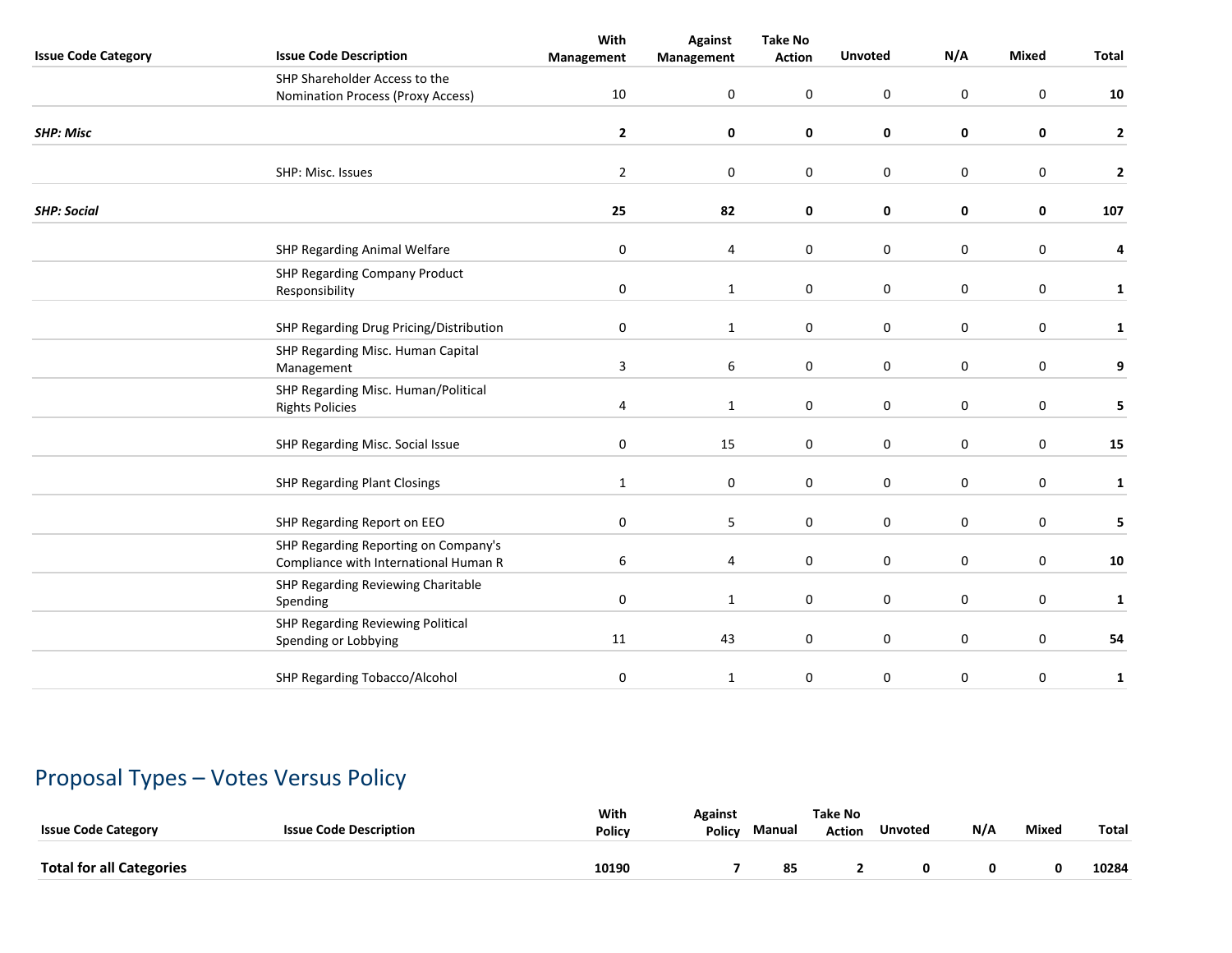| <b>Issue Code Category</b> | <b>Issue Code Description</b>                                                 | With<br>Management        | <b>Against</b><br>Management | <b>Take No</b><br><b>Action</b> | <b>Unvoted</b>   | N/A              | <b>Mixed</b>     | Total                   |
|----------------------------|-------------------------------------------------------------------------------|---------------------------|------------------------------|---------------------------------|------------------|------------------|------------------|-------------------------|
|                            | SHP Shareholder Access to the                                                 |                           |                              |                                 |                  |                  |                  |                         |
|                            | Nomination Process (Proxy Access)                                             | 10                        | 0                            | $\mathbf 0$                     | $\pmb{0}$        | $\mathbf 0$      | $\mathbf 0$      | 10                      |
| <b>SHP: Misc</b>           |                                                                               | $\mathbf{2}$              | 0                            | 0                               | 0                | 0                | 0                | $\overline{\mathbf{2}}$ |
|                            | SHP: Misc. Issues                                                             | $\overline{2}$            | 0                            | $\mathbf 0$                     | $\mathbf 0$      | $\mathbf 0$      | 0                | $\mathbf{2}$            |
| <b>SHP: Social</b>         |                                                                               | 25                        | 82                           | 0                               | 0                | 0                | 0                | 107                     |
|                            | <b>SHP Regarding Animal Welfare</b>                                           | $\pmb{0}$                 | 4                            | $\mathbf 0$                     | $\mathbf 0$      | $\mathbf 0$      | $\mathbf 0$      | 4                       |
|                            | <b>SHP Regarding Company Product</b><br>Responsibility                        | $\pmb{0}$                 | $\mathbf 1$                  | 0                               | $\mathbf 0$      | $\mathbf 0$      | $\pmb{0}$        | $\mathbf{1}$            |
|                            | SHP Regarding Drug Pricing/Distribution                                       | 0                         | $\mathbf{1}$                 | 0                               | 0                | $\mathbf 0$      | 0                | 1                       |
|                            | SHP Regarding Misc. Human Capital<br>Management                               | $\ensuremath{\mathsf{3}}$ | 6                            | 0                               | $\pmb{0}$        | $\pmb{0}$        | $\boldsymbol{0}$ | 9                       |
|                            | SHP Regarding Misc. Human/Political<br><b>Rights Policies</b>                 | 4                         | $\mathbf{1}$                 | 0                               | $\boldsymbol{0}$ | $\boldsymbol{0}$ | $\pmb{0}$        | 5                       |
|                            | SHP Regarding Misc. Social Issue                                              | 0                         | 15                           | 0                               | $\mathbf 0$      | $\mathbf 0$      | 0                | 15                      |
|                            | <b>SHP Regarding Plant Closings</b>                                           | $\mathbf{1}$              | 0                            | 0                               | $\mathbf 0$      | $\mathbf 0$      | 0                | 1                       |
|                            | SHP Regarding Report on EEO                                                   | $\pmb{0}$                 | 5                            | $\mathbf 0$                     | $\pmb{0}$        | $\pmb{0}$        | 0                | 5                       |
|                            | SHP Regarding Reporting on Company's<br>Compliance with International Human R | 6                         | 4                            | $\mathbf 0$                     | $\mathbf 0$      | $\mathbf 0$      | $\boldsymbol{0}$ | ${\bf 10}$              |
|                            | SHP Regarding Reviewing Charitable<br>Spending                                | 0                         | $\mathbf{1}$                 | 0                               | $\mathbf 0$      | $\boldsymbol{0}$ | $\mathbf 0$      | 1                       |
|                            | SHP Regarding Reviewing Political<br>Spending or Lobbying                     | 11                        | 43                           | 0                               | $\mathbf 0$      | $\mathbf 0$      | 0                | 54                      |
|                            | SHP Regarding Tobacco/Alcohol                                                 | $\pmb{0}$                 | $\mathbf{1}$                 | 0                               | $\mathbf 0$      | $\mathbf 0$      | $\pmb{0}$        | $\mathbf{1}$            |

# Proposal Types – Votes Versus Policy

| <b>Issue Code Category</b>      | <b>Issue Code Description</b> | With<br><b>Policy</b> | Against<br><b>Policy</b> | Manual | Take No<br><b>Action</b> | <b>Unvoted</b> | N/A | <b>Mixea</b> | Total |
|---------------------------------|-------------------------------|-----------------------|--------------------------|--------|--------------------------|----------------|-----|--------------|-------|
| <b>Total for all Categories</b> |                               | 10190                 |                          | 85     |                          |                |     |              | 10284 |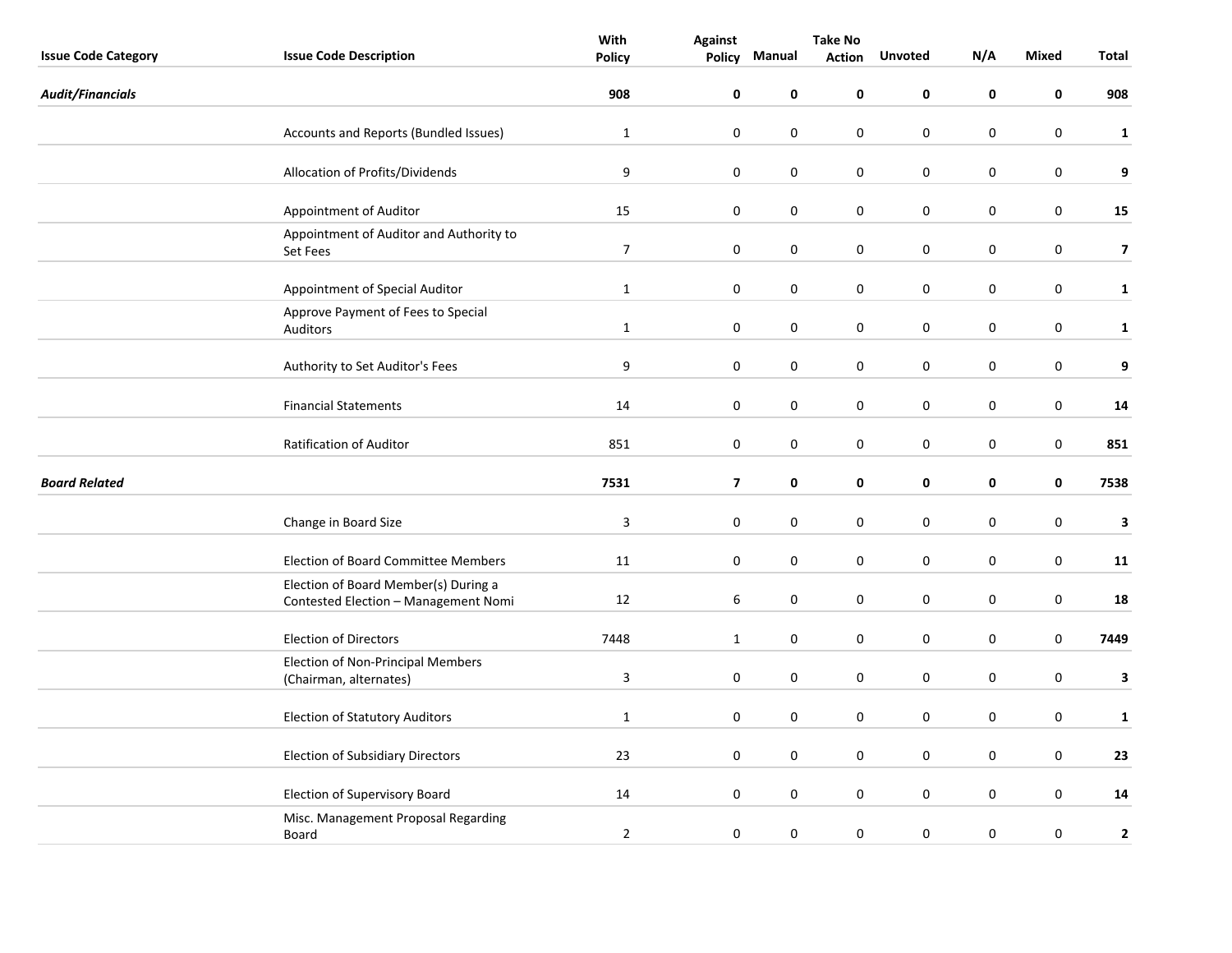|                            |                                                                              | With                    | <b>Take No</b>          |             |               |                  |           |                  |                         |
|----------------------------|------------------------------------------------------------------------------|-------------------------|-------------------------|-------------|---------------|------------------|-----------|------------------|-------------------------|
| <b>Issue Code Category</b> | <b>Issue Code Description</b>                                                | <b>Policy</b>           | Policy                  | Manual      | <b>Action</b> | <b>Unvoted</b>   | N/A       | Mixed            | Total                   |
| <b>Audit/Financials</b>    |                                                                              | 908                     | 0                       | 0           | 0             | 0                | 0         | 0                | 908                     |
|                            | Accounts and Reports (Bundled Issues)                                        | $\mathbf 1$             | $\pmb{0}$               | 0           | 0             | $\boldsymbol{0}$ | $\pmb{0}$ | $\boldsymbol{0}$ | $\mathbf{1}$            |
|                            | Allocation of Profits/Dividends                                              | 9                       | $\pmb{0}$               | 0           | 0             | $\boldsymbol{0}$ | $\pmb{0}$ | $\boldsymbol{0}$ | 9                       |
|                            | Appointment of Auditor                                                       | 15                      | $\mathbf 0$             | $\pmb{0}$   | 0             | $\pmb{0}$        | $\pmb{0}$ | $\pmb{0}$        | 15                      |
|                            | Appointment of Auditor and Authority to<br>Set Fees                          | $\overline{7}$          | $\mathbf 0$             | 0           | 0             | 0                | 0         | $\pmb{0}$        | $\overline{\mathbf{z}}$ |
|                            | Appointment of Special Auditor                                               | $\mathbf{1}$            | $\pmb{0}$               | 0           | 0             | 0                | 0         | 0                | $\mathbf{1}$            |
|                            | Approve Payment of Fees to Special<br>Auditors                               | $\mathbf{1}$            | $\mathbf 0$             | 0           | 0             | $\pmb{0}$        | 0         | $\boldsymbol{0}$ | $\mathbf{1}$            |
|                            | Authority to Set Auditor's Fees                                              | $\boldsymbol{9}$        | $\pmb{0}$               | $\pmb{0}$   | 0             | $\boldsymbol{0}$ | 0         | $\boldsymbol{0}$ | 9                       |
|                            | <b>Financial Statements</b>                                                  | 14                      | $\mathbf 0$             | $\mathbf 0$ | 0             | $\mathbf 0$      | 0         | $\mathbf 0$      | 14                      |
|                            | Ratification of Auditor                                                      | 851                     | $\mathbf 0$             | 0           | 0             | $\pmb{0}$        | 0         | $\boldsymbol{0}$ | 851                     |
| <b>Board Related</b>       |                                                                              | 7531                    | $\overline{\mathbf{z}}$ | 0           | 0             | 0                | 0         | 0                | 7538                    |
|                            | Change in Board Size                                                         | $\overline{\mathbf{3}}$ | $\boldsymbol{0}$        | $\pmb{0}$   | 0             | $\pmb{0}$        | 0         | $\boldsymbol{0}$ | $\overline{\mathbf{3}}$ |
|                            | <b>Election of Board Committee Members</b>                                   | 11                      | $\mathbf 0$             | 0           | 0             | 0                | 0         | $\pmb{0}$        | 11                      |
|                            | Election of Board Member(s) During a<br>Contested Election - Management Nomi | 12                      | $\sqrt{6}$              | $\mathbf 0$ | 0             | $\mathbf 0$      | 0         | $\mathbf 0$      | 18                      |
|                            | <b>Election of Directors</b>                                                 | 7448                    | $\mathbf{1}$            | 0           | 0             | $\pmb{0}$        | 0         | $\pmb{0}$        | 7449                    |
|                            | <b>Election of Non-Principal Members</b><br>(Chairman, alternates)           | $\overline{3}$          | $\pmb{0}$               | 0           | 0             | $\boldsymbol{0}$ | 0         | $\pmb{0}$        | 3                       |
|                            | <b>Election of Statutory Auditors</b>                                        | $\mathbf{1}$            | $\pmb{0}$               | 0           | 0             | 0                | 0         | $\pmb{0}$        | $\mathbf{1}$            |
|                            | <b>Election of Subsidiary Directors</b>                                      | 23                      | $\pmb{0}$               | 0           | 0             | $\mathbf 0$      | 0         | $\mathbf 0$      | 23                      |
|                            | <b>Election of Supervisory Board</b>                                         | 14                      | $\pmb{0}$               | 0           | 0             | $\boldsymbol{0}$ | 0         | $\boldsymbol{0}$ | 14                      |
|                            | Misc. Management Proposal Regarding<br>Board                                 | $\overline{2}$          | $\pmb{0}$               | 0           | $\pmb{0}$     | $\mathbf 0$      | $\pmb{0}$ | $\pmb{0}$        | $\mathbf{2}$            |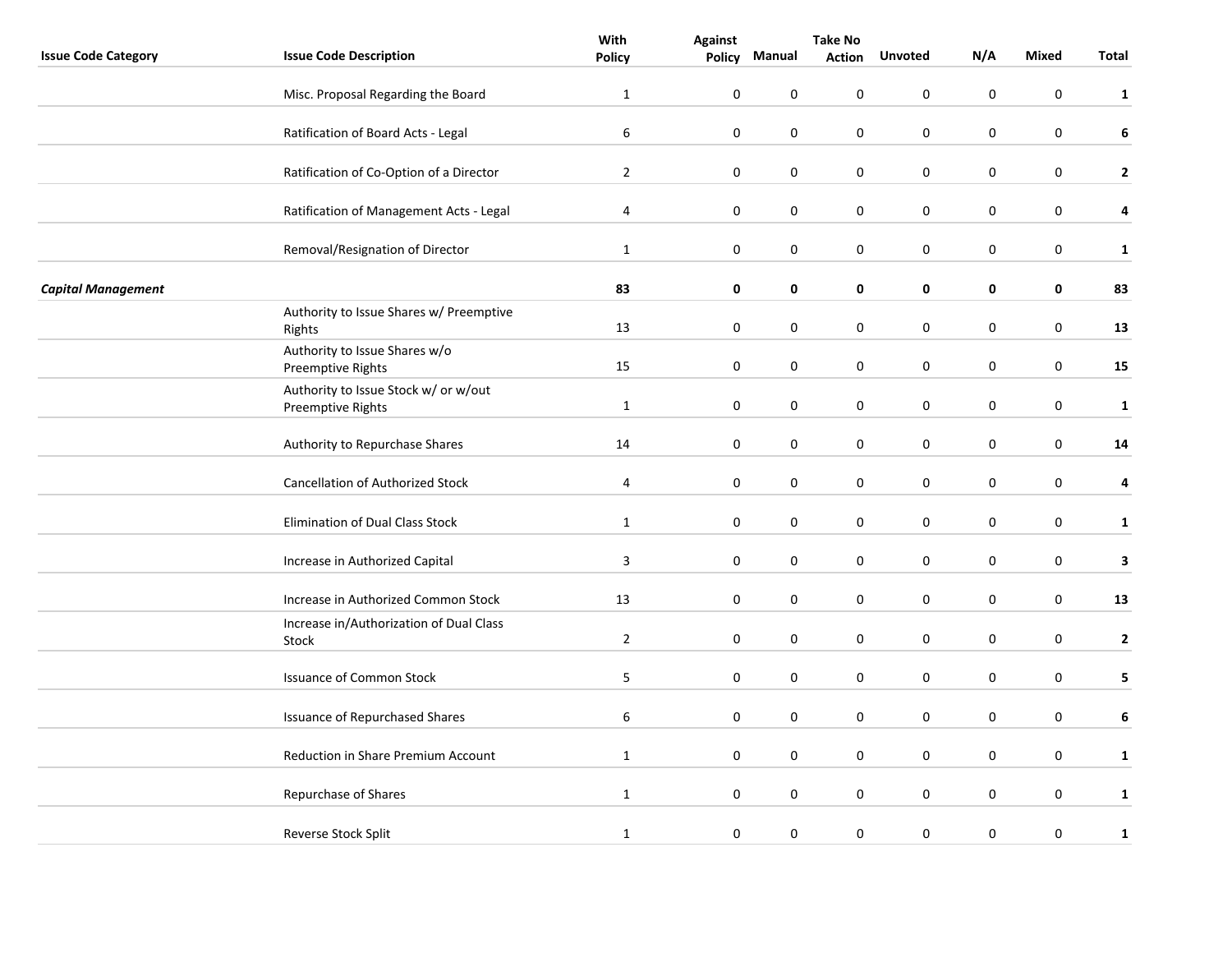|                            |                                                           | With             |                  | <b>Take No</b> |               |                  |                  |           |              |
|----------------------------|-----------------------------------------------------------|------------------|------------------|----------------|---------------|------------------|------------------|-----------|--------------|
| <b>Issue Code Category</b> | <b>Issue Code Description</b>                             | <b>Policy</b>    | <b>Policy</b>    | Manual         | <b>Action</b> | <b>Unvoted</b>   | N/A              | Mixed     | Total        |
|                            | Misc. Proposal Regarding the Board                        | $\mathbf{1}$     | $\pmb{0}$        | $\mathbf 0$    | 0             | 0                | 0                | 0         | $\mathbf{1}$ |
|                            | Ratification of Board Acts - Legal                        | $\boldsymbol{6}$ | $\pmb{0}$        | $\pmb{0}$      | 0             | $\pmb{0}$        | 0                | $\pmb{0}$ | 6            |
|                            | Ratification of Co-Option of a Director                   | $\overline{2}$   | $\mathbf 0$      | $\pmb{0}$      | 0             | $\pmb{0}$        | 0                | $\pmb{0}$ | $\mathbf{2}$ |
|                            | Ratification of Management Acts - Legal                   | 4                | $\mathbf 0$      | $\pmb{0}$      | $\pmb{0}$     | $\boldsymbol{0}$ | $\boldsymbol{0}$ | $\pmb{0}$ | 4            |
|                            | Removal/Resignation of Director                           | $\mathbf{1}$     | $\mathbf 0$      | 0              | 0             | $\mathbf 0$      | 0                | $\pmb{0}$ | $\mathbf{1}$ |
| <b>Capital Management</b>  |                                                           | 83               | $\mathbf 0$      | 0              | 0             | 0                | 0                | 0         | 83           |
|                            | Authority to Issue Shares w/ Preemptive<br>Rights         | 13               | $\mathbf 0$      | $\pmb{0}$      | 0             | 0                | 0                | $\pmb{0}$ | 13           |
|                            | Authority to Issue Shares w/o<br>Preemptive Rights        | 15               | $\mathbf 0$      | $\pmb{0}$      | 0             | $\pmb{0}$        | $\pmb{0}$        | $\pmb{0}$ | 15           |
|                            | Authority to Issue Stock w/ or w/out<br>Preemptive Rights | $\mathbf{1}$     | $\mathbf 0$      | $\pmb{0}$      | 0             | 0                | $\pmb{0}$        | $\pmb{0}$ | $\mathbf{1}$ |
|                            | Authority to Repurchase Shares                            | 14               | $\mathbf 0$      | 0              | 0             | 0                | 0                | $\pmb{0}$ | ${\bf 14}$   |
|                            | Cancellation of Authorized Stock                          | $\overline{4}$   | $\mathbf 0$      | 0              | $\pmb{0}$     | $\pmb{0}$        | $\boldsymbol{0}$ | $\pmb{0}$ | 4            |
|                            | Elimination of Dual Class Stock                           | $\mathbf{1}$     | $\mathbf 0$      | $\pmb{0}$      | 0             | $\pmb{0}$        | 0                | $\pmb{0}$ | $\mathbf{1}$ |
|                            | Increase in Authorized Capital                            | 3                | $\mathbf 0$      | $\pmb{0}$      | 0             | 0                | 0                | $\pmb{0}$ | 3            |
|                            | Increase in Authorized Common Stock                       | 13               | $\pmb{0}$        | $\pmb{0}$      | 0             | $\pmb{0}$        | $\pmb{0}$        | $\pmb{0}$ | 13           |
|                            | Increase in/Authorization of Dual Class<br>Stock          | $\overline{2}$   | $\mathbf 0$      | $\pmb{0}$      | 0             | 0                | 0                | $\pmb{0}$ | $\mathbf{2}$ |
|                            | <b>Issuance of Common Stock</b>                           | 5                | $\mathbf 0$      | 0              | $\pmb{0}$     | $\boldsymbol{0}$ | $\pmb{0}$        | $\pmb{0}$ | 5            |
|                            | Issuance of Repurchased Shares                            | $\,6\,$          | $\boldsymbol{0}$ | 0              | 0             | $\pmb{0}$        | $\pmb{0}$        | $\pmb{0}$ | $\bf 6$      |
|                            | Reduction in Share Premium Account                        | $\mathbf{1}$     | $\pmb{0}$        | $\pmb{0}$      | 0             | 0                | $\pmb{0}$        | $\pmb{0}$ | $\mathbf{1}$ |
|                            | Repurchase of Shares                                      | $\mathbf{1}$     | $\mathbf 0$      | $\pmb{0}$      | 0             | $\pmb{0}$        | $\pmb{0}$        | $\pmb{0}$ | $\mathbf{1}$ |
|                            | Reverse Stock Split                                       | $\mathbf{1}$     | $\pmb{0}$        | 0              | $\pmb{0}$     | $\pmb{0}$        | $\pmb{0}$        | $\pmb{0}$ | $\mathbf{1}$ |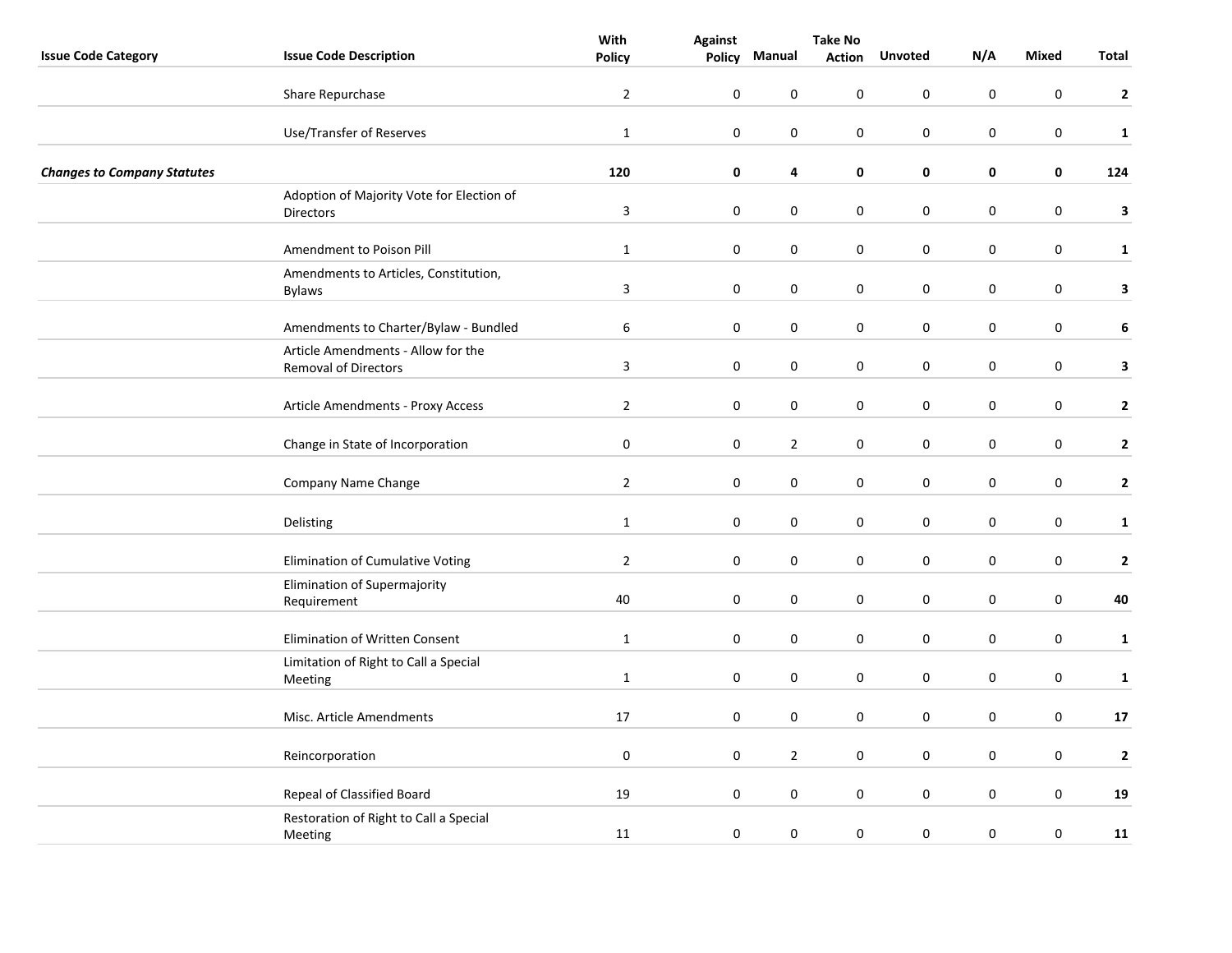|                                    |                                                                   | With                    | <b>Against</b> | <b>Take No</b> |               |                  |           |                  |              |
|------------------------------------|-------------------------------------------------------------------|-------------------------|----------------|----------------|---------------|------------------|-----------|------------------|--------------|
| <b>Issue Code Category</b>         | <b>Issue Code Description</b>                                     | <b>Policy</b>           | <b>Policy</b>  | Manual         | <b>Action</b> | <b>Unvoted</b>   | N/A       | Mixed            | Total        |
|                                    | Share Repurchase                                                  | $\overline{2}$          | $\pmb{0}$      | $\mathbf 0$    | 0             | $\mathbf 0$      | 0         | $\mathbf 0$      | $\mathbf{2}$ |
|                                    | Use/Transfer of Reserves                                          | $\mathbf{1}$            | $\pmb{0}$      | 0              | 0             | $\boldsymbol{0}$ | $\pmb{0}$ | $\boldsymbol{0}$ | $\mathbf 1$  |
| <b>Changes to Company Statutes</b> |                                                                   | 120                     | $\mathbf 0$    | 4              | 0             | $\pmb{0}$        | 0         | $\pmb{0}$        | 124          |
|                                    | Adoption of Majority Vote for Election of<br>Directors            | $\overline{\mathbf{3}}$ | $\mathbf 0$    | $\pmb{0}$      | 0             | $\pmb{0}$        | $\pmb{0}$ | $\boldsymbol{0}$ | 3            |
|                                    | Amendment to Poison Pill                                          | $\mathbf{1}$            | $\mathbf 0$    | 0              | 0             | $\mathbf 0$      | 0         | $\mathbf 0$      | $\mathbf{1}$ |
|                                    | Amendments to Articles, Constitution,<br><b>Bylaws</b>            | $\mathbf{3}$            | $\mathbf 0$    | 0              | 0             | 0                | 0         | 0                | $\mathbf{3}$ |
|                                    | Amendments to Charter/Bylaw - Bundled                             | 6                       | $\mathbf 0$    | $\pmb{0}$      | 0             | $\pmb{0}$        | 0         | $\boldsymbol{0}$ | 6            |
|                                    | Article Amendments - Allow for the<br><b>Removal of Directors</b> | $\mathbf{3}$            | $\mathbf 0$    | $\pmb{0}$      | 0             | $\boldsymbol{0}$ | 0         | $\boldsymbol{0}$ | 3            |
|                                    | Article Amendments - Proxy Access                                 | $\overline{2}$          | $\mathbf 0$    | $\pmb{0}$      | 0             | $\pmb{0}$        | 0         | $\pmb{0}$        | $\mathbf{2}$ |
|                                    | Change in State of Incorporation                                  | $\mathbf 0$             | $\mathbf 0$    | $\overline{2}$ | 0             | $\boldsymbol{0}$ | 0         | $\boldsymbol{0}$ | $\mathbf{2}$ |
|                                    | Company Name Change                                               | $\overline{2}$          | $\mathbf 0$    | 0              | 0             | $\boldsymbol{0}$ | 0         | $\boldsymbol{0}$ | $\mathbf{2}$ |
|                                    | Delisting                                                         | $\mathbf{1}$            | $\mathbf 0$    | 0              | 0             | $\boldsymbol{0}$ | 0         | $\boldsymbol{0}$ | $\mathbf{1}$ |
|                                    | Elimination of Cumulative Voting                                  | $\overline{2}$          | $\mathbf 0$    | $\pmb{0}$      | 0             | 0                | 0         | $\pmb{0}$        | $\mathbf{2}$ |
|                                    | Elimination of Supermajority<br>Requirement                       | 40                      | $\pmb{0}$      | $\mathbf 0$    | 0             | $\pmb{0}$        | 0         | $\pmb{0}$        | 40           |
|                                    | Elimination of Written Consent                                    | $\mathbf{1}$            | $\mathbf 0$    | $\pmb{0}$      | 0             | $\pmb{0}$        | 0         | $\pmb{0}$        | $\mathbf{1}$ |
|                                    | Limitation of Right to Call a Special<br>Meeting                  | $\mathbf{1}$            | $\mathbf 0$    | 0              | 0             | $\boldsymbol{0}$ | $\pmb{0}$ | $\pmb{0}$        | $\mathbf 1$  |
|                                    | Misc. Article Amendments                                          | 17                      | $\mathbf 0$    | 0              | 0             | $\pmb{0}$        | 0         | $\pmb{0}$        | 17           |
|                                    | Reincorporation                                                   | $\mathbf 0$             | $\pmb{0}$      | $\mathbf 2$    | 0             | $\mathbf 0$      | 0         | $\mathbf 0$      | $\mathbf{2}$ |
|                                    | Repeal of Classified Board                                        | 19                      | $\pmb{0}$      | $\pmb{0}$      | 0             | $\pmb{0}$        | $\pmb{0}$ | $\boldsymbol{0}$ | 19           |
|                                    | Restoration of Right to Call a Special<br>Meeting                 | 11                      | $\mathbf 0$    | 0              | 0             | $\boldsymbol{0}$ | $\pmb{0}$ | $\boldsymbol{0}$ | 11           |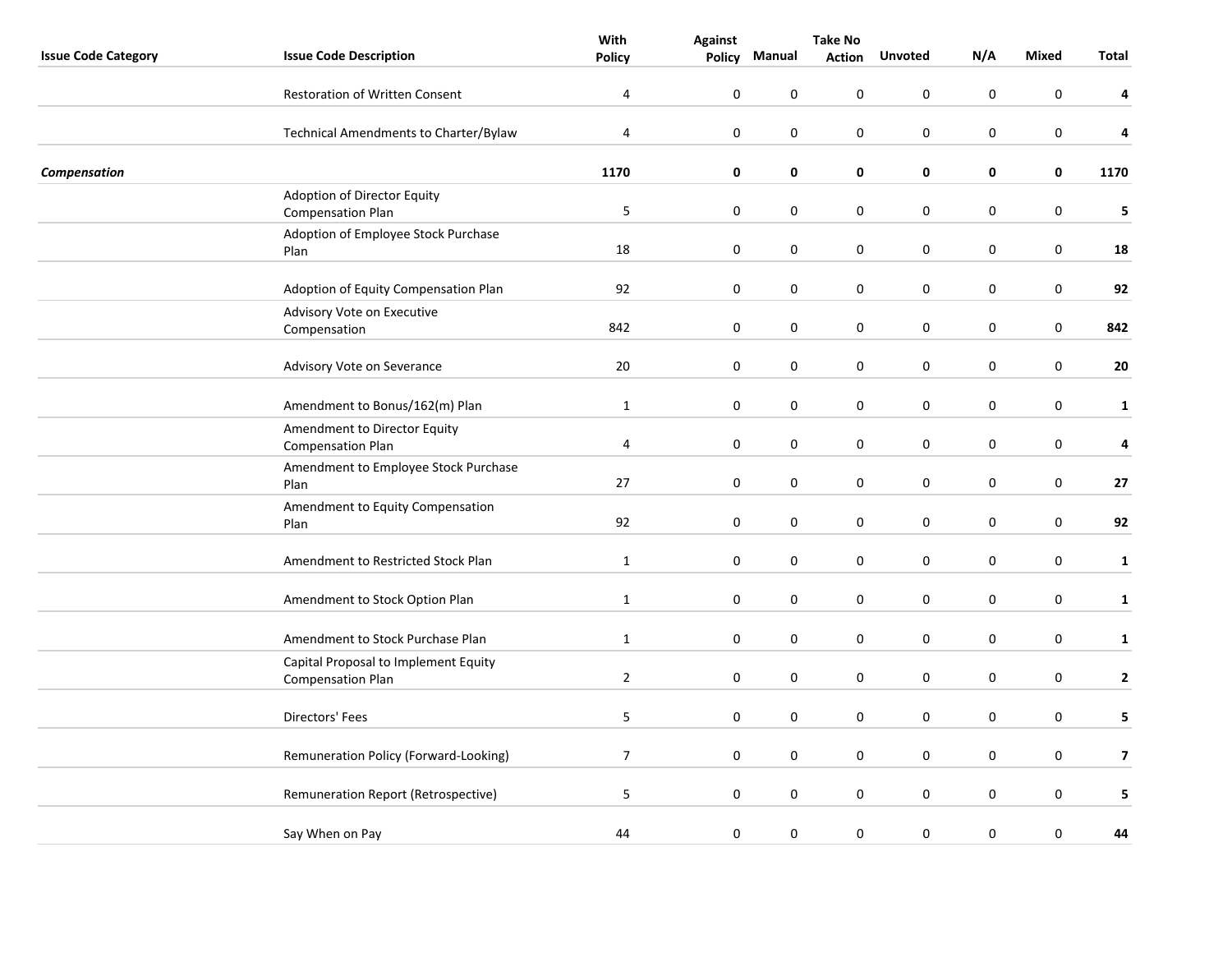|                            |                                                                  | With           | <b>Against</b>   | <b>Take No</b> |               |                |           |                  |              |
|----------------------------|------------------------------------------------------------------|----------------|------------------|----------------|---------------|----------------|-----------|------------------|--------------|
| <b>Issue Code Category</b> | <b>Issue Code Description</b>                                    | <b>Policy</b>  | Policy           | Manual         | <b>Action</b> | <b>Unvoted</b> | N/A       | <b>Mixed</b>     | <b>Total</b> |
|                            | <b>Restoration of Written Consent</b>                            | 4              | $\boldsymbol{0}$ | $\pmb{0}$      | 0             | 0              | $\pmb{0}$ | $\pmb{0}$        | 4            |
|                            | Technical Amendments to Charter/Bylaw                            | $\overline{4}$ | $\mathbf 0$      | 0              | 0             | $\pmb{0}$      | 0         | $\boldsymbol{0}$ | 4            |
| Compensation               |                                                                  | 1170           | $\pmb{0}$        | $\pmb{0}$      | 0             | $\pmb{0}$      | 0         | $\pmb{0}$        | 1170         |
|                            | Adoption of Director Equity<br><b>Compensation Plan</b>          | 5              | 0                | $\pmb{0}$      | 0             | $\pmb{0}$      | 0         | $\boldsymbol{0}$ | 5            |
|                            | Adoption of Employee Stock Purchase<br>Plan                      | $18\,$         | $\pmb{0}$        | $\pmb{0}$      | 0             | $\pmb{0}$      | $\pmb{0}$ | $\pmb{0}$        | 18           |
|                            | Adoption of Equity Compensation Plan                             | 92             | $\pmb{0}$        | $\pmb{0}$      | 0             | 0              | 0         | $\boldsymbol{0}$ | 92           |
|                            | Advisory Vote on Executive<br>Compensation                       | 842            | $\pmb{0}$        | $\pmb{0}$      | 0             | 0              | 0         | $\pmb{0}$        | 842          |
|                            | Advisory Vote on Severance                                       | 20             | 0                | $\pmb{0}$      | 0             | 0              | 0         | $\boldsymbol{0}$ | 20           |
|                            | Amendment to Bonus/162(m) Plan                                   | $\mathbf{1}$   | 0                | $\pmb{0}$      | 0             | $\pmb{0}$      | 0         | $\boldsymbol{0}$ | $\mathbf{1}$ |
|                            | Amendment to Director Equity<br><b>Compensation Plan</b>         | $\overline{4}$ | $\pmb{0}$        | $\pmb{0}$      | 0             | $\pmb{0}$      | $\pmb{0}$ | $\boldsymbol{0}$ | 4            |
|                            | Amendment to Employee Stock Purchase<br>Plan                     | 27             | $\pmb{0}$        | $\pmb{0}$      | 0             | 0              | $\pmb{0}$ | $\boldsymbol{0}$ | 27           |
|                            | Amendment to Equity Compensation<br>Plan                         | 92             | $\mathbf 0$      | 0              | 0             | 0              | 0         | $\mathbf 0$      | 92           |
|                            | Amendment to Restricted Stock Plan                               | $\mathbf{1}$   | 0                | 0              | 0             | 0              | 0         | $\boldsymbol{0}$ | $\mathbf{1}$ |
|                            | Amendment to Stock Option Plan                                   | $\mathbf{1}$   | 0                | $\pmb{0}$      | 0             | $\pmb{0}$      | 0         | $\boldsymbol{0}$ | $\mathbf{1}$ |
|                            | Amendment to Stock Purchase Plan                                 | $\mathbf{1}$   | 0                | $\pmb{0}$      | 0             | $\pmb{0}$      | 0         | $\boldsymbol{0}$ | $\mathbf{1}$ |
|                            | Capital Proposal to Implement Equity<br><b>Compensation Plan</b> | $\overline{2}$ | $\pmb{0}$        | $\pmb{0}$      | 0             | $\pmb{0}$      | $\pmb{0}$ | $\boldsymbol{0}$ | $\mathbf{2}$ |
|                            | Directors' Fees                                                  | 5 <sub>5</sub> | $\mathbf 0$      | 0              | 0             | 0              | 0         | 0                | 5            |
|                            | Remuneration Policy (Forward-Looking)                            | $\overline{7}$ | 0                | 0              | 0             | 0              | 0         | $\boldsymbol{0}$ | 7            |
|                            | Remuneration Report (Retrospective)                              | 5              | 0                | $\pmb{0}$      | 0             | $\pmb{0}$      | $\pmb{0}$ | $\boldsymbol{0}$ | 5            |
|                            | Say When on Pay                                                  | 44             | $\boldsymbol{0}$ | $\pmb{0}$      | 0             | 0              | $\pmb{0}$ | $\boldsymbol{0}$ | 44           |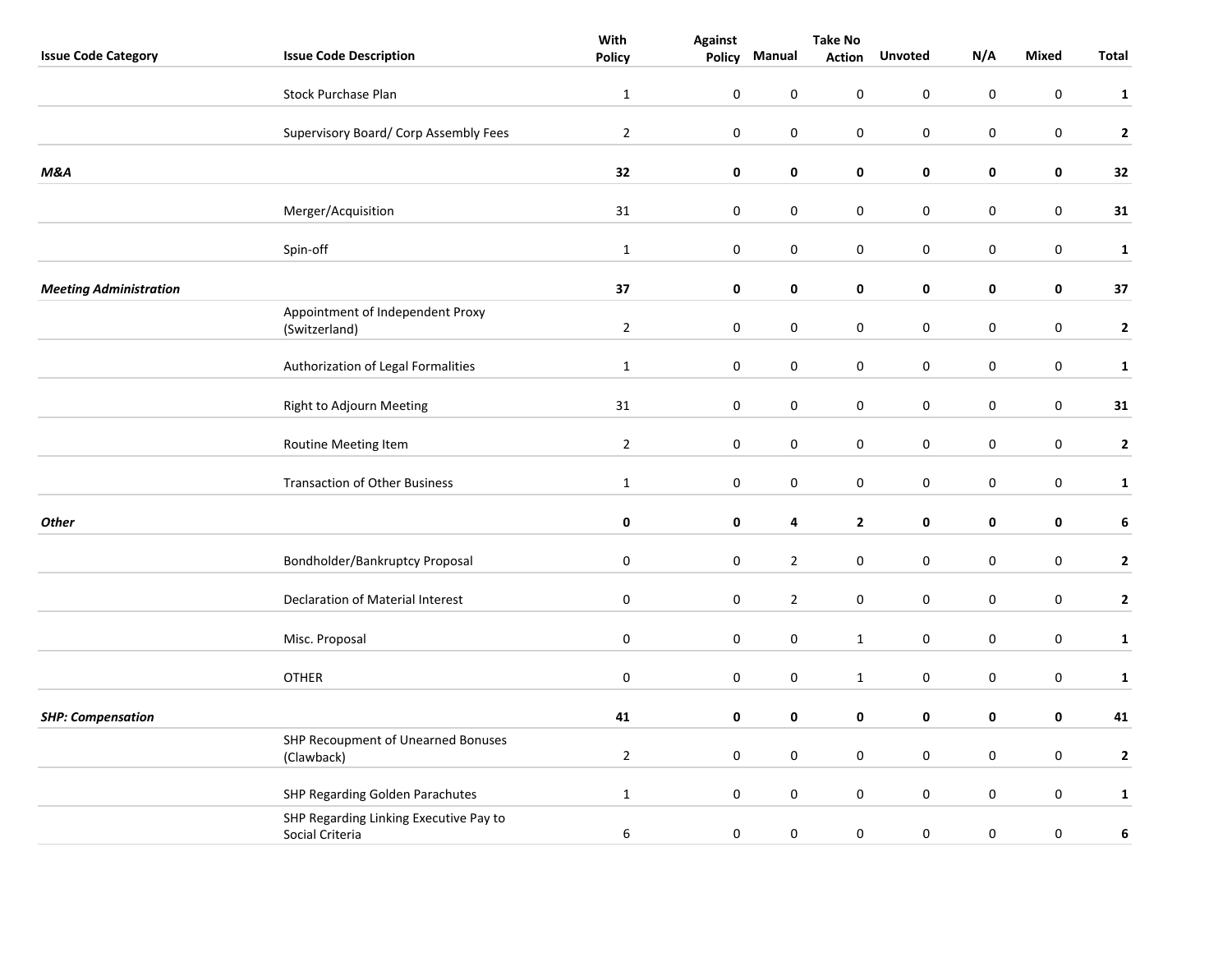|                               |                                                           | With           | <b>Against</b> | <b>Take No</b>   |                  |                  |                  |                  |                  |
|-------------------------------|-----------------------------------------------------------|----------------|----------------|------------------|------------------|------------------|------------------|------------------|------------------|
| <b>Issue Code Category</b>    | <b>Issue Code Description</b>                             | <b>Policy</b>  | Policy         | Manual           | <b>Action</b>    | <b>Unvoted</b>   | N/A              | <b>Mixed</b>     | <b>Total</b>     |
|                               | <b>Stock Purchase Plan</b>                                | $\mathbf{1}$   | $\pmb{0}$      | $\mathbf 0$      | 0                | 0                | $\pmb{0}$        | 0                | $\mathbf{1}$     |
|                               | Supervisory Board/ Corp Assembly Fees                     | $\mathbf 2$    | $\pmb{0}$      | $\pmb{0}$        | 0                | $\pmb{0}$        | $\pmb{0}$        | $\pmb{0}$        | $\mathbf{2}$     |
| M&A                           |                                                           | 32             | $\mathbf 0$    | $\pmb{0}$        | 0                | 0                | 0                | $\pmb{0}$        | 32               |
|                               | Merger/Acquisition                                        | 31             | $\pmb{0}$      | $\boldsymbol{0}$ | $\pmb{0}$        | $\pmb{0}$        | $\pmb{0}$        | $\pmb{0}$        | 31               |
|                               | Spin-off                                                  | $\mathbf 1$    | $\pmb{0}$      | $\boldsymbol{0}$ | 0                | $\pmb{0}$        | $\pmb{0}$        | $\boldsymbol{0}$ | $\mathbf{1}$     |
| <b>Meeting Administration</b> |                                                           | 37             | $\mathbf 0$    | 0                | 0                | 0                | 0                | 0                | 37               |
|                               | Appointment of Independent Proxy<br>(Switzerland)         | $\overline{2}$ | $\pmb{0}$      | $\pmb{0}$        | 0                | $\pmb{0}$        | $\pmb{0}$        | $\pmb{0}$        | $\mathbf{2}$     |
|                               | Authorization of Legal Formalities                        | $\mathbf{1}$   | $\pmb{0}$      | $\boldsymbol{0}$ | 0                | $\pmb{0}$        | $\pmb{0}$        | $\pmb{0}$        | $\mathbf{1}$     |
|                               | Right to Adjourn Meeting                                  | 31             | $\pmb{0}$      | $\boldsymbol{0}$ | 0                | 0                | 0                | 0                | 31               |
|                               | Routine Meeting Item                                      | $\overline{2}$ | $\mathbf 0$    | $\boldsymbol{0}$ | 0                | $\pmb{0}$        | $\pmb{0}$        | $\boldsymbol{0}$ | $\mathbf{2}$     |
|                               | <b>Transaction of Other Business</b>                      | $\mathbf{1}$   | $\pmb{0}$      | $\pmb{0}$        | 0                | $\pmb{0}$        | $\pmb{0}$        | $\boldsymbol{0}$ | $\mathbf{1}$     |
| <b>Other</b>                  |                                                           | $\pmb{0}$      | $\pmb{0}$      | 4                | $\mathbf{2}$     | 0                | 0                | 0                | 6                |
|                               | Bondholder/Bankruptcy Proposal                            | $\pmb{0}$      | $\pmb{0}$      | $\overline{2}$   | 0                | $\pmb{0}$        | $\pmb{0}$        | $\pmb{0}$        | $\mathbf{2}$     |
|                               | Declaration of Material Interest                          | $\pmb{0}$      | $\pmb{0}$      | $\overline{2}$   | 0                | $\pmb{0}$        | $\pmb{0}$        | $\boldsymbol{0}$ | $\mathbf{2}$     |
|                               | Misc. Proposal                                            | $\mathbf 0$    | $\pmb{0}$      | $\boldsymbol{0}$ | $\mathbf{1}$     | $\pmb{0}$        | $\pmb{0}$        | $\boldsymbol{0}$ | $\mathbf{1}$     |
|                               | <b>OTHER</b>                                              | $\pmb{0}$      | $\pmb{0}$      | $\boldsymbol{0}$ | $\mathbf{1}$     | $\pmb{0}$        | $\pmb{0}$        | $\boldsymbol{0}$ | $\mathbf{1}$     |
| <b>SHP: Compensation</b>      |                                                           | 41             | 0              | 0                | 0                | 0                | 0                | 0                | 41               |
|                               | SHP Recoupment of Unearned Bonuses<br>(Clawback)          | $\overline{2}$ | $\pmb{0}$      | $\pmb{0}$        | 0                | $\pmb{0}$        | $\pmb{0}$        | $\pmb{0}$        | $\mathbf{2}$     |
|                               | SHP Regarding Golden Parachutes                           | $\mathbf{1}$   | $\pmb{0}$      | $\boldsymbol{0}$ | 0                | $\pmb{0}$        | $\pmb{0}$        | $\boldsymbol{0}$ | $\mathbf{1}$     |
|                               | SHP Regarding Linking Executive Pay to<br>Social Criteria | 6              | $\pmb{0}$      | $\boldsymbol{0}$ | $\boldsymbol{0}$ | $\boldsymbol{0}$ | $\boldsymbol{0}$ | $\pmb{0}$        | $\boldsymbol{6}$ |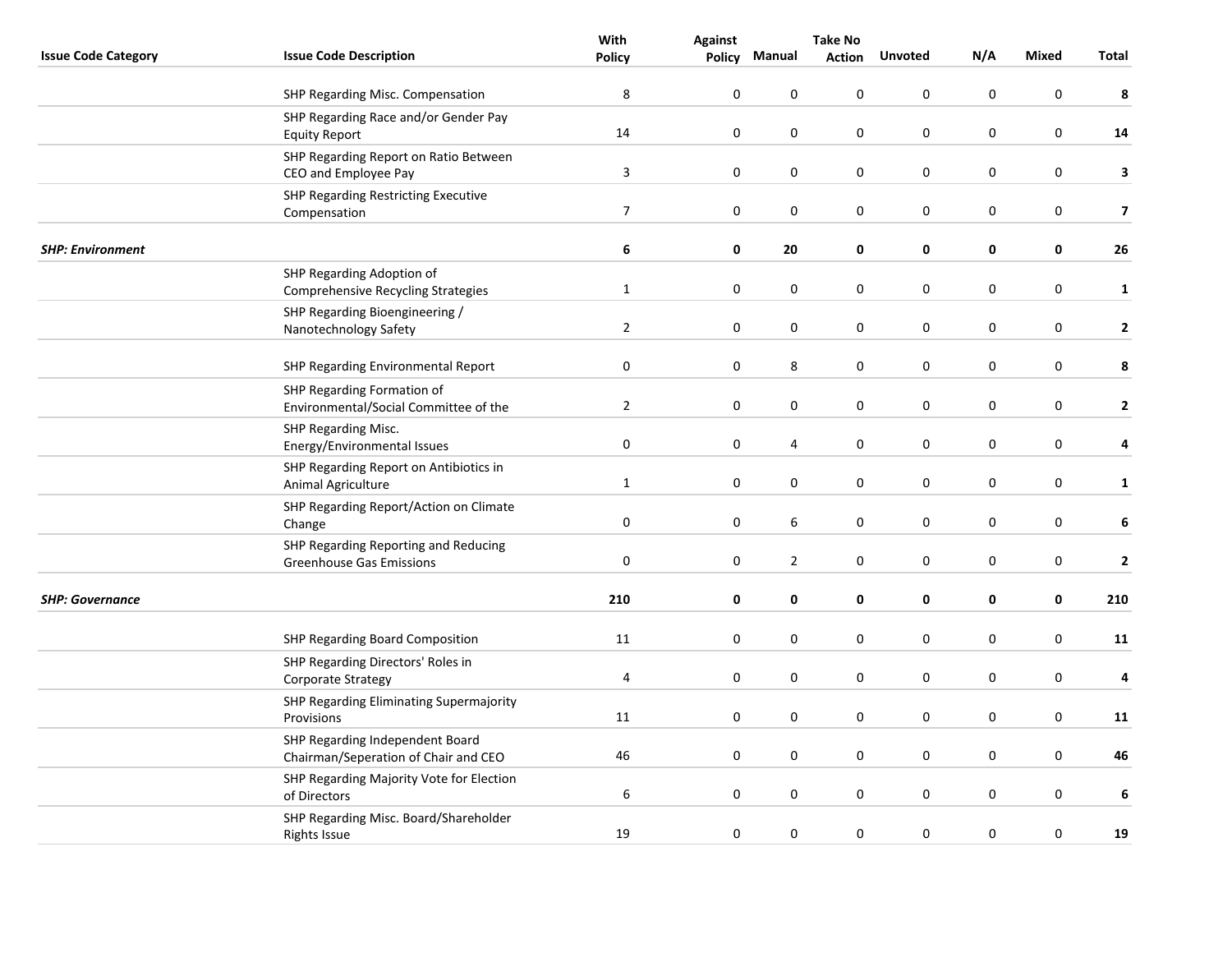|                            |                                                                         | With                    | <b>Against</b>   | <b>Take No</b> |               |                  |           |                  |                         |
|----------------------------|-------------------------------------------------------------------------|-------------------------|------------------|----------------|---------------|------------------|-----------|------------------|-------------------------|
| <b>Issue Code Category</b> | <b>Issue Code Description</b>                                           | Policy                  | <b>Policy</b>    | Manual         | <b>Action</b> | <b>Unvoted</b>   | N/A       | Mixed            | <b>Total</b>            |
|                            | SHP Regarding Misc. Compensation                                        | 8                       | $\boldsymbol{0}$ | 0              | 0             | $\pmb{0}$        | 0         | $\pmb{0}$        | 8                       |
|                            | SHP Regarding Race and/or Gender Pay<br><b>Equity Report</b>            | 14                      | $\pmb{0}$        | 0              | 0             | $\boldsymbol{0}$ | $\pmb{0}$ | $\boldsymbol{0}$ | 14                      |
|                            | SHP Regarding Report on Ratio Between<br>CEO and Employee Pay           | $\overline{\mathbf{3}}$ | $\mathbf 0$      | $\pmb{0}$      | 0             | $\pmb{0}$        | 0         | $\pmb{0}$        | 3                       |
|                            | SHP Regarding Restricting Executive<br>Compensation                     | $\overline{7}$          | $\mathbf 0$      | $\mathbf 0$    | 0             | $\mathbf 0$      | 0         | $\mathbf 0$      | $\overline{\mathbf{z}}$ |
| <b>SHP: Environment</b>    |                                                                         | 6                       | 0                | 20             | 0             | 0                | 0         | 0                | 26                      |
|                            | SHP Regarding Adoption of<br>Comprehensive Recycling Strategies         | $\mathbf{1}$            | 0                | 0              | 0             | 0                | 0         | 0                | $\mathbf{1}$            |
|                            | SHP Regarding Bioengineering /<br>Nanotechnology Safety                 | $\overline{2}$          | 0                | 0              | 0             | $\pmb{0}$        | 0         | $\pmb{0}$        | $\mathbf{2}$            |
|                            | SHP Regarding Environmental Report                                      | $\pmb{0}$               | $\boldsymbol{0}$ | 8              | 0             | $\pmb{0}$        | 0         | $\pmb{0}$        | 8                       |
|                            | SHP Regarding Formation of<br>Environmental/Social Committee of the     | $\overline{2}$          | $\pmb{0}$        | $\pmb{0}$      | 0             | $\pmb{0}$        | 0         | $\pmb{0}$        | $\mathbf{2}$            |
|                            | SHP Regarding Misc.<br>Energy/Environmental Issues                      | $\boldsymbol{0}$        | $\boldsymbol{0}$ | 4              | 0             | $\boldsymbol{0}$ | $\pmb{0}$ | $\pmb{0}$        | 4                       |
|                            | SHP Regarding Report on Antibiotics in<br>Animal Agriculture            | $\mathbf{1}$            | 0                | 0              | 0             | $\mathbf 0$      | 0         | 0                | $\mathbf{1}$            |
|                            | SHP Regarding Report/Action on Climate<br>Change                        | $\pmb{0}$               | 0                | 6              | 0             | $\boldsymbol{0}$ | 0         | 0                | 6                       |
|                            | SHP Regarding Reporting and Reducing<br><b>Greenhouse Gas Emissions</b> | $\mathbf 0$             | $\mathbf 0$      | $\mathbf 2$    | 0             | $\boldsymbol{0}$ | 0         | $\boldsymbol{0}$ | $\mathbf{2}$            |
| <b>SHP: Governance</b>     |                                                                         | 210                     | 0                | 0              | 0             | $\pmb{0}$        | 0         | $\pmb{0}$        | 210                     |
|                            | SHP Regarding Board Composition                                         | 11                      | $\pmb{0}$        | $\pmb{0}$      | 0             | $\mathbf 0$      | 0         | 0                | 11                      |
|                            | SHP Regarding Directors' Roles in<br>Corporate Strategy                 | 4                       | 0                | 0              | 0             | $\boldsymbol{0}$ | 0         | $\pmb{0}$        | 4                       |
|                            | SHP Regarding Eliminating Supermajority<br>Provisions                   | 11                      | 0                | 0              | 0             | $\pmb{0}$        | 0         | $\pmb{0}$        | 11                      |
|                            | SHP Regarding Independent Board<br>Chairman/Seperation of Chair and CEO | 46                      | 0                | 0              | 0             | $\mathbf 0$      | 0         | $\mathbf 0$      | 46                      |
|                            | SHP Regarding Majority Vote for Election<br>of Directors                | $\,6\,$                 | 0                | $\pmb{0}$      | 0             | $\boldsymbol{0}$ | 0         | $\boldsymbol{0}$ | 6                       |
|                            | SHP Regarding Misc. Board/Shareholder<br><b>Rights Issue</b>            | 19                      | $\pmb{0}$        | 0              | $\pmb{0}$     | $\boldsymbol{0}$ | $\pmb{0}$ | $\pmb{0}$        | 19                      |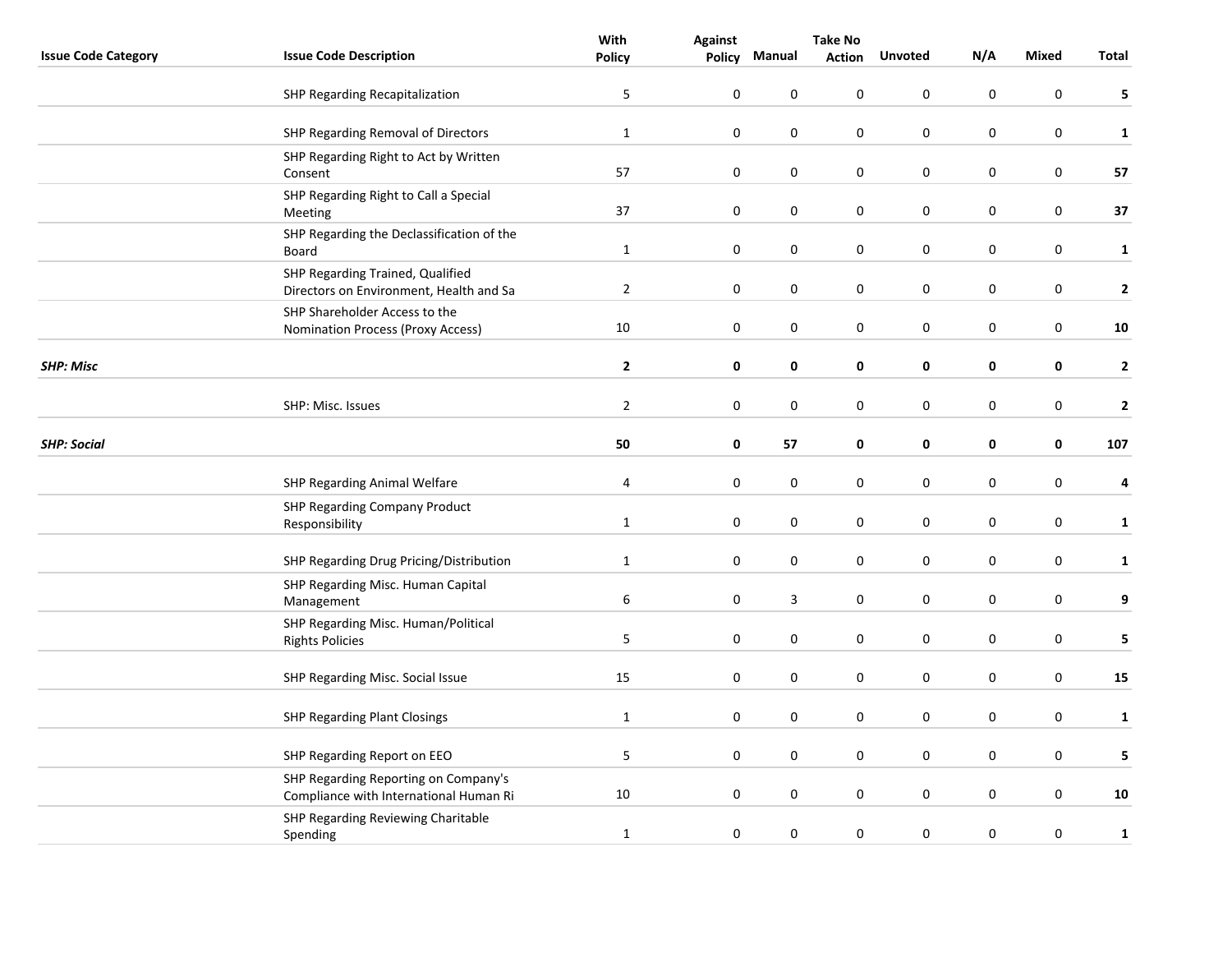|                            |                                                                                | With             | <b>Against</b>   | <b>Take No</b> |               |                  |           |                  |              |
|----------------------------|--------------------------------------------------------------------------------|------------------|------------------|----------------|---------------|------------------|-----------|------------------|--------------|
| <b>Issue Code Category</b> | <b>Issue Code Description</b>                                                  | <b>Policy</b>    | Policy           | Manual         | <b>Action</b> | <b>Unvoted</b>   | N/A       | Mixed            | Total        |
|                            | SHP Regarding Recapitalization                                                 | 5                | $\mathbf 0$      | 0              | 0             | $\mathbf 0$      | 0         | $\mathbf 0$      | 5            |
|                            | SHP Regarding Removal of Directors                                             | $\mathbf 1$      | $\boldsymbol{0}$ | 0              | 0             | $\pmb{0}$        | 0         | $\pmb{0}$        | $\mathbf{1}$ |
|                            | SHP Regarding Right to Act by Written<br>Consent                               | 57               | $\pmb{0}$        | 0              | 0             | $\boldsymbol{0}$ | $\pmb{0}$ | $\boldsymbol{0}$ | 57           |
|                            | SHP Regarding Right to Call a Special<br>Meeting                               | 37               | $\mathbf 0$      | $\pmb{0}$      | 0             | $\boldsymbol{0}$ | $\pmb{0}$ | $\boldsymbol{0}$ | 37           |
|                            | SHP Regarding the Declassification of the<br>Board                             | $\mathbf{1}$     | $\mathbf 0$      | $\pmb{0}$      | 0             | $\boldsymbol{0}$ | $\pmb{0}$ | $\boldsymbol{0}$ | $\mathbf 1$  |
|                            | SHP Regarding Trained, Qualified<br>Directors on Environment, Health and Sa    | $\overline{2}$   | $\mathbf 0$      | 0              | 0             | $\mathbf 0$      | 0         | 0                | $\mathbf{2}$ |
|                            | SHP Shareholder Access to the<br><b>Nomination Process (Proxy Access)</b>      | 10               | $\pmb{0}$        | $\pmb{0}$      | 0             | $\pmb{0}$        | 0         | $\pmb{0}$        | ${\bf 10}$   |
| <b>SHP: Misc</b>           |                                                                                | $\mathbf{2}$     | $\mathbf 0$      | 0              | 0             | $\pmb{0}$        | 0         | $\pmb{0}$        | $\mathbf{2}$ |
|                            | SHP: Misc. Issues                                                              | $\overline{2}$   | $\mathbf 0$      | $\pmb{0}$      | 0             | $\pmb{0}$        | 0         | $\pmb{0}$        | $\mathbf{2}$ |
| <b>SHP: Social</b>         |                                                                                | 50               | $\pmb{0}$        | 57             | 0             | 0                | 0         | 0                | 107          |
|                            | SHP Regarding Animal Welfare                                                   | 4                | $\pmb{0}$        | $\pmb{0}$      | 0             | $\mathbf 0$      | 0         | $\boldsymbol{0}$ | 4            |
|                            | <b>SHP Regarding Company Product</b><br>Responsibility                         | $\mathbf{1}$     | $\mathbf 0$      | 0              | 0             | $\mathbf 0$      | 0         | $\mathbf 0$      | $\mathbf{1}$ |
|                            | SHP Regarding Drug Pricing/Distribution                                        | $\mathbf{1}$     | $\pmb{0}$        | $\pmb{0}$      | 0             | $\boldsymbol{0}$ | $\pmb{0}$ | $\boldsymbol{0}$ | $\mathbf{1}$ |
|                            | SHP Regarding Misc. Human Capital<br>Management                                | $\boldsymbol{6}$ | $\mathbf 0$      | 3              | 0             | $\boldsymbol{0}$ | 0         | $\boldsymbol{0}$ | 9            |
|                            | SHP Regarding Misc. Human/Political<br><b>Rights Policies</b>                  | 5                | $\mathbf 0$      | $\pmb{0}$      | 0             | $\boldsymbol{0}$ | $\pmb{0}$ | $\boldsymbol{0}$ | 5            |
|                            | SHP Regarding Misc. Social Issue                                               | 15               | $\pmb{0}$        | 0              | 0             | $\mathbf 0$      | $\pmb{0}$ | $\boldsymbol{0}$ | ${\bf 15}$   |
|                            | SHP Regarding Plant Closings                                                   | $\mathbf{1}$     | $\mathbf 0$      | 0              | 0             | 0                | 0         | 0                | $\mathbf{1}$ |
|                            | SHP Regarding Report on EEO                                                    | 5                | $\pmb{0}$        | 0              | 0             | $\pmb{0}$        | 0         | $\boldsymbol{0}$ | 5            |
|                            | SHP Regarding Reporting on Company's<br>Compliance with International Human Ri | 10               | $\pmb{0}$        | 0              | 0             | $\boldsymbol{0}$ | 0         | $\boldsymbol{0}$ | ${\bf 10}$   |
|                            | SHP Regarding Reviewing Charitable<br>Spending                                 | $\mathbf{1}$     | $\pmb{0}$        | 0              | $\pmb{0}$     | $\mathbf 0$      | $\pmb{0}$ | $\boldsymbol{0}$ | $\mathbf 1$  |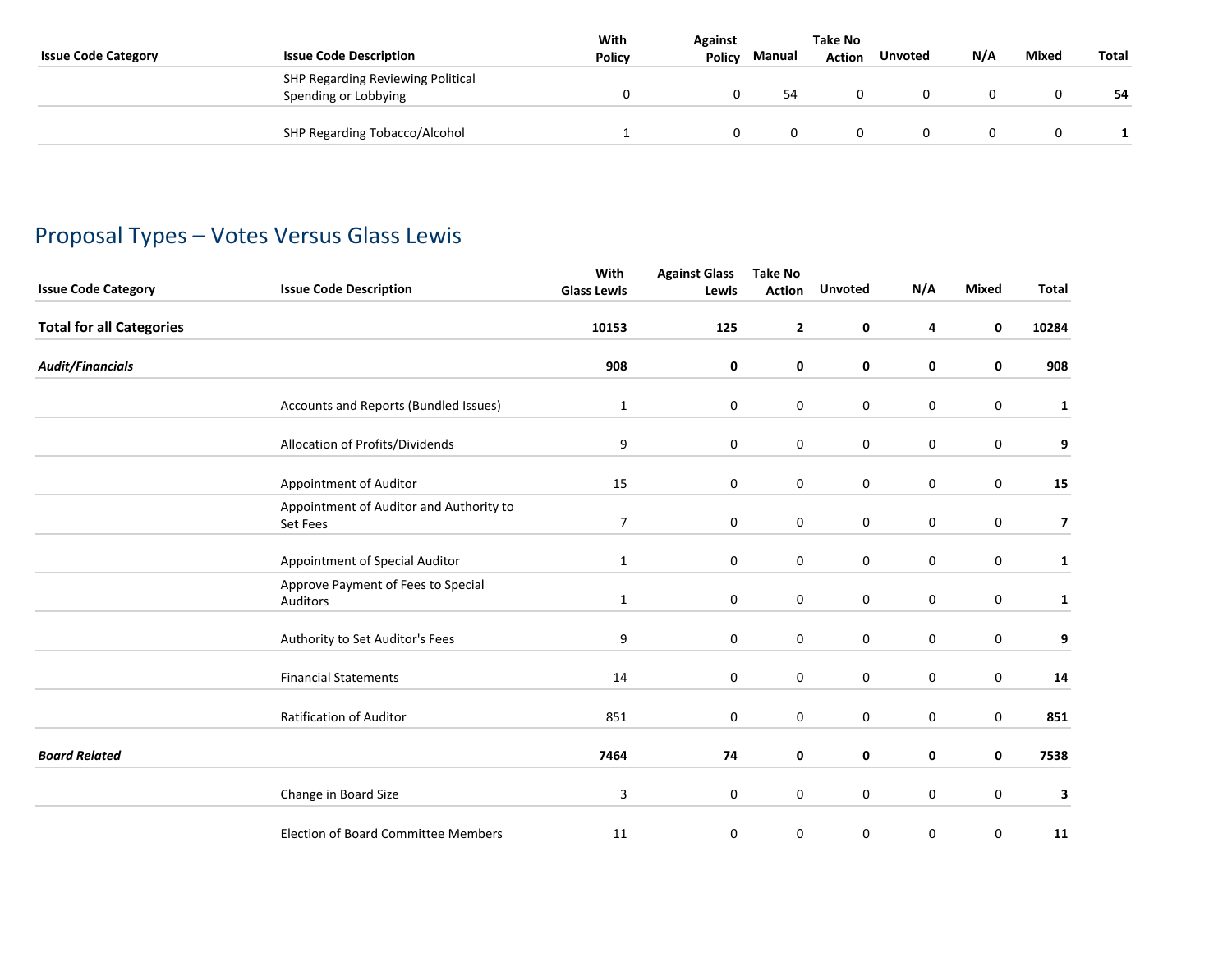| <b>Issue Code Category</b> | <b>Issue Code Description</b>                             | With<br><b>Policy</b> | <b>Against</b><br><b>Policy</b> | Manual | Take No<br><b>Action</b> | <b>Unvoted</b> | N/A | Mixed | <b>Total</b> |
|----------------------------|-----------------------------------------------------------|-----------------------|---------------------------------|--------|--------------------------|----------------|-----|-------|--------------|
|                            | SHP Regarding Reviewing Political<br>Spending or Lobbying |                       |                                 | 54     |                          |                |     |       | 54           |
|                            | SHP Regarding Tobacco/Alcohol                             |                       |                                 |        |                          |                |     |       |              |

## Proposal Types – Votes Versus Glass Lewis

|                                 |                                                     | With               | <b>Against Glass</b> | <b>Take No</b> |                |             |              |              |
|---------------------------------|-----------------------------------------------------|--------------------|----------------------|----------------|----------------|-------------|--------------|--------------|
| <b>Issue Code Category</b>      | <b>Issue Code Description</b>                       | <b>Glass Lewis</b> | Lewis                | <b>Action</b>  | <b>Unvoted</b> | N/A         | <b>Mixed</b> | Total        |
| <b>Total for all Categories</b> |                                                     | 10153              | 125                  | $\mathbf{2}$   | 0              | 4           | 0            | 10284        |
| <b>Audit/Financials</b>         |                                                     | 908                | 0                    | 0              | 0              | 0           | 0            | 908          |
|                                 | Accounts and Reports (Bundled Issues)               | $\mathbf{1}$       | 0                    | 0              | 0              | 0           | 0            | $\mathbf{1}$ |
|                                 | Allocation of Profits/Dividends                     | 9                  | 0                    | 0              | $\pmb{0}$      | $\mathbf 0$ | $\mathbf 0$  | 9            |
|                                 | Appointment of Auditor                              | 15                 | 0                    | $\mathbf 0$    | $\mathbf 0$    | $\mathbf 0$ | $\mathbf 0$  | 15           |
|                                 | Appointment of Auditor and Authority to<br>Set Fees | 7                  | 0                    | $\mathbf 0$    | $\mathbf 0$    | $\mathbf 0$ | $\mathbf 0$  | 7            |
|                                 | Appointment of Special Auditor                      | $\mathbf{1}$       | $\mathbf 0$          | $\mathbf 0$    | $\mathbf 0$    | $\mathbf 0$ | $\mathbf 0$  | $\mathbf{1}$ |
|                                 | Approve Payment of Fees to Special<br>Auditors      | $\mathbf{1}$       | 0                    | 0              | 0              | 0           | 0            | $\mathbf{1}$ |
|                                 | Authority to Set Auditor's Fees                     | 9                  | 0                    | 0              | 0              | $\mathbf 0$ | 0            | 9            |
|                                 | <b>Financial Statements</b>                         | 14                 | 0                    | 0              | 0              | 0           | 0            | 14           |
|                                 | Ratification of Auditor                             | 851                | 0                    | 0              | 0              | $\mathbf 0$ | 0            | 851          |
| <b>Board Related</b>            |                                                     | 7464               | 74                   | 0              | 0              | 0           | 0            | 7538         |
|                                 | Change in Board Size                                | 3                  | 0                    | 0              | $\pmb{0}$      | $\mathbf 0$ | $\pmb{0}$    | 3            |
|                                 | <b>Election of Board Committee Members</b>          | 11                 | 0                    | 0              | $\pmb{0}$      | $\pmb{0}$   | 0            | ${\bf 11}$   |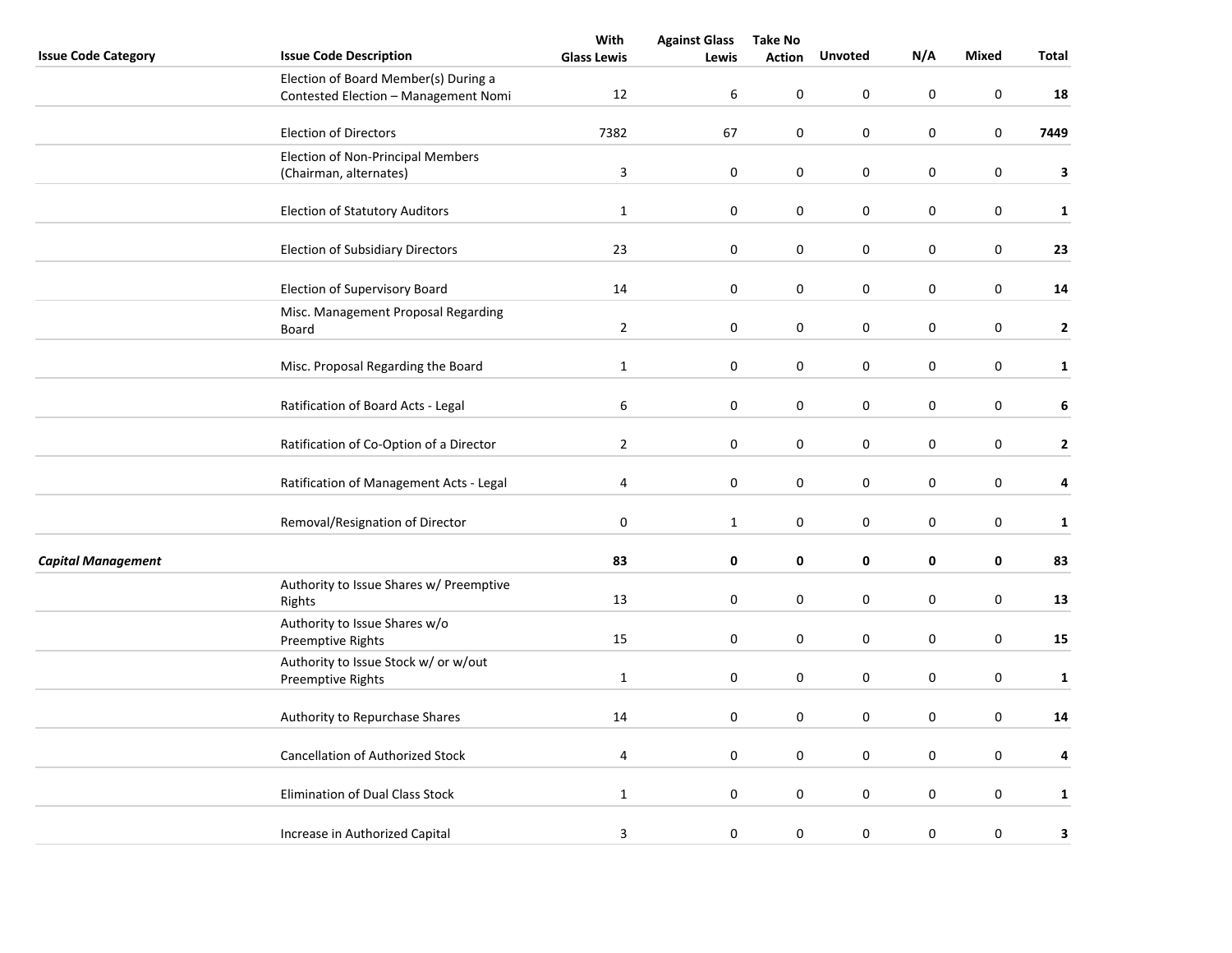|                            |                                                                              | With               | <b>Against Glass</b> | <b>Take No</b> |                |             |                  |              |
|----------------------------|------------------------------------------------------------------------------|--------------------|----------------------|----------------|----------------|-------------|------------------|--------------|
| <b>Issue Code Category</b> | <b>Issue Code Description</b>                                                | <b>Glass Lewis</b> | Lewis                | <b>Action</b>  | <b>Unvoted</b> | N/A         | <b>Mixed</b>     | Total        |
|                            | Election of Board Member(s) During a<br>Contested Election - Management Nomi | 12                 | 6                    | $\pmb{0}$      | 0              | 0           | 0                | 18           |
|                            | <b>Election of Directors</b>                                                 | 7382               | 67                   | 0              | $\mathbf 0$    | $\mathbf 0$ | 0                | 7449         |
|                            | Election of Non-Principal Members<br>(Chairman, alternates)                  | $\overline{3}$     | $\pmb{0}$            | 0              | $\pmb{0}$      | $\pmb{0}$   | $\boldsymbol{0}$ | 3            |
|                            |                                                                              |                    |                      |                |                |             |                  |              |
|                            | <b>Election of Statutory Auditors</b>                                        | $\mathbf 1$        | $\pmb{0}$            | 0              | 0              | $\pmb{0}$   | 0                | $\mathbf{1}$ |
|                            | <b>Election of Subsidiary Directors</b>                                      | 23                 | 0                    | 0              | 0              | $\pmb{0}$   | $\boldsymbol{0}$ | 23           |
|                            | Election of Supervisory Board                                                | 14                 | 0                    | $\mathbf 0$    | 0              | 0           | $\boldsymbol{0}$ | 14           |
|                            | Misc. Management Proposal Regarding<br>Board                                 | $\overline{2}$     | 0                    | 0              | 0              | 0           | $\mathsf 0$      | $\mathbf{2}$ |
|                            | Misc. Proposal Regarding the Board                                           | $\mathbf 1$        | 0                    | 0              | 0              | $\pmb{0}$   | 0                | $\mathbf{1}$ |
|                            | Ratification of Board Acts - Legal                                           | 6                  | 0                    | 0              | 0              | $\pmb{0}$   | 0                | 6            |
|                            | Ratification of Co-Option of a Director                                      | $\overline{2}$     | 0                    | 0              | 0              | $\pmb{0}$   | $\boldsymbol{0}$ | $\mathbf{2}$ |
|                            | Ratification of Management Acts - Legal                                      | 4                  | $\boldsymbol{0}$     | $\pmb{0}$      | $\mathbf 0$    | $\pmb{0}$   | $\boldsymbol{0}$ | 4            |
|                            | Removal/Resignation of Director                                              | 0                  | $\mathbf{1}$         | $\mathbf 0$    | $\mathbf 0$    | 0           | 0                | $\mathbf{1}$ |
| <b>Capital Management</b>  |                                                                              | 83                 | 0                    | 0              | 0              | 0           | 0                | 83           |
|                            | Authority to Issue Shares w/ Preemptive<br>Rights                            | 13                 | $\boldsymbol{0}$     | 0              | 0              | $\pmb{0}$   | 0                | 13           |
|                            | Authority to Issue Shares w/o<br>Preemptive Rights                           | 15                 | 0                    | 0              | 0              | $\mathbf 0$ | 0                | 15           |
|                            | Authority to Issue Stock w/ or w/out<br>Preemptive Rights                    | $\mathbf{1}$       | 0                    | 0              | 0              | $\pmb{0}$   | 0                | $\mathbf{1}$ |
|                            | Authority to Repurchase Shares                                               | 14                 | 0                    | $\mathbf 0$    | $\mathbf 0$    | 0           | 0                | 14           |
|                            | <b>Cancellation of Authorized Stock</b>                                      | 4                  | 0                    | 0              | 0              | 0           | 0                | 4            |
|                            | Elimination of Dual Class Stock                                              | $\mathbf{1}$       | 0                    | 0              | 0              | $\pmb{0}$   | 0                | $\mathbf{1}$ |
|                            | Increase in Authorized Capital                                               | 3                  | 0                    | 0              | 0              | $\pmb{0}$   | $\mathbf 0$      | 3            |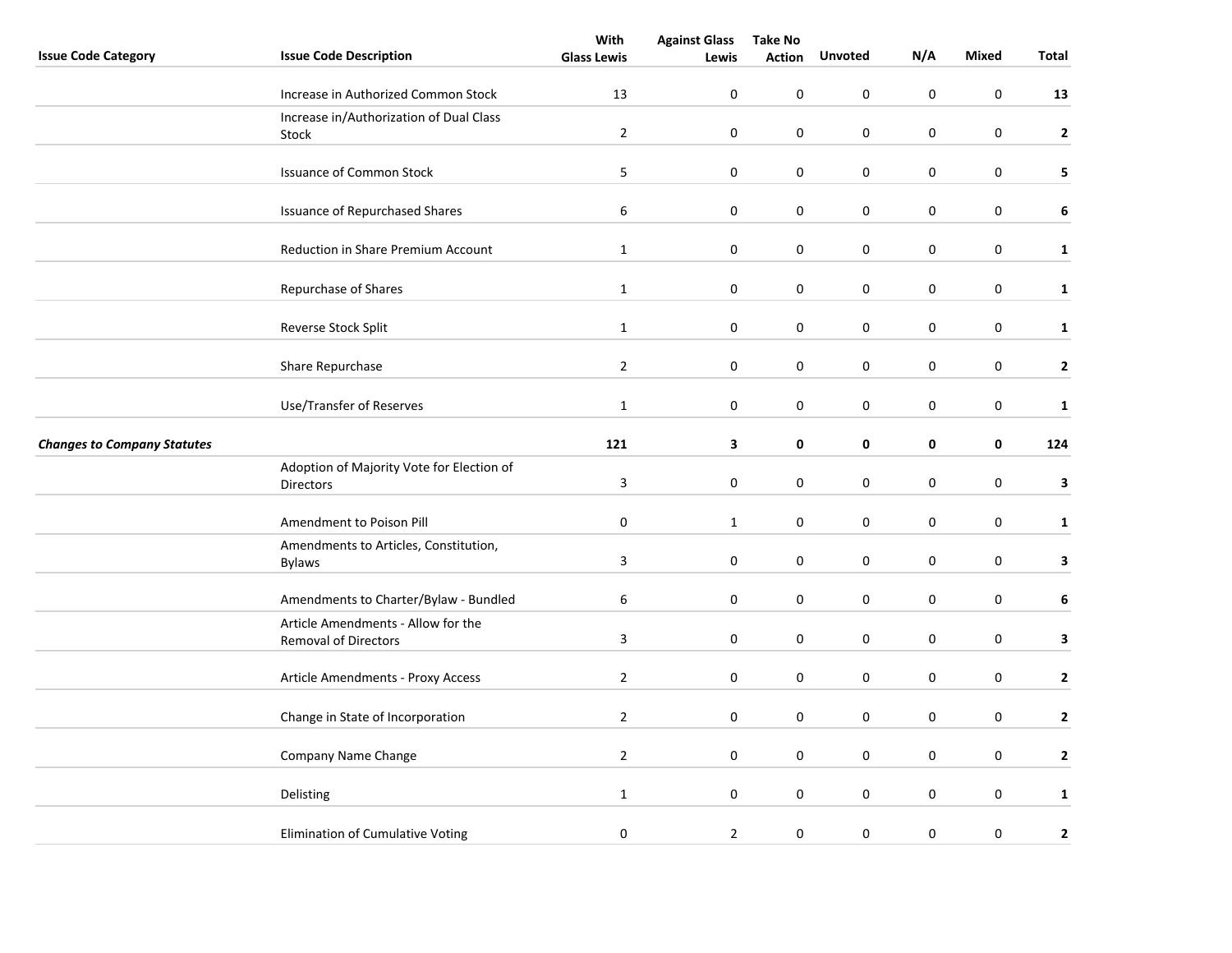|                                    |                                                                   | With               | <b>Against Glass</b> | <b>Take No</b> |                |             |                  |                  |
|------------------------------------|-------------------------------------------------------------------|--------------------|----------------------|----------------|----------------|-------------|------------------|------------------|
| <b>Issue Code Category</b>         | <b>Issue Code Description</b>                                     | <b>Glass Lewis</b> | Lewis                | <b>Action</b>  | <b>Unvoted</b> | N/A         | <b>Mixed</b>     | Total            |
|                                    | Increase in Authorized Common Stock                               | 13                 | $\mathbf 0$          | 0              | $\mathbf 0$    | $\mathbf 0$ | $\mathbf 0$      | 13               |
|                                    | Increase in/Authorization of Dual Class<br>Stock                  | $\overline{2}$     | 0                    | 0              | 0              | 0           | $\mathbf 0$      | $\mathbf{2}$     |
|                                    | <b>Issuance of Common Stock</b>                                   | 5                  |                      | $\pmb{0}$      | $\pmb{0}$      |             | $\pmb{0}$        | 5                |
|                                    |                                                                   |                    | 0                    |                |                | 0           |                  |                  |
|                                    | <b>Issuance of Repurchased Shares</b>                             | 6                  | $\boldsymbol{0}$     | $\pmb{0}$      | 0              | $\pmb{0}$   | 0                | 6                |
|                                    | Reduction in Share Premium Account                                | $\mathbf{1}$       | $\mathbf 0$          | 0              | $\mathbf 0$    | $\mathbf 0$ | $\pmb{0}$        | $\mathbf{1}$     |
|                                    | Repurchase of Shares                                              | $\mathbf{1}$       | 0                    | 0              | 0              | 0           | 0                | $\mathbf{1}$     |
|                                    | Reverse Stock Split                                               | $\mathbf{1}$       | $\mathbf 0$          | 0              | 0              | 0           | 0                | $\mathbf{1}$     |
|                                    | Share Repurchase                                                  | $\overline{2}$     | $\boldsymbol{0}$     | $\pmb{0}$      | $\pmb{0}$      | $\pmb{0}$   | $\pmb{0}$        | $\mathbf{2}$     |
|                                    | Use/Transfer of Reserves                                          | $\mathbf{1}$       | 0                    | 0              | 0              | 0           | $\mathbf 0$      | $\mathbf{1}$     |
| <b>Changes to Company Statutes</b> |                                                                   | 121                | 3                    | 0              | 0              | $\pmb{0}$   | $\mathbf 0$      | 124              |
|                                    | Adoption of Majority Vote for Election of<br><b>Directors</b>     | $\mathsf 3$        | $\boldsymbol{0}$     | 0              | 0              | 0           | $\boldsymbol{0}$ | 3                |
|                                    | Amendment to Poison Pill                                          | $\pmb{0}$          | $\mathbf{1}$         | 0              | 0              | 0           | $\boldsymbol{0}$ | $\mathbf{1}$     |
|                                    | Amendments to Articles, Constitution,<br><b>Bylaws</b>            | 3                  | $\mathbf 0$          | 0              | $\mathbf 0$    | $\mathbf 0$ | $\mathbf 0$      | 3                |
|                                    | Amendments to Charter/Bylaw - Bundled                             | 6                  | $\mathbf 0$          | 0              | 0              | $\mathbf 0$ | $\mathbf 0$      | $\boldsymbol{6}$ |
|                                    | Article Amendments - Allow for the<br><b>Removal of Directors</b> | 3                  | 0                    | 0              | 0              | 0           | 0                | 3                |
|                                    | Article Amendments - Proxy Access                                 | $\overline{2}$     | 0                    | 0              | 0              | $\mathbf 0$ | 0                | $\mathbf{2}$     |
|                                    | Change in State of Incorporation                                  | $\overline{2}$     | $\mathbf 0$          | $\pmb{0}$      | 0              | 0           | $\pmb{0}$        | $\mathbf{2}$     |
|                                    | Company Name Change                                               | $\overline{2}$     | $\mathbf 0$          | $\mathbf 0$    | $\mathbf 0$    | $\mathbf 0$ | $\pmb{0}$        | $\mathbf{2}$     |
|                                    | Delisting                                                         | $\mathbf{1}$       | 0                    | 0              | 0              | $\pmb{0}$   | $\pmb{0}$        | $\mathbf{1}$     |
|                                    | Elimination of Cumulative Voting                                  | $\pmb{0}$          | $\overline{2}$       | $\pmb{0}$      | 0              | $\pmb{0}$   | $\pmb{0}$        | $\mathbf{2}$     |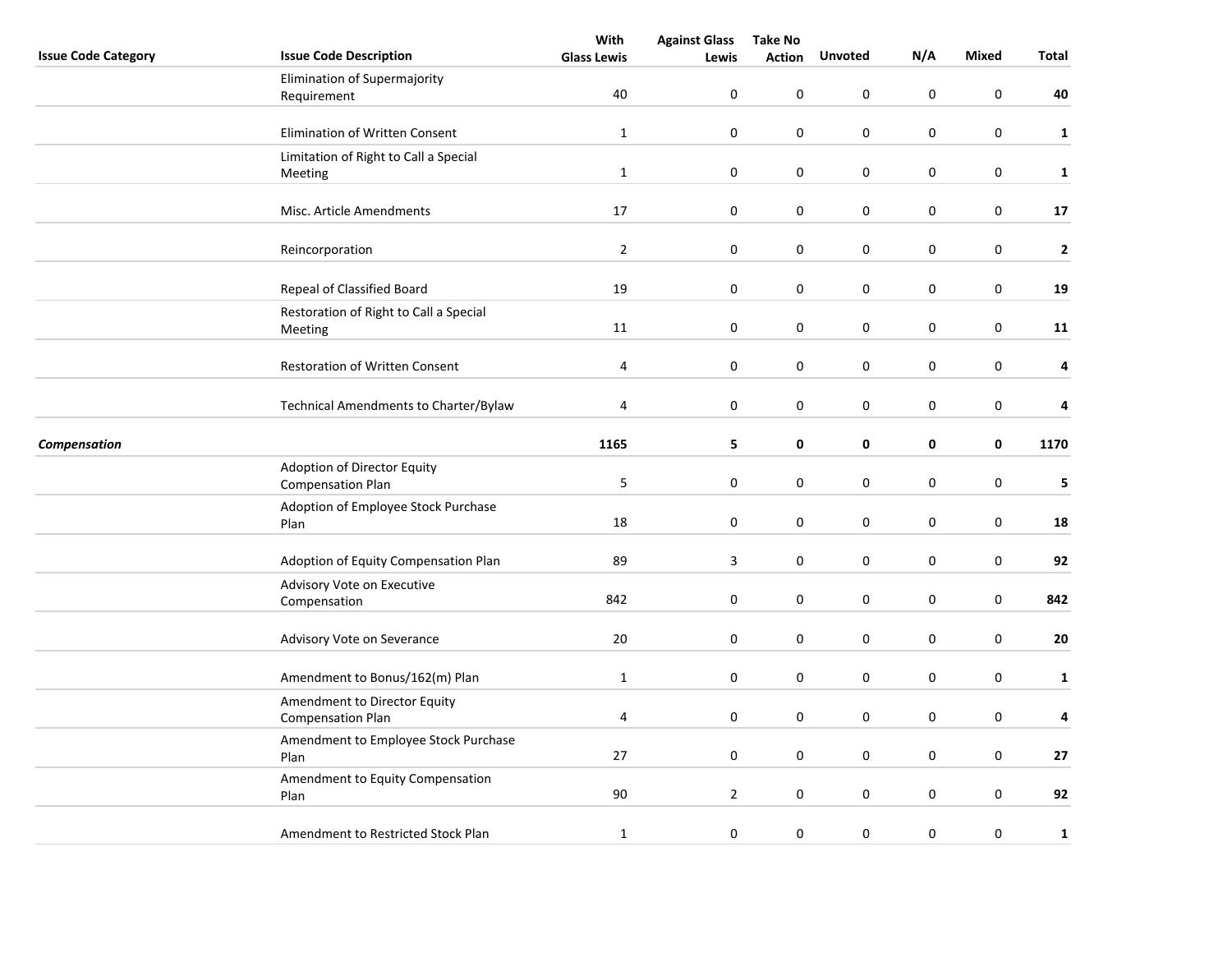|                            |                                            | With               | <b>Against Glass</b>    | <b>Take No</b> |                |             |                  |              |
|----------------------------|--------------------------------------------|--------------------|-------------------------|----------------|----------------|-------------|------------------|--------------|
| <b>Issue Code Category</b> | <b>Issue Code Description</b>              | <b>Glass Lewis</b> | Lewis                   | <b>Action</b>  | <b>Unvoted</b> | N/A         | <b>Mixed</b>     | Total        |
|                            | Elimination of Supermajority               |                    |                         |                |                |             |                  |              |
|                            | Requirement                                | 40                 | 0                       | 0              | $\mathsf 0$    | $\pmb{0}$   | 0                | 40           |
|                            |                                            |                    |                         |                |                |             |                  |              |
|                            | Elimination of Written Consent             | $\mathbf{1}$       | 0                       | 0              | $\pmb{0}$      | $\pmb{0}$   | 0                | $\mathbf{1}$ |
|                            | Limitation of Right to Call a Special      |                    |                         |                |                |             |                  |              |
|                            | Meeting                                    | $\mathbf{1}$       | 0                       | 0              | 0              | $\pmb{0}$   | 0                | $\mathbf{1}$ |
|                            |                                            |                    |                         |                |                |             |                  |              |
|                            | Misc. Article Amendments                   | 17                 | $\pmb{0}$               | 0              | 0              | $\pmb{0}$   | 0                | $17\,$       |
|                            | Reincorporation                            | $\overline{2}$     | $\boldsymbol{0}$        | 0              | 0              | $\pmb{0}$   | $\boldsymbol{0}$ | $\mathbf{2}$ |
|                            |                                            |                    |                         |                |                |             |                  |              |
|                            | Repeal of Classified Board                 | 19                 | 0                       | 0              | 0              | $\pmb{0}$   | $\boldsymbol{0}$ | 19           |
|                            | Restoration of Right to Call a Special     |                    |                         |                |                |             |                  |              |
|                            | Meeting                                    | 11                 | $\pmb{0}$               | 0              | 0              | $\pmb{0}$   | $\boldsymbol{0}$ | 11           |
|                            |                                            |                    |                         |                |                |             |                  |              |
|                            | <b>Restoration of Written Consent</b>      | $\pmb{4}$          | $\boldsymbol{0}$        | 0              | $\mathsf 0$    | $\pmb{0}$   | $\boldsymbol{0}$ | 4            |
|                            |                                            |                    |                         |                |                |             |                  |              |
|                            | Technical Amendments to Charter/Bylaw      | 4                  | 0                       | 0              | 0              | $\mathbf 0$ | 0                | 4            |
|                            |                                            |                    |                         |                |                |             |                  |              |
| Compensation               |                                            | 1165               | 5                       | 0              | 0              | 0           | 0                | 1170         |
|                            | Adoption of Director Equity                |                    |                         |                |                |             |                  |              |
|                            | <b>Compensation Plan</b>                   | 5                  | $\pmb{0}$               | 0              | 0              | $\pmb{0}$   | $\pmb{0}$        | 5            |
|                            | Adoption of Employee Stock Purchase        |                    |                         |                |                |             |                  |              |
|                            | Plan                                       | 18                 | 0                       | 0              | 0              | $\pmb{0}$   | 0                | 18           |
|                            | Adoption of Equity Compensation Plan       | 89                 | $\overline{\mathbf{3}}$ | 0              | $\pmb{0}$      | $\pmb{0}$   | $\boldsymbol{0}$ | 92           |
|                            |                                            |                    |                         |                |                |             |                  |              |
|                            | Advisory Vote on Executive<br>Compensation | 842                | $\pmb{0}$               | 0              | $\pmb{0}$      | $\pmb{0}$   | $\boldsymbol{0}$ | 842          |
|                            |                                            |                    |                         |                |                |             |                  |              |
|                            | Advisory Vote on Severance                 | 20                 | 0                       | 0              | 0              | $\pmb{0}$   | 0                | 20           |
|                            |                                            |                    |                         |                |                |             |                  |              |
|                            | Amendment to Bonus/162(m) Plan             | $1\,$              | 0                       | 0              | 0              | $\pmb{0}$   | 0                | $\mathbf{1}$ |
|                            | Amendment to Director Equity               |                    |                         |                |                |             |                  |              |
|                            | <b>Compensation Plan</b>                   | 4                  | $\pmb{0}$               | 0              | 0              | $\pmb{0}$   | $\boldsymbol{0}$ | 4            |
|                            | Amendment to Employee Stock Purchase       |                    |                         |                |                |             |                  |              |
|                            | Plan                                       | 27                 | $\boldsymbol{0}$        | 0              | 0              | $\pmb{0}$   | $\boldsymbol{0}$ | 27           |
|                            | Amendment to Equity Compensation           |                    |                         |                |                |             |                  |              |
|                            | Plan                                       | 90                 | $\overline{2}$          | 0              | 0              | $\pmb{0}$   | $\boldsymbol{0}$ | 92           |
|                            |                                            |                    |                         |                |                |             |                  |              |
|                            | Amendment to Restricted Stock Plan         | $1\,$              | 0                       | 0              | 0              | $\pmb{0}$   | 0                | $\mathbf 1$  |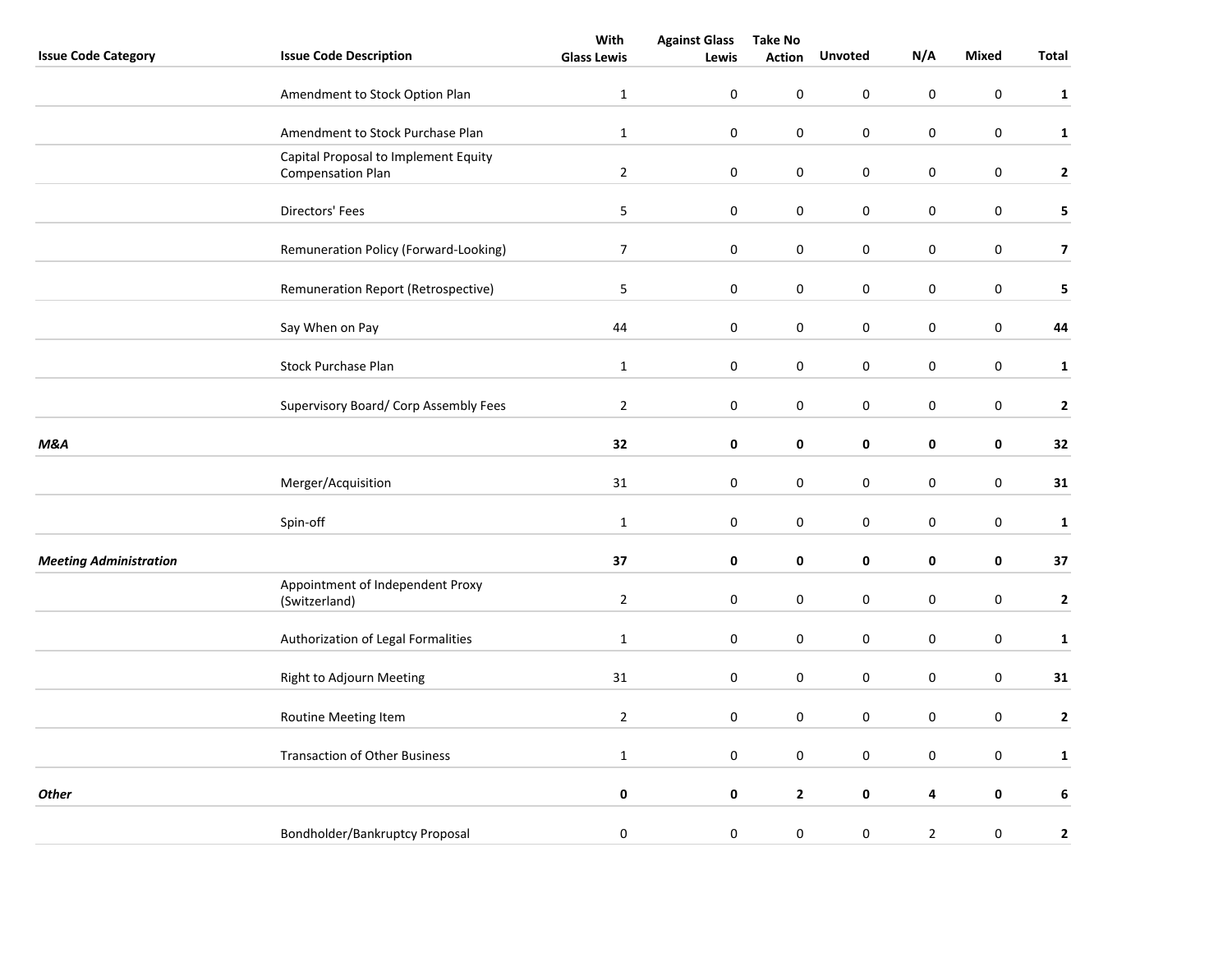|                               |                                                                  | With               | <b>Against Glass</b> | <b>Take No</b> |                  |                  |                  |                         |
|-------------------------------|------------------------------------------------------------------|--------------------|----------------------|----------------|------------------|------------------|------------------|-------------------------|
| <b>Issue Code Category</b>    | <b>Issue Code Description</b>                                    | <b>Glass Lewis</b> | Lewis                | <b>Action</b>  | <b>Unvoted</b>   | N/A              | <b>Mixed</b>     | Total                   |
|                               | Amendment to Stock Option Plan                                   | $\mathbf 1$        | $\mathbf 0$          | 0              | 0                | 0                | $\pmb{0}$        | $\mathbf{1}$            |
|                               | Amendment to Stock Purchase Plan                                 | $\mathbf{1}$       | $\pmb{0}$            | $\pmb{0}$      | 0                | $\pmb{0}$        | $\pmb{0}$        | $\mathbf{1}$            |
|                               | Capital Proposal to Implement Equity<br><b>Compensation Plan</b> | $\overline{2}$     | $\boldsymbol{0}$     | 0              | 0                | 0                | $\boldsymbol{0}$ | $\mathbf{2}$            |
|                               | Directors' Fees                                                  | $\mathsf S$        | $\boldsymbol{0}$     | 0              | $\boldsymbol{0}$ | $\boldsymbol{0}$ | $\boldsymbol{0}$ | 5                       |
|                               | Remuneration Policy (Forward-Looking)                            | $\overline{7}$     | $\boldsymbol{0}$     | 0              | $\boldsymbol{0}$ | $\boldsymbol{0}$ | $\mathbf 0$      | $\overline{\mathbf{z}}$ |
|                               | Remuneration Report (Retrospective)                              | 5                  | $\mathbf 0$          | 0              | $\boldsymbol{0}$ | $\boldsymbol{0}$ | $\pmb{0}$        | 5                       |
|                               | Say When on Pay                                                  | 44                 | $\boldsymbol{0}$     | 0              | $\boldsymbol{0}$ | $\boldsymbol{0}$ | $\boldsymbol{0}$ | 44                      |
|                               | <b>Stock Purchase Plan</b>                                       | $\mathbf{1}$       | $\pmb{0}$            | 0              | 0                | 0                | $\pmb{0}$        | $\mathbf{1}$            |
|                               | Supervisory Board/ Corp Assembly Fees                            | $\overline{2}$     | $\pmb{0}$            | 0              | 0                | 0                | $\pmb{0}$        | $\mathbf{2}$            |
| M&A                           |                                                                  | 32                 | 0                    | 0              | 0                | 0                | $\pmb{0}$        | 32                      |
|                               | Merger/Acquisition                                               | 31                 | 0                    | 0              | 0                | 0                | $\pmb{0}$        | 31                      |
|                               | Spin-off                                                         | $\mathbf 1$        | $\mathbf 0$          | 0              | 0                | $\boldsymbol{0}$ | $\boldsymbol{0}$ | $\mathbf{1}$            |
| <b>Meeting Administration</b> |                                                                  | 37                 | 0                    | 0              | 0                | 0                | 0                | 37                      |
|                               | Appointment of Independent Proxy<br>(Switzerland)                | $\mathbf{2}$       | 0                    | 0              | 0                | 0                | 0                | $\mathbf{2}$            |
|                               | Authorization of Legal Formalities                               | $\mathbf{1}$       | $\boldsymbol{0}$     | 0              | $\boldsymbol{0}$ | 0                | $\boldsymbol{0}$ | $\mathbf 1$             |
|                               | Right to Adjourn Meeting                                         | 31                 | 0                    | 0              | 0                | 0                | $\pmb{0}$        | 31                      |
|                               | Routine Meeting Item                                             | $\overline{2}$     | $\boldsymbol{0}$     | 0              | 0                | 0                | $\boldsymbol{0}$ | $\mathbf{2}$            |
|                               | <b>Transaction of Other Business</b>                             | $\mathbf{1}$       | $\boldsymbol{0}$     | 0              | $\boldsymbol{0}$ | $\boldsymbol{0}$ | $\boldsymbol{0}$ | $\mathbf{1}$            |
| <b>Other</b>                  |                                                                  | 0                  | $\pmb{0}$            | $\mathbf{2}$   | 0                | 4                | $\pmb{0}$        | 6                       |
|                               | Bondholder/Bankruptcy Proposal                                   | 0                  | $\pmb{0}$            | 0              | 0                | $\overline{2}$   | 0                | $\mathbf{2}$            |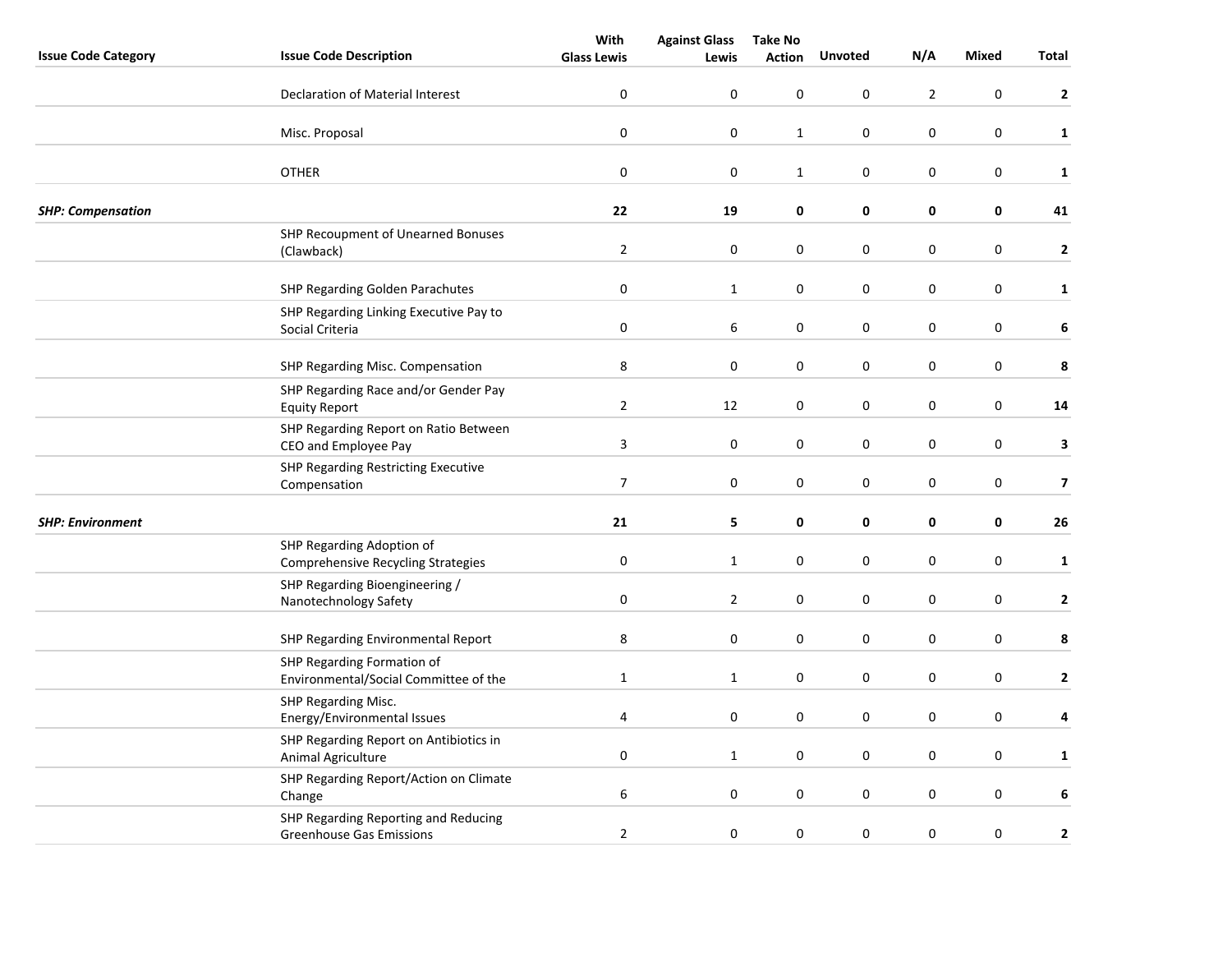|                            |                                                                         | With               | <b>Against Glass</b> | <b>Take No</b> |                  |                  |                  |                         |
|----------------------------|-------------------------------------------------------------------------|--------------------|----------------------|----------------|------------------|------------------|------------------|-------------------------|
| <b>Issue Code Category</b> | <b>Issue Code Description</b>                                           | <b>Glass Lewis</b> | Lewis                | <b>Action</b>  | <b>Unvoted</b>   | N/A              | <b>Mixed</b>     | Total                   |
|                            | Declaration of Material Interest                                        | $\boldsymbol{0}$   | 0                    | 0              | $\mathsf 0$      | $\overline{2}$   | $\boldsymbol{0}$ | $\mathbf{2}$            |
|                            | Misc. Proposal                                                          | 0                  | 0                    | $\mathbf 1$    | 0                | $\pmb{0}$        | 0                | $\mathbf{1}$            |
|                            | <b>OTHER</b>                                                            | $\boldsymbol{0}$   | $\pmb{0}$            | $\mathbf{1}$   | $\boldsymbol{0}$ | $\pmb{0}$        | $\boldsymbol{0}$ | $\mathbf{1}$            |
| <b>SHP: Compensation</b>   |                                                                         | 22                 | 19                   | 0              | 0                | 0                | 0                | 41                      |
|                            | SHP Recoupment of Unearned Bonuses<br>(Clawback)                        | $\overline{2}$     | $\boldsymbol{0}$     | 0              | $\pmb{0}$        | $\pmb{0}$        | $\boldsymbol{0}$ | $\mathbf{2}$            |
|                            | <b>SHP Regarding Golden Parachutes</b>                                  | $\boldsymbol{0}$   | $\mathbf{1}$         | 0              | $\pmb{0}$        | $\pmb{0}$        | $\boldsymbol{0}$ | $\mathbf{1}$            |
|                            | SHP Regarding Linking Executive Pay to<br>Social Criteria               | $\boldsymbol{0}$   | 6                    | 0              | $\mathsf 0$      | $\pmb{0}$        | 0                | 6                       |
|                            | SHP Regarding Misc. Compensation                                        | 8                  | $\pmb{0}$            | 0              | 0                | $\pmb{0}$        | 0                | 8                       |
|                            | SHP Regarding Race and/or Gender Pay<br><b>Equity Report</b>            | $\overline{2}$     | 12                   | 0              | 0                | $\pmb{0}$        | 0                | ${\bf 14}$              |
|                            | SHP Regarding Report on Ratio Between<br>CEO and Employee Pay           | $\mathbf{3}$       | $\boldsymbol{0}$     | 0              | $\pmb{0}$        | $\pmb{0}$        | $\boldsymbol{0}$ | $\mathbf{3}$            |
|                            | SHP Regarding Restricting Executive<br>Compensation                     | $\overline{7}$     | 0                    | $\pmb{0}$      | $\pmb{0}$        | $\pmb{0}$        | $\boldsymbol{0}$ | $\overline{\mathbf{z}}$ |
| <b>SHP: Environment</b>    |                                                                         | 21                 | 5                    | 0              | 0                | 0                | 0                | 26                      |
|                            | SHP Regarding Adoption of<br>Comprehensive Recycling Strategies         | $\pmb{0}$          | $\mathbf 1$          | 0              | 0                | $\pmb{0}$        | $\boldsymbol{0}$ | $\mathbf{1}$            |
|                            | SHP Regarding Bioengineering /<br>Nanotechnology Safety                 | $\pmb{0}$          | $\overline{2}$       | $\pmb{0}$      | $\boldsymbol{0}$ | $\pmb{0}$        | $\boldsymbol{0}$ | $\mathbf{2}$            |
|                            | SHP Regarding Environmental Report                                      | 8                  | $\boldsymbol{0}$     | 0              | 0                | $\pmb{0}$        | $\boldsymbol{0}$ | 8                       |
|                            | SHP Regarding Formation of<br>Environmental/Social Committee of the     | $\mathbf 1$        | $\mathbf{1}$         | 0              | $\pmb{0}$        | $\pmb{0}$        | 0                | $\mathbf{2}$            |
|                            | SHP Regarding Misc.<br>Energy/Environmental Issues                      | 4                  | 0                    | 0              | 0                | $\mathbf 0$      | $\pmb{0}$        | 4                       |
|                            | SHP Regarding Report on Antibiotics in<br>Animal Agriculture            | $\pmb{0}$          | $\mathbf{1}$         | 0              | 0                | $\pmb{0}$        | 0                | $\mathbf{1}$            |
|                            | SHP Regarding Report/Action on Climate<br>Change                        | 6                  | $\boldsymbol{0}$     | 0              | 0                | $\pmb{0}$        | 0                | 6                       |
|                            | SHP Regarding Reporting and Reducing<br><b>Greenhouse Gas Emissions</b> | $\overline{2}$     | 0                    | $\pmb{0}$      | $\pmb{0}$        | $\boldsymbol{0}$ | $\pmb{0}$        | $\mathbf{2}$            |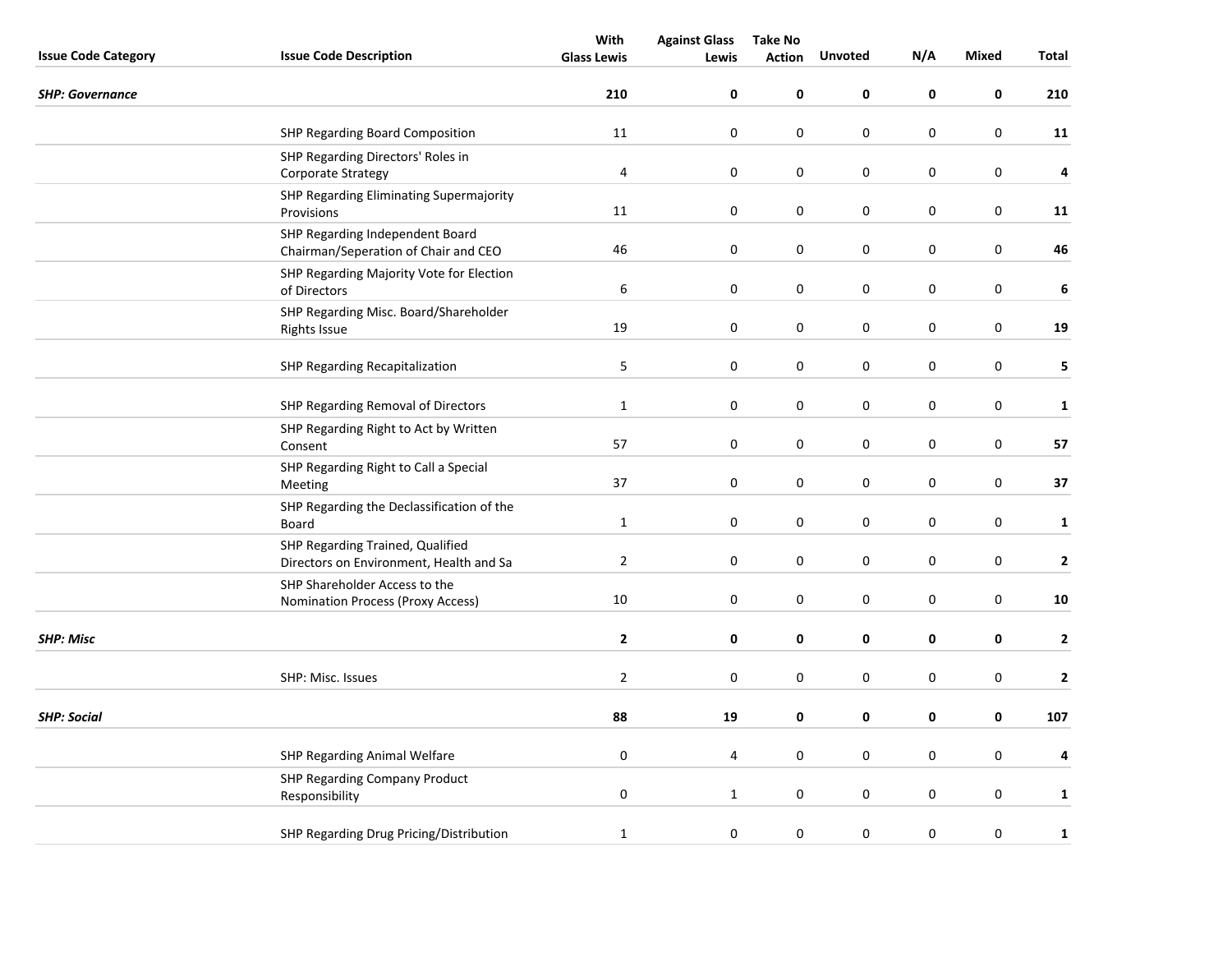|                            |                                                                             | With               | <b>Against Glass</b> | <b>Take No</b> |                  |             |                  |              |
|----------------------------|-----------------------------------------------------------------------------|--------------------|----------------------|----------------|------------------|-------------|------------------|--------------|
| <b>Issue Code Category</b> | <b>Issue Code Description</b>                                               | <b>Glass Lewis</b> | Lewis                | <b>Action</b>  | <b>Unvoted</b>   | N/A         | <b>Mixed</b>     | Total        |
| <b>SHP: Governance</b>     |                                                                             | 210                | 0                    | 0              | 0                | 0           | 0                | 210          |
|                            | SHP Regarding Board Composition                                             | 11                 | $\boldsymbol{0}$     | $\pmb{0}$      | 0                | $\pmb{0}$   | $\pmb{0}$        | 11           |
|                            | SHP Regarding Directors' Roles in<br>Corporate Strategy                     | $\pmb{4}$          | $\boldsymbol{0}$     | $\pmb{0}$      | $\boldsymbol{0}$ | $\pmb{0}$   | $\pmb{0}$        | 4            |
|                            | SHP Regarding Eliminating Supermajority<br>Provisions                       | 11                 | $\boldsymbol{0}$     | $\pmb{0}$      | $\mathsf 0$      | $\pmb{0}$   | $\pmb{0}$        | 11           |
|                            | SHP Regarding Independent Board<br>Chairman/Seperation of Chair and CEO     | 46                 | 0                    | 0              | 0                | $\mathbf 0$ | $\pmb{0}$        | 46           |
|                            | SHP Regarding Majority Vote for Election<br>of Directors                    | $\boldsymbol{6}$   | 0                    | 0              | 0                | 0           | $\pmb{0}$        | $\bf 6$      |
|                            | SHP Regarding Misc. Board/Shareholder<br><b>Rights Issue</b>                | 19                 | 0                    | 0              | 0                | $\pmb{0}$   | $\pmb{0}$        | 19           |
|                            | <b>SHP Regarding Recapitalization</b>                                       | 5                  | $\boldsymbol{0}$     | $\pmb{0}$      | $\boldsymbol{0}$ | $\pmb{0}$   | $\boldsymbol{0}$ | 5            |
|                            | SHP Regarding Removal of Directors                                          | $\mathbf{1}$       | 0                    | 0              | 0                | 0           | $\pmb{0}$        | $\mathbf{1}$ |
|                            | SHP Regarding Right to Act by Written<br>Consent                            | 57                 | $\pmb{0}$            | $\pmb{0}$      | 0                | 0           | $\pmb{0}$        | 57           |
|                            | SHP Regarding Right to Call a Special<br>Meeting                            | 37                 | $\boldsymbol{0}$     | $\pmb{0}$      | $\boldsymbol{0}$ | $\pmb{0}$   | $\pmb{0}$        | 37           |
|                            | SHP Regarding the Declassification of the<br>Board                          | $\mathbf{1}$       | 0                    | $\pmb{0}$      | 0                | $\pmb{0}$   | $\pmb{0}$        | $\mathbf{1}$ |
|                            | SHP Regarding Trained, Qualified<br>Directors on Environment, Health and Sa | $\overline{2}$     | 0                    | 0              | 0                | $\mathbf 0$ | $\boldsymbol{0}$ | $\mathbf{2}$ |
|                            | SHP Shareholder Access to the<br>Nomination Process (Proxy Access)          | $10\,$             | $\pmb{0}$            | $\pmb{0}$      | 0                | $\pmb{0}$   | $\pmb{0}$        | 10           |
| <b>SHP: Misc</b>           |                                                                             | $\mathbf{2}$       | 0                    | 0              | 0                | $\pmb{0}$   | 0                | $\mathbf{2}$ |
|                            | SHP: Misc. Issues                                                           | $\mathbf 2$        | 0                    | 0              | 0                | $\pmb{0}$   | $\pmb{0}$        | $\mathbf 2$  |
| <b>SHP: Social</b>         |                                                                             | 88                 | 19                   | 0              | 0                | $\pmb{0}$   | $\pmb{0}$        | 107          |
|                            | SHP Regarding Animal Welfare                                                | $\mathbf 0$        | 4                    | 0              | 0                | $\mathbf 0$ | $\pmb{0}$        | 4            |
|                            | <b>SHP Regarding Company Product</b><br>Responsibility                      | $\pmb{0}$          | $\mathbf{1}$         | 0              | 0                | $\pmb{0}$   | $\pmb{0}$        | $\mathbf{1}$ |
|                            | SHP Regarding Drug Pricing/Distribution                                     | $\mathbf{1}$       | 0                    | $\pmb{0}$      | $\pmb{0}$        | $\pmb{0}$   | $\pmb{0}$        | $\mathbf 1$  |